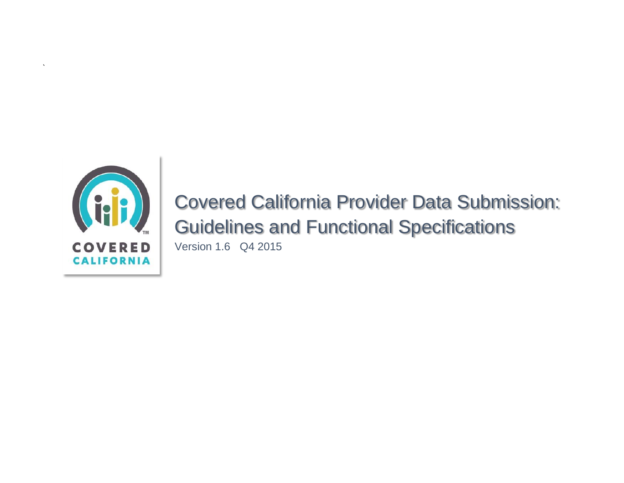

`

Covered California Provider Data Submission: Guidelines and Functional Specifications Version 1.6 Q4 2015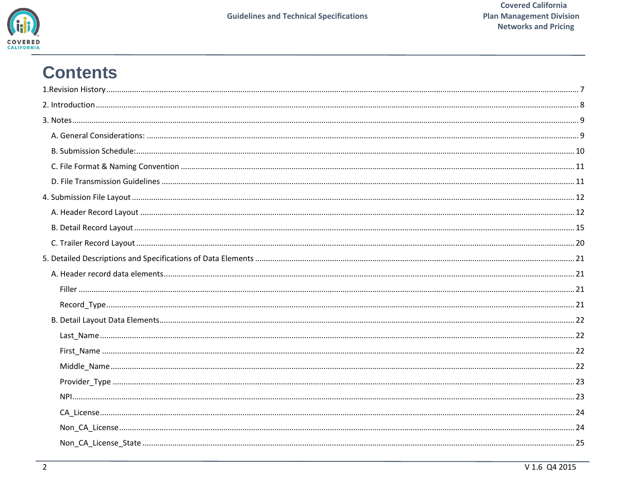

# **Contents**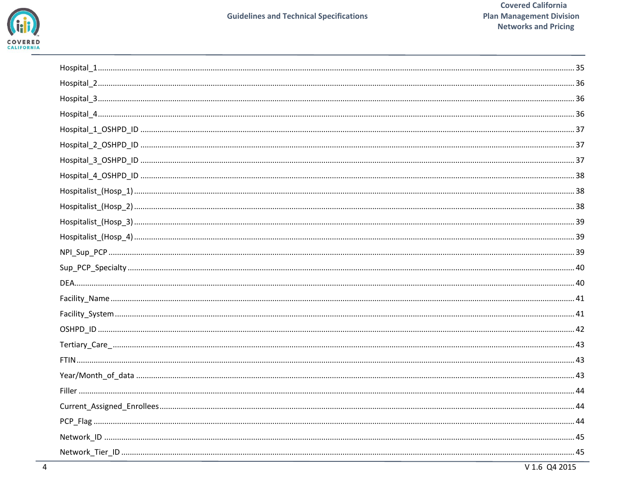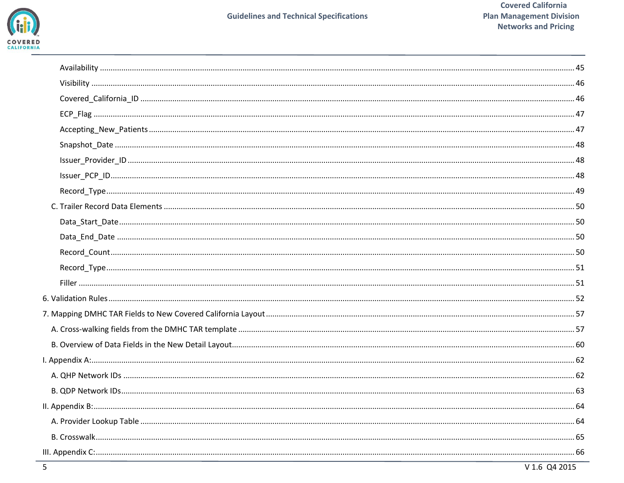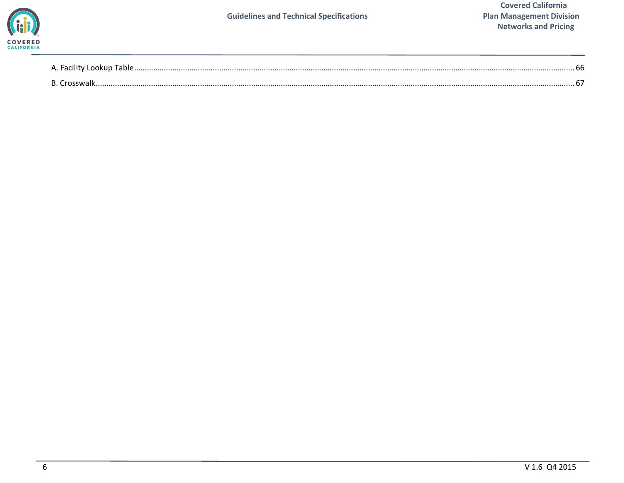

| - A. Facility Lookup Table. | nr |
|-----------------------------|----|
| - R /                       |    |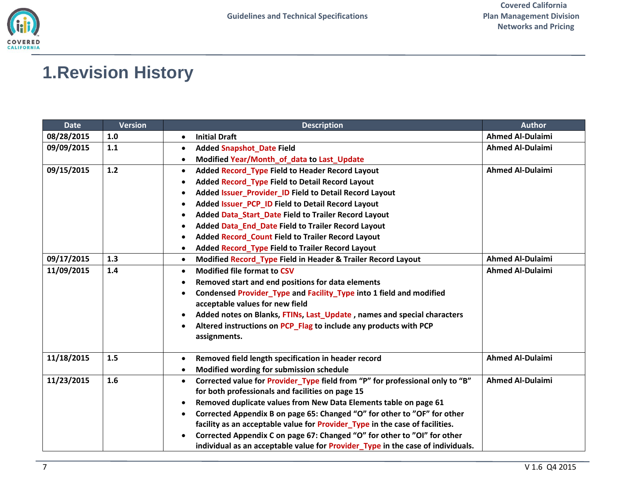# <span id="page-6-0"></span>**1.Revision History**

| <b>Date</b> | <b>Version</b> | <b>Description</b>                                                                         | <b>Author</b>           |
|-------------|----------------|--------------------------------------------------------------------------------------------|-------------------------|
| 08/28/2015  | 1.0            | <b>Initial Draft</b><br>$\bullet$                                                          | <b>Ahmed Al-Dulaimi</b> |
| 09/09/2015  | 1.1            | <b>Added Snapshot_Date Field</b><br>$\bullet$                                              | <b>Ahmed Al-Dulaimi</b> |
|             |                | Modified Year/Month_of_data to Last_Update<br>$\bullet$                                    |                         |
| 09/15/2015  | 1.2            | Added Record Type Field to Header Record Layout<br>$\bullet$                               | <b>Ahmed Al-Dulaimi</b> |
|             |                | Added Record_Type Field to Detail Record Layout<br>$\bullet$                               |                         |
|             |                | Added Issuer_Provider_ID Field to Detail Record Layout<br>$\bullet$                        |                         |
|             |                | Added Issuer_PCP_ID Field to Detail Record Layout<br>٠                                     |                         |
|             |                | Added Data_Start_Date Field to Trailer Record Layout<br>$\bullet$                          |                         |
|             |                | Added Data_End_Date Field to Trailer Record Layout<br>$\bullet$                            |                         |
|             |                | <b>Added Record Count Field to Trailer Record Layout</b><br>$\bullet$                      |                         |
|             |                | <b>Added Record_Type Field to Trailer Record Layout</b><br>$\bullet$                       |                         |
| 09/17/2015  | 1.3            | Modified Record Type Field in Header & Trailer Record Layout<br>$\bullet$                  | <b>Ahmed Al-Dulaimi</b> |
| 11/09/2015  | 1.4            | <b>Modified file format to CSV</b><br>$\bullet$                                            | <b>Ahmed Al-Dulaimi</b> |
|             |                | Removed start and end positions for data elements<br>$\bullet$                             |                         |
|             |                | Condensed Provider_Type and Facility_Type into 1 field and modified<br>$\bullet$           |                         |
|             |                | acceptable values for new field                                                            |                         |
|             |                | Added notes on Blanks, FTINs, Last_Update, names and special characters                    |                         |
|             |                | Altered instructions on PCP_Flag to include any products with PCP<br>$\bullet$             |                         |
|             |                | assignments.                                                                               |                         |
| 11/18/2015  | 1.5            | Removed field length specification in header record<br>$\bullet$                           | <b>Ahmed Al-Dulaimi</b> |
|             |                | Modified wording for submission schedule<br>$\bullet$                                      |                         |
| 11/23/2015  | 1.6            | Corrected value for Provider_Type field from "P" for professional only to "B"<br>$\bullet$ | <b>Ahmed Al-Dulaimi</b> |
|             |                | for both professionals and facilities on page 15                                           |                         |
|             |                | Removed duplicate values from New Data Elements table on page 61<br>$\bullet$              |                         |
|             |                | Corrected Appendix B on page 65: Changed "O" for other to "OF" for other<br>$\bullet$      |                         |
|             |                | facility as an acceptable value for Provider_Type in the case of facilities.               |                         |
|             |                | Corrected Appendix C on page 67: Changed "O" for other to "OI" for other                   |                         |
|             |                | individual as an acceptable value for Provider_Type in the case of individuals.            |                         |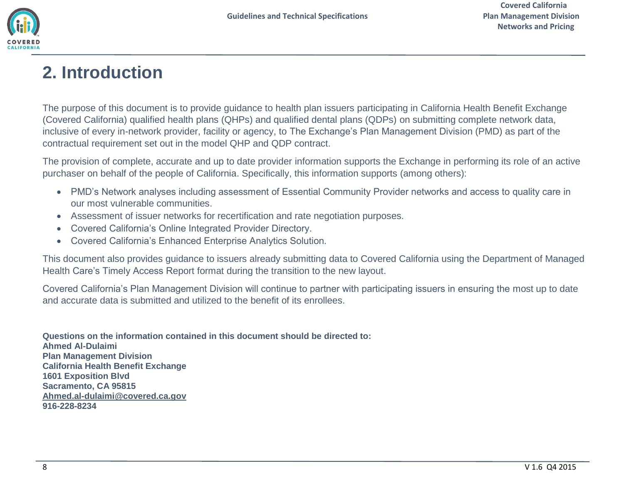

# <span id="page-7-0"></span>**2. Introduction**

The purpose of this document is to provide guidance to health plan issuers participating in California Health Benefit Exchange (Covered California) qualified health plans (QHPs) and qualified dental plans (QDPs) on submitting complete network data, inclusive of every in-network provider, facility or agency, to The Exchange's Plan Management Division (PMD) as part of the contractual requirement set out in the model QHP and QDP contract.

The provision of complete, accurate and up to date provider information supports the Exchange in performing its role of an active purchaser on behalf of the people of California. Specifically, this information supports (among others):

- PMD's Network analyses including assessment of Essential Community Provider networks and access to quality care in our most vulnerable communities.
- Assessment of issuer networks for recertification and rate negotiation purposes.
- Covered California's Online Integrated Provider Directory.
- Covered California's Enhanced Enterprise Analytics Solution.

This document also provides guidance to issuers already submitting data to Covered California using the Department of Managed Health Care's Timely Access Report format during the transition to the new layout.

Covered California's Plan Management Division will continue to partner with participating issuers in ensuring the most up to date and accurate data is submitted and utilized to the benefit of its enrollees.

**Questions on the information contained in this document should be directed to: Ahmed Al-Dulaimi Plan Management Division California Health Benefit Exchange 1601 Exposition Blvd Sacramento, CA 95815 [Ahmed.al-dulaimi@covered.ca.gov](mailto:Ahmed.al-dulaimi@covered.ca.gov) 916-228-8234**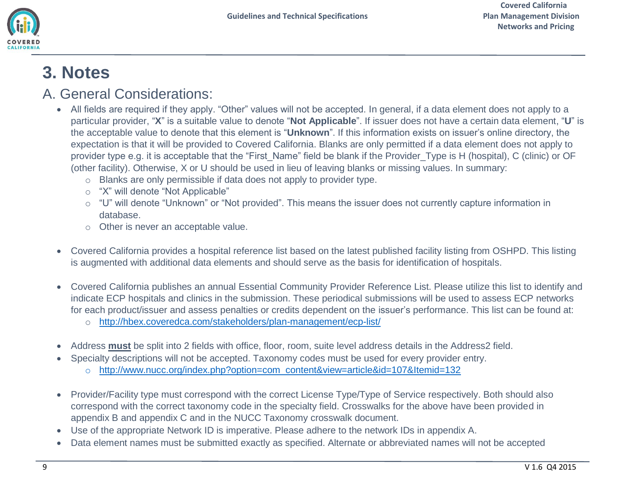

# <span id="page-8-0"></span>**3. Notes**

### <span id="page-8-1"></span>A. General Considerations:

- All fields are required if they apply. "Other" values will not be accepted. In general, if a data element does not apply to a particular provider, "**X**" is a suitable value to denote "**Not Applicable**". If issuer does not have a certain data element, "**U**" is the acceptable value to denote that this element is "**Unknown**". If this information exists on issuer's online directory, the expectation is that it will be provided to Covered California. Blanks are only permitted if a data element does not apply to provider type e.g. it is acceptable that the "First\_Name" field be blank if the Provider\_Type is H (hospital), C (clinic) or OF (other facility). Otherwise, X or U should be used in lieu of leaving blanks or missing values. In summary:
	- o Blanks are only permissible if data does not apply to provider type.
	- o "X" will denote "Not Applicable"
	- o "U" will denote "Unknown" or "Not provided". This means the issuer does not currently capture information in database.
	- o Other is never an acceptable value.
- Covered California provides a hospital reference list based on the latest published facility listing from OSHPD. This listing is augmented with additional data elements and should serve as the basis for identification of hospitals.
- Covered California publishes an annual Essential Community Provider Reference List. Please utilize this list to identify and indicate ECP hospitals and clinics in the submission. These periodical submissions will be used to assess ECP networks for each product/issuer and assess penalties or credits dependent on the issuer's performance. This list can be found at:
	- o <http://hbex.coveredca.com/stakeholders/plan-management/ecp-list/>
- Address **must** be split into 2 fields with office, floor, room, suite level address details in the Address2 field.
	- Specialty descriptions will not be accepted. Taxonomy codes must be used for every provider entry.
		- o [http://www.nucc.org/index.php?option=com\\_content&view=article&id=107&Itemid=132](http://www.nucc.org/index.php?option=com_content&view=article&id=107&Itemid=132)
- Provider/Facility type must correspond with the correct License Type/Type of Service respectively. Both should also correspond with the correct taxonomy code in the specialty field. Crosswalks for the above have been provided in appendix B and appendix C and in the NUCC Taxonomy crosswalk document.
- Use of the appropriate Network ID is imperative. Please adhere to the network IDs in appendix A.
- Data element names must be submitted exactly as specified. Alternate or abbreviated names will not be accepted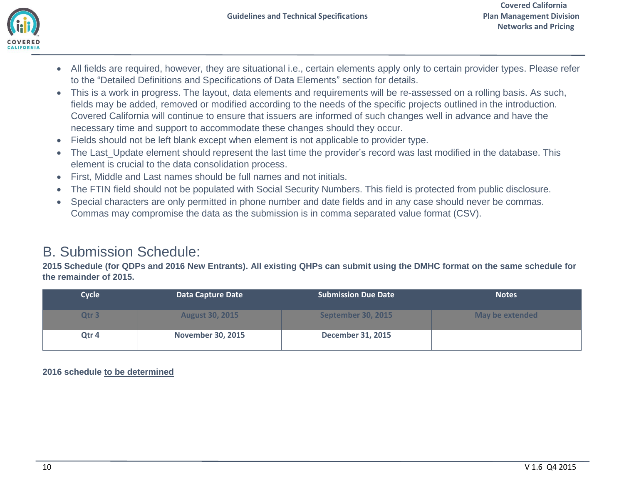

- All fields are required, however, they are situational i.e., certain elements apply only to certain provider types. Please refer to the "Detailed Definitions and Specifications of Data Elements" section for details.
- This is a work in progress. The layout, data elements and requirements will be re-assessed on a rolling basis. As such, fields may be added, removed or modified according to the needs of the specific projects outlined in the introduction. Covered California will continue to ensure that issuers are informed of such changes well in advance and have the necessary time and support to accommodate these changes should they occur.
- Fields should not be left blank except when element is not applicable to provider type.
- The Last Update element should represent the last time the provider's record was last modified in the database. This element is crucial to the data consolidation process.
- First, Middle and Last names should be full names and not initials.
- The FTIN field should not be populated with Social Security Numbers. This field is protected from public disclosure.
- Special characters are only permitted in phone number and date fields and in any case should never be commas. Commas may compromise the data as the submission is in comma separated value format (CSV).

## <span id="page-9-0"></span>B. Submission Schedule:

**2015 Schedule (for QDPs and 2016 New Entrants). All existing QHPs can submit using the DMHC format on the same schedule for the remainder of 2015.**

| <b>Cycle</b>     | Data Capture Date        | <b>Submission Due Date</b> | <b>Notes</b>           |
|------------------|--------------------------|----------------------------|------------------------|
| Qtr <sub>3</sub> | <b>August 30, 2015</b>   | September 30, 2015         | <b>May be extended</b> |
| Qtr 4            | <b>November 30, 2015</b> | <b>December 31, 2015</b>   |                        |

**2016 schedule to be determined**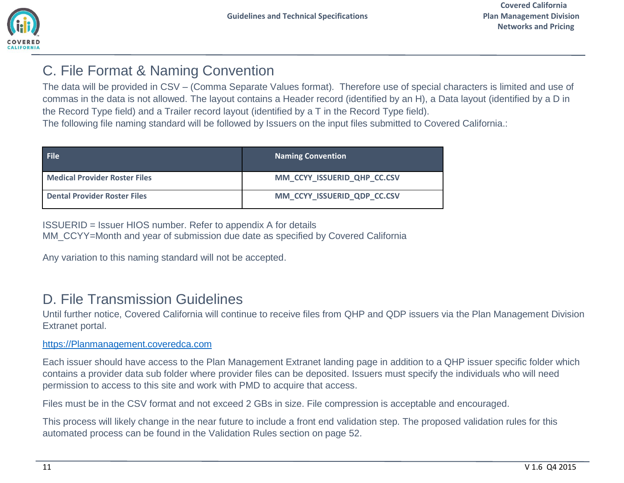## <span id="page-10-0"></span>C. File Format & Naming Convention

The data will be provided in CSV – (Comma Separate Values format). Therefore use of special characters is limited and use of commas in the data is not allowed. The layout contains a Header record (identified by an H), a Data layout (identified by a D in the Record Type field) and a Trailer record layout (identified by a T in the Record Type field).

The following file naming standard will be followed by Issuers on the input files submitted to Covered California.:

| <b>File</b>                          | <b>Naming Convention</b>    |
|--------------------------------------|-----------------------------|
| <b>Medical Provider Roster Files</b> | MM CCYY ISSUERID QHP CC.CSV |
| <b>Dental Provider Roster Files</b>  | MM CCYY ISSUERID QDP CC.CSV |

ISSUERID = Issuer HIOS number. Refer to appendix A for details MM\_CCYY=Month and year of submission due date as specified by Covered California

Any variation to this naming standard will not be accepted.

## <span id="page-10-1"></span>D. File Transmission Guidelines

Until further notice, Covered California will continue to receive files from QHP and QDP issuers via the Plan Management Division Extranet portal.

### [https://Planmanagement.coveredca.com](https://planmanagement.coveredca.com/)

Each issuer should have access to the Plan Management Extranet landing page in addition to a QHP issuer specific folder which contains a provider data sub folder where provider files can be deposited. Issuers must specify the individuals who will need permission to access to this site and work with PMD to acquire that access.

Files must be in the CSV format and not exceed 2 GBs in size. File compression is acceptable and encouraged.

This process will likely change in the near future to include a front end validation step. The proposed validation rules for this automated process can be found in the Validation Rules section on page 52.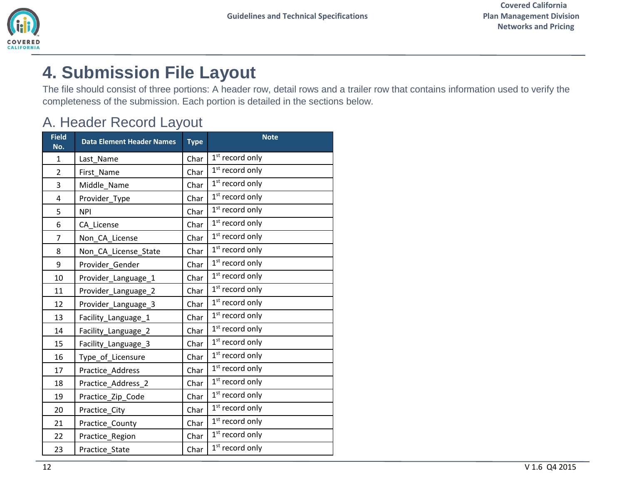# <span id="page-11-0"></span>**4. Submission File Layout**

The file should consist of three portions: A header row, detail rows and a trailer row that contains information used to verify the completeness of the submission. Each portion is detailed in the sections below.

## <span id="page-11-1"></span>A. Header Record Layout

| <b>Field</b><br>No.     | <b>Data Element Header Names</b> | <b>Type</b> | <b>Note</b>                 |
|-------------------------|----------------------------------|-------------|-----------------------------|
| $\mathbf{1}$            | Last Name                        | Char        | $1st$ record only           |
| $\overline{2}$          | First_Name                       | Char        | $1st$ record only           |
| 3                       | Middle_Name                      | Char        | $1st$ record only           |
| $\overline{\mathbf{4}}$ | Provider_Type                    | Char        | $1st$ record only           |
| 5                       | <b>NPI</b>                       | Char        | $1st$ record only           |
| 6                       | CA_License                       | Char        | $1st$ record only           |
| $\overline{7}$          | Non_CA_License                   | Char        | $1st$ record only           |
| 8                       | Non_CA_License_State             | Char        | $1st$ record only           |
| 9                       | Provider Gender                  | Char        | $1st$ record only           |
| 10                      | Provider_Language_1              | Char        | $1st$ record only           |
| 11                      | Provider_Language_2              | Char        | $1st$ record only           |
| 12                      | Provider_Language_3              | Char        | $1st$ record only           |
| 13                      | Facility_Language_1              | Char        | $1st$ record only           |
| 14                      | Facility_Language_2              | Char        | $1st$ record only           |
| 15                      | Facility_Language_3              | Char        | $1st$ record only           |
| 16                      | Type_of_Licensure                | Char        | $1st$ record only           |
| 17                      | Practice Address                 | Char        | $1st$ record only           |
| 18                      | Practice Address 2               | Char        | $1st$ record only           |
| 19                      | Practice_Zip_Code                | Char        | 1 <sup>st</sup> record only |
| 20                      | Practice City                    | Char        | $1st$ record only           |
| 21                      | Practice County                  | Char        | $1st$ record only           |
| 22                      | Practice Region                  | Char        | $1st$ record only           |
| 23                      | Practice State                   | Char        | $1st$ record only           |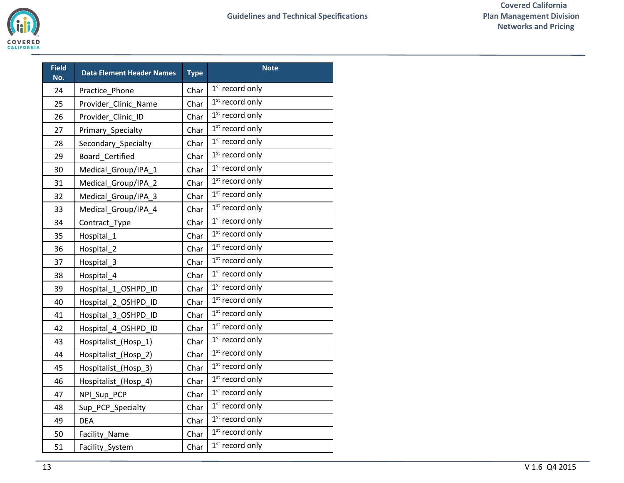| <b>Field</b><br>No. | <b>Data Element Header Names</b> |      | <b>Note</b>                 |
|---------------------|----------------------------------|------|-----------------------------|
| 24                  | Practice Phone                   | Char | $1st$ record only           |
| 25                  | Provider Clinic Name             | Char | $1st$ record only           |
| 26                  | Provider Clinic ID               | Char | $1st$ record only           |
| 27                  | Primary_Specialty                | Char | 1 <sup>st</sup> record only |
| 28                  | Secondary_Specialty              | Char | $1st$ record only           |
| 29                  | Board Certified                  | Char | $1st$ record only           |
| 30                  | Medical_Group/IPA_1              | Char | $1st$ record only           |
| 31                  | Medical_Group/IPA_2              | Char | 1 <sup>st</sup> record only |
| 32                  | Medical_Group/IPA_3              | Char | $1st$ record only           |
| 33                  | Medical_Group/IPA_4              | Char | 1 <sup>st</sup> record only |
| 34                  | Contract_Type                    | Char | 1 <sup>st</sup> record only |
| 35                  | Hospital_1                       | Char | 1 <sup>st</sup> record only |
| 36                  | Hospital_2                       | Char | $1st$ record only           |
| 37                  | Hospital 3                       | Char | 1 <sup>st</sup> record only |
| 38                  | Hospital_4                       | Char | 1 <sup>st</sup> record only |
| 39                  | Hospital 1 OSHPD ID              | Char | $1st$ record only           |
| 40                  | Hospital 2 OSHPD ID              | Char | $1st$ record only           |
| 41                  | Hospital 3 OSHPD ID              | Char | 1 <sup>st</sup> record only |
| 42                  | Hospital_4_OSHPD_ID              | Char | $1st$ record only           |
| 43                  | Hospitalist_(Hosp_1)             | Char | 1 <sup>st</sup> record only |
| 44                  | Hospitalist_(Hosp_2)             | Char | 1 <sup>st</sup> record only |
| 45                  | Hospitalist_(Hosp_3)             | Char | $1st$ record only           |
| 46                  | Hospitalist_(Hosp_4)             | Char | 1 <sup>st</sup> record only |
| 47                  | NPI_Sup_PCP                      | Char | $1st$ record only           |
| 48                  | Sup_PCP_Specialty                | Char | 1 <sup>st</sup> record only |
| 49                  | <b>DEA</b>                       | Char | 1 <sup>st</sup> record only |
| 50                  | <b>Facility Name</b>             | Char | 1 <sup>st</sup> record only |
| 51                  | Facility_System                  | Char | $1st$ record only           |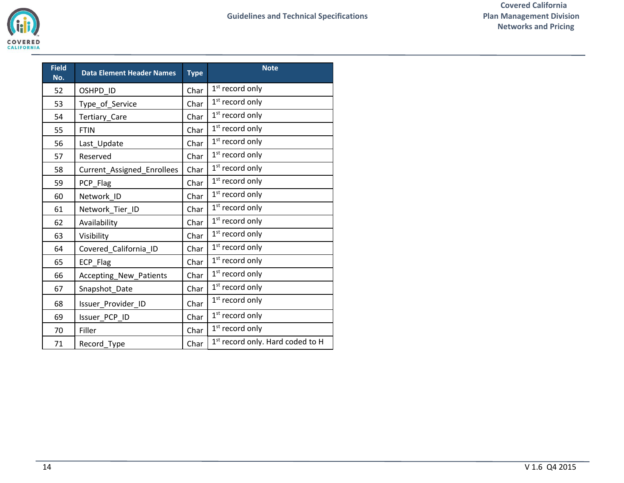| <b>Field</b><br>No. | <b>Data Element Header Names</b> | <b>Type</b> | <b>Note</b>                      |
|---------------------|----------------------------------|-------------|----------------------------------|
| 52                  | OSHPD ID                         | Char        | $1st$ record only                |
| 53                  | Type_of_Service                  | Char        | $1st$ record only                |
| 54                  | Tertiary_Care                    | Char        | $1st$ record only                |
| 55                  | <b>FTIN</b>                      | Char        | $1st$ record only                |
| 56                  | Last_Update                      | Char        | $1st$ record only                |
| 57                  | Reserved                         | Char        | $1st$ record only                |
| 58                  | Current_Assigned_Enrollees       | Char        | $1st$ record only                |
| 59                  | PCP Flag                         | Char        | $1st$ record only                |
| 60                  | Network ID                       | Char        | $1st$ record only                |
| 61                  | Network_Tier_ID                  | Char        | $1st$ record only                |
| 62                  | Availability                     |             | $1st$ record only                |
| 63                  | Visibility                       |             | $1st$ record only                |
| 64                  | Covered_California_ID            | Char        | $1st$ record only                |
| 65                  | ECP_Flag                         | Char        | $1st$ record only                |
| 66                  | Accepting_New_Patients           | Char        | $1st$ record only                |
| 67                  | Snapshot_Date                    | Char        | $1st$ record only                |
| 68                  | Issuer_Provider_ID               | Char        | 1 <sup>st</sup> record only      |
| 69                  | Issuer_PCP_ID                    | Char        | $1st$ record only                |
| 70                  | Filler                           |             | $1st$ record only                |
| 71                  | Record_Type                      |             | 1st record only. Hard coded to H |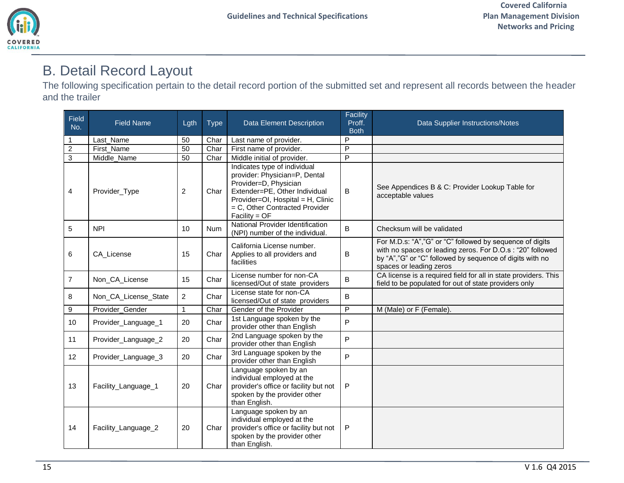## <span id="page-14-0"></span>B. Detail Record Layout

The following specification pertain to the detail record portion of the submitted set and represent all records between the header and the trailer

| Field<br>No.   | <b>Field Name</b>    | Lgth           | <b>Type</b> | <b>Data Element Description</b>                                                                                                                                                                                   | Facility<br>Proff.<br><b>Both</b> | Data Supplier Instructions/Notes                                                                                                                                                                               |
|----------------|----------------------|----------------|-------------|-------------------------------------------------------------------------------------------------------------------------------------------------------------------------------------------------------------------|-----------------------------------|----------------------------------------------------------------------------------------------------------------------------------------------------------------------------------------------------------------|
| -1             | Last Name            | 50             | Char        | Last name of provider.                                                                                                                                                                                            | P                                 |                                                                                                                                                                                                                |
| $\overline{2}$ | First Name           | 50             | Char        | First name of provider.                                                                                                                                                                                           | $\overline{P}$                    |                                                                                                                                                                                                                |
| $\overline{3}$ | Middle_Name          | 50             | Char        | Middle initial of provider.                                                                                                                                                                                       | P                                 |                                                                                                                                                                                                                |
| 4              | Provider_Type        | 2              | Char        | Indicates type of individual<br>provider: Physician=P, Dental<br>Provider=D, Physician<br>Extender=PE, Other Individual<br>Provider=OI, Hospital = H, Clinic<br>= C, Other Contracted Provider<br>$Facility = OF$ | $\sf B$                           | See Appendices B & C: Provider Lookup Table for<br>acceptable values                                                                                                                                           |
| 5              | <b>NPI</b>           | 10             | <b>Num</b>  | National Provider Identification<br>(NPI) number of the individual.                                                                                                                                               | $\overline{B}$                    | Checksum will be validated                                                                                                                                                                                     |
| 6              | CA License           | 15             | Char        | California License number.<br>Applies to all providers and<br>facilities                                                                                                                                          | $\sf B$                           | For M.D.s: "A","G" or "C" followed by sequence of digits<br>with no spaces or leading zeros. For D.O.s : "20" followed<br>by "A", "G" or "C" followed by sequence of digits with no<br>spaces or leading zeros |
| $\overline{7}$ | Non_CA_License       | 15             | Char        | License number for non-CA<br>licensed/Out of state providers                                                                                                                                                      | $\mathsf{B}$                      | CA license is a required field for all in state providers. This<br>field to be populated for out of state providers only                                                                                       |
| 8              | Non_CA_License_State | $\overline{2}$ | Char        | License state for non-CA<br>licensed/Out of state providers                                                                                                                                                       | $\overline{B}$                    |                                                                                                                                                                                                                |
| 9              | Provider_Gender      | $\mathbf{1}$   | Char        | Gender of the Provider                                                                                                                                                                                            | $\overline{P}$                    | M (Male) or F (Female).                                                                                                                                                                                        |
| 10             | Provider_Language_1  | 20             | Char        | 1st Language spoken by the<br>provider other than English                                                                                                                                                         | $\overline{P}$                    |                                                                                                                                                                                                                |
| 11             | Provider_Language_2  | 20             | Char        | 2nd Language spoken by the<br>provider other than English                                                                                                                                                         | P                                 |                                                                                                                                                                                                                |
| 12             | Provider_Language_3  | 20             | Char        | 3rd Language spoken by the<br>provider other than English                                                                                                                                                         | P                                 |                                                                                                                                                                                                                |
| 13             | Facility_Language_1  | 20             | Char        | Language spoken by an<br>individual employed at the<br>provider's office or facility but not<br>spoken by the provider other<br>than English.                                                                     | ${\sf P}$                         |                                                                                                                                                                                                                |
| 14             | Facility_Language_2  | 20             | Char        | Language spoken by an<br>individual employed at the<br>provider's office or facility but not<br>spoken by the provider other<br>than English.                                                                     | ${\sf P}$                         |                                                                                                                                                                                                                |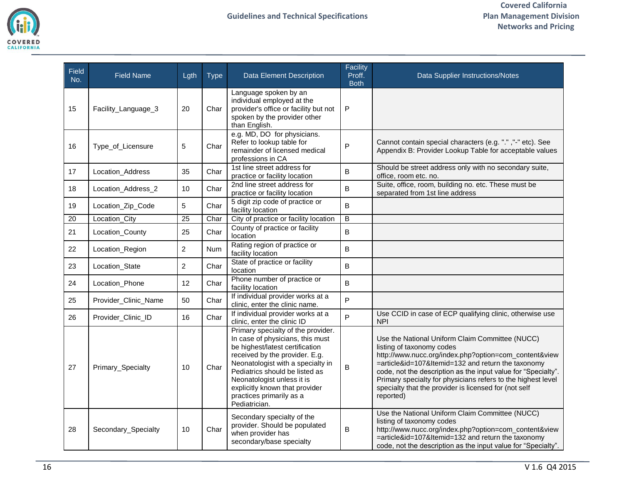

| <b>Field</b><br>No. | <b>Field Name</b>    | Lgth            | <b>Type</b> | Data Element Description                                                                                                                                                                                                                                                                                                        | Facility<br>Proff.<br><b>Both</b> | Data Supplier Instructions/Notes                                                                                                                                                                                                                                                                                                                                                                   |
|---------------------|----------------------|-----------------|-------------|---------------------------------------------------------------------------------------------------------------------------------------------------------------------------------------------------------------------------------------------------------------------------------------------------------------------------------|-----------------------------------|----------------------------------------------------------------------------------------------------------------------------------------------------------------------------------------------------------------------------------------------------------------------------------------------------------------------------------------------------------------------------------------------------|
| 15                  | Facility_Language_3  | 20              | Char        | Language spoken by an<br>individual employed at the<br>provider's office or facility but not<br>spoken by the provider other<br>than English.                                                                                                                                                                                   | P                                 |                                                                                                                                                                                                                                                                                                                                                                                                    |
| 16                  | Type_of_Licensure    | 5               | Char        | e.g. MD, DO for physicians.<br>Refer to lookup table for<br>remainder of licensed medical<br>professions in CA                                                                                                                                                                                                                  | P                                 | Cannot contain special characters (e.g. ".", "-" etc). See<br>Appendix B: Provider Lookup Table for acceptable values                                                                                                                                                                                                                                                                              |
| 17                  | Location_Address     | 35              | Char        | 1st line street address for<br>practice or facility location                                                                                                                                                                                                                                                                    | $\sf B$                           | Should be street address only with no secondary suite,<br>office, room etc. no.                                                                                                                                                                                                                                                                                                                    |
| 18                  | Location Address 2   | 10              | Char        | 2nd line street address for<br>practice or facility location                                                                                                                                                                                                                                                                    | B                                 | Suite, office, room, building no. etc. These must be<br>separated from 1st line address                                                                                                                                                                                                                                                                                                            |
| 19                  | Location_Zip_Code    | 5               | Char        | 5 digit zip code of practice or<br>facility location                                                                                                                                                                                                                                                                            | B                                 |                                                                                                                                                                                                                                                                                                                                                                                                    |
| 20                  | Location_City        | $\overline{25}$ | Char        | City of practice or facility location                                                                                                                                                                                                                                                                                           | $\overline{B}$                    |                                                                                                                                                                                                                                                                                                                                                                                                    |
| 21                  | Location_County      | 25              | Char        | County of practice or facility<br>location                                                                                                                                                                                                                                                                                      | B                                 |                                                                                                                                                                                                                                                                                                                                                                                                    |
| 22                  | Location_Region      | $\overline{2}$  | <b>Num</b>  | Rating region of practice or<br>facility location                                                                                                                                                                                                                                                                               | B                                 |                                                                                                                                                                                                                                                                                                                                                                                                    |
| 23                  | Location_State       | $\overline{2}$  | Char        | State of practice or facility<br>location                                                                                                                                                                                                                                                                                       | B                                 |                                                                                                                                                                                                                                                                                                                                                                                                    |
| 24                  | Location_Phone       | 12              | Char        | Phone number of practice or<br>facility location                                                                                                                                                                                                                                                                                | B                                 |                                                                                                                                                                                                                                                                                                                                                                                                    |
| 25                  | Provider_Clinic_Name | 50              | Char        | If individual provider works at a<br>clinic, enter the clinic name.                                                                                                                                                                                                                                                             | $\overline{P}$                    |                                                                                                                                                                                                                                                                                                                                                                                                    |
| 26                  | Provider_Clinic_ID   | 16              | Char        | If individual provider works at a<br>clinic, enter the clinic ID                                                                                                                                                                                                                                                                | P                                 | Use CCID in case of ECP qualifying clinic, otherwise use<br><b>NPI</b>                                                                                                                                                                                                                                                                                                                             |
| 27                  | Primary_Specialty    | 10              | Char        | Primary specialty of the provider.<br>In case of physicians, this must<br>be highest/latest certification<br>received by the provider. E.g.<br>Neonatologist with a specialty in<br>Pediatrics should be listed as<br>Neonatologist unless it is<br>explicitly known that provider<br>practices primarily as a<br>Pediatrician. | B                                 | Use the National Uniform Claim Committee (NUCC)<br>listing of taxonomy codes<br>http://www.nucc.org/index.php?option=com_content&view<br>=article&id=107&Itemid=132 and return the taxonomy<br>code, not the description as the input value for "Specialty".<br>Primary specialty for physicians refers to the highest level<br>specialty that the provider is licensed for (not self<br>reported) |
| 28                  | Secondary_Specialty  | 10              | Char        | Secondary specialty of the<br>provider. Should be populated<br>when provider has<br>secondary/base specialty                                                                                                                                                                                                                    | B                                 | Use the National Uniform Claim Committee (NUCC)<br>listing of taxonomy codes<br>http://www.nucc.org/index.php?option=com_content&view<br>=article&id=107&Itemid=132 and return the taxonomy<br>code, not the description as the input value for "Specialty".                                                                                                                                       |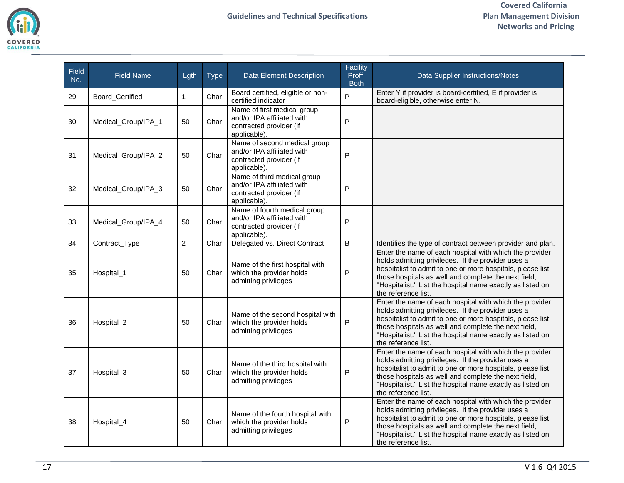

| <b>Field</b><br>No. | <b>Field Name</b>   | Lgth         | <b>Type</b> | <b>Data Element Description</b>                                                                       | Facility<br>Proff.<br><b>Both</b> | Data Supplier Instructions/Notes                                                                                                                                                                                                                                                                                         |
|---------------------|---------------------|--------------|-------------|-------------------------------------------------------------------------------------------------------|-----------------------------------|--------------------------------------------------------------------------------------------------------------------------------------------------------------------------------------------------------------------------------------------------------------------------------------------------------------------------|
| 29                  | Board_Certified     | $\mathbf{1}$ | Char        | Board certified, eligible or non-<br>certified indicator                                              | $\overline{P}$                    | Enter Y if provider is board-certified, E if provider is<br>board-eligible, otherwise enter N.                                                                                                                                                                                                                           |
| 30                  | Medical_Group/IPA_1 | 50           | Char        | Name of first medical group<br>and/or IPA affiliated with<br>contracted provider (if<br>applicable).  | $\sf P$                           |                                                                                                                                                                                                                                                                                                                          |
| 31                  | Medical_Group/IPA_2 | 50           | Char        | Name of second medical group<br>and/or IPA affiliated with<br>contracted provider (if<br>applicable). | P                                 |                                                                                                                                                                                                                                                                                                                          |
| 32                  | Medical_Group/IPA_3 | 50           | Char        | Name of third medical group<br>and/or IPA affiliated with<br>contracted provider (if<br>applicable).  | P                                 |                                                                                                                                                                                                                                                                                                                          |
| 33                  | Medical_Group/IPA_4 | 50           | Char        | Name of fourth medical group<br>and/or IPA affiliated with<br>contracted provider (if<br>applicable). | P                                 |                                                                                                                                                                                                                                                                                                                          |
| 34                  | Contract_Type       | 2            | Char        | Delegated vs. Direct Contract                                                                         | B                                 | Identifies the type of contract between provider and plan.                                                                                                                                                                                                                                                               |
| 35                  | Hospital_1          | 50           | Char        | Name of the first hospital with<br>which the provider holds<br>admitting privileges                   | $\mathsf{P}$                      | Enter the name of each hospital with which the provider<br>holds admitting privileges. If the provider uses a<br>hospitalist to admit to one or more hospitals, please list<br>those hospitals as well and complete the next field,<br>"Hospitalist." List the hospital name exactly as listed on<br>the reference list. |
| 36                  | Hospital_2          | 50           | Char        | Name of the second hospital with<br>which the provider holds<br>admitting privileges                  | P                                 | Enter the name of each hospital with which the provider<br>holds admitting privileges. If the provider uses a<br>hospitalist to admit to one or more hospitals, please list<br>those hospitals as well and complete the next field,<br>"Hospitalist." List the hospital name exactly as listed on<br>the reference list. |
| 37                  | Hospital_3          | 50           | Char        | Name of the third hospital with<br>which the provider holds<br>admitting privileges                   | P                                 | Enter the name of each hospital with which the provider<br>holds admitting privileges. If the provider uses a<br>hospitalist to admit to one or more hospitals, please list<br>those hospitals as well and complete the next field,<br>"Hospitalist." List the hospital name exactly as listed on<br>the reference list. |
| 38                  | Hospital_4          | 50           | Char        | Name of the fourth hospital with<br>which the provider holds<br>admitting privileges                  | P                                 | Enter the name of each hospital with which the provider<br>holds admitting privileges. If the provider uses a<br>hospitalist to admit to one or more hospitals, please list<br>those hospitals as well and complete the next field,<br>"Hospitalist." List the hospital name exactly as listed on<br>the reference list. |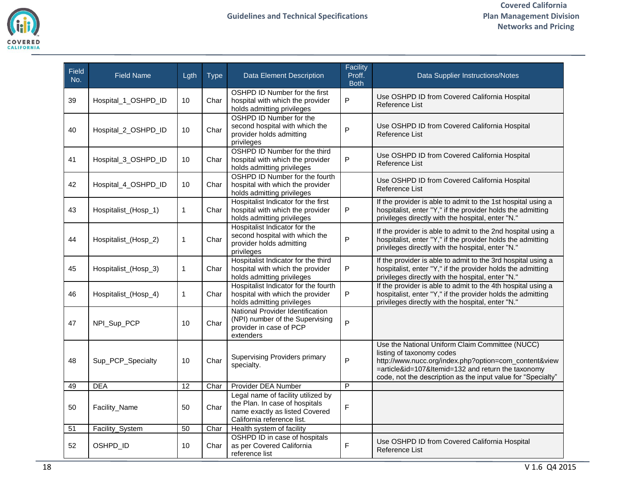

| Field<br>No. | <b>Field Name</b>    | Lgth         | <b>Type</b> | <b>Data Element Description</b>                                                                                                      | Facility<br>Proff.<br><b>Both</b> | Data Supplier Instructions/Notes                                                                                                                                                                                                                            |
|--------------|----------------------|--------------|-------------|--------------------------------------------------------------------------------------------------------------------------------------|-----------------------------------|-------------------------------------------------------------------------------------------------------------------------------------------------------------------------------------------------------------------------------------------------------------|
| 39           | Hospital_1_OSHPD_ID  | 10           | Char        | OSHPD ID Number for the first<br>hospital with which the provider<br>holds admitting privileges                                      | P                                 | Use OSHPD ID from Covered California Hospital<br>Reference List                                                                                                                                                                                             |
| 40           | Hospital_2_OSHPD_ID  | 10           | Char        | OSHPD ID Number for the<br>second hospital with which the<br>provider holds admitting<br>privileges                                  | P                                 | Use OSHPD ID from Covered California Hospital<br>Reference List                                                                                                                                                                                             |
| 41           | Hospital_3_OSHPD_ID  | 10           | Char        | OSHPD ID Number for the third<br>hospital with which the provider<br>holds admitting privileges                                      | $\mathsf{P}$                      | Use OSHPD ID from Covered California Hospital<br>Reference List                                                                                                                                                                                             |
| 42           | Hospital_4_OSHPD_ID  | 10           | Char        | OSHPD ID Number for the fourth<br>hospital with which the provider<br>holds admitting privileges                                     |                                   | Use OSHPD ID from Covered California Hospital<br>Reference List                                                                                                                                                                                             |
| 43           | Hospitalist_(Hosp_1) | $\mathbf{1}$ | Char        | Hospitalist Indicator for the first<br>hospital with which the provider<br>holds admitting privileges                                | ${\sf P}$                         | If the provider is able to admit to the 1st hospital using a<br>hospitalist, enter "Y," if the provider holds the admitting<br>privileges directly with the hospital, enter "N."                                                                            |
| 44           | Hospitalist_(Hosp_2) | $\mathbf{1}$ | Char        | Hospitalist Indicator for the<br>second hospital with which the<br>provider holds admitting<br>privileges                            | P                                 | If the provider is able to admit to the 2nd hospital using a<br>hospitalist, enter "Y," if the provider holds the admitting<br>privileges directly with the hospital, enter "N."                                                                            |
| 45           | Hospitalist_(Hosp_3) | $\mathbf{1}$ | Char        | Hospitalist Indicator for the third<br>hospital with which the provider<br>holds admitting privileges                                | P                                 | If the provider is able to admit to the 3rd hospital using a<br>hospitalist, enter "Y," if the provider holds the admitting<br>privileges directly with the hospital, enter "N."                                                                            |
| 46           | Hospitalist_(Hosp_4) | $\mathbf{1}$ | Char        | Hospitalist Indicator for the fourth<br>hospital with which the provider<br>holds admitting privileges                               | P                                 | If the provider is able to admit to the 4th hospital using a<br>hospitalist, enter "Y," if the provider holds the admitting<br>privileges directly with the hospital, enter "N."                                                                            |
| 47           | NPI_Sup_PCP          | 10           | Char        | National Provider Identification<br>(NPI) number of the Supervising<br>provider in case of PCP<br>extenders                          | $\overline{P}$                    |                                                                                                                                                                                                                                                             |
| 48           | Sup_PCP_Specialty    | 10           | Char        | <b>Supervising Providers primary</b><br>specialty.                                                                                   | P                                 | Use the National Uniform Claim Committee (NUCC)<br>listing of taxonomy codes<br>http://www.nucc.org/index.php?option=com_content&view<br>=article&id=107&Itemid=132 and return the taxonomy<br>code, not the description as the input value for "Specialty" |
| 49           | <b>DEA</b>           | 12           | Char        | Provider DEA Number                                                                                                                  | $\overline{P}$                    |                                                                                                                                                                                                                                                             |
| 50           | Facility_Name        | 50           | Char        | Legal name of facility utilized by<br>the Plan. In case of hospitals<br>name exactly as listed Covered<br>California reference list. | F                                 |                                                                                                                                                                                                                                                             |
| 51           | Facility_System      | 50           | Char        | Health system of facility                                                                                                            |                                   |                                                                                                                                                                                                                                                             |
| 52           | OSHPD_ID             | 10           | Char        | OSHPD ID in case of hospitals<br>as per Covered California<br>reference list                                                         | F                                 | Use OSHPD ID from Covered California Hospital<br>Reference List                                                                                                                                                                                             |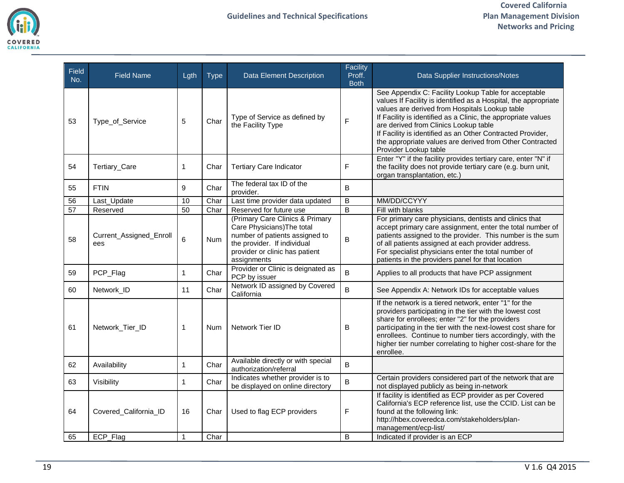

| Field<br>No. | <b>Field Name</b>              | Lgth         | <b>Type</b> | <b>Data Element Description</b>                                                                                                                                                 | Facility<br>Proff.<br><b>Both</b> | Data Supplier Instructions/Notes                                                                                                                                                                                                                                                                                                                                                                                                       |  |
|--------------|--------------------------------|--------------|-------------|---------------------------------------------------------------------------------------------------------------------------------------------------------------------------------|-----------------------------------|----------------------------------------------------------------------------------------------------------------------------------------------------------------------------------------------------------------------------------------------------------------------------------------------------------------------------------------------------------------------------------------------------------------------------------------|--|
| 53           | Type_of_Service                | 5            | Char        | Type of Service as defined by<br>the Facility Type                                                                                                                              | F                                 | See Appendix C: Facility Lookup Table for acceptable<br>values If Facility is identified as a Hospital, the appropriate<br>values are derived from Hospitals Lookup table<br>If Facility is identified as a Clinic, the appropriate values<br>are derived from Clinics Lookup table<br>If Facility is identified as an Other Contracted Provider,<br>the appropriate values are derived from Other Contracted<br>Provider Lookup table |  |
| 54           | Tertiary_Care                  | $\mathbf{1}$ | Char        | <b>Tertiary Care Indicator</b>                                                                                                                                                  | F                                 | Enter "Y" if the facility provides tertiary care, enter "N" if<br>the facility does not provide tertiary care (e.g. burn unit,<br>organ transplantation, etc.)                                                                                                                                                                                                                                                                         |  |
| 55           | <b>FTIN</b>                    | 9            | Char        | The federal tax ID of the<br>provider.                                                                                                                                          | В                                 |                                                                                                                                                                                                                                                                                                                                                                                                                                        |  |
| 56           | Last_Update                    | 10           | Char        | Last time provider data updated                                                                                                                                                 | B                                 | MM/DD/CCYYY                                                                                                                                                                                                                                                                                                                                                                                                                            |  |
| 57           | Reserved                       | 50           | Char        | Reserved for future use                                                                                                                                                         | $\overline{\mathsf{B}}$           | Fill with blanks                                                                                                                                                                                                                                                                                                                                                                                                                       |  |
| 58           | Current_Assigned_Enroll<br>ees | 6            | Num         | (Primary Care Clinics & Primary<br>Care Physicians) The total<br>number of patients assigned to<br>the provider. If individual<br>provider or clinic has patient<br>assignments | В                                 | For primary care physicians, dentists and clinics that<br>accept primary care assignment, enter the total number of<br>patients assigned to the provider. This number is the sum<br>of all patients assigned at each provider address.<br>For specialist physicians enter the total number of<br>patients in the providers panel for that location                                                                                     |  |
| 59           | PCP_Flag                       | $\mathbf{1}$ | Char        | Provider or Clinic is deignated as<br>PCP by issuer                                                                                                                             | B                                 | Applies to all products that have PCP assignment                                                                                                                                                                                                                                                                                                                                                                                       |  |
| 60           | Network_ID                     | 11           | Char        | Network ID assigned by Covered<br>California                                                                                                                                    | B                                 | See Appendix A: Network IDs for acceptable values                                                                                                                                                                                                                                                                                                                                                                                      |  |
| 61           | Network_Tier_ID                | $\mathbf{1}$ | Num         | Network Tier ID                                                                                                                                                                 | В                                 | If the network is a tiered network, enter "1" for the<br>providers participating in the tier with the lowest cost<br>share for enrollees; enter "2" for the providers<br>participating in the tier with the next-lowest cost share for<br>enrollees. Continue to number tiers accordingly, with the<br>higher tier number correlating to higher cost-share for the<br>enrollee.                                                        |  |
| 62           | Availability                   | $\mathbf{1}$ | Char        | Available directly or with special<br>authorization/referral                                                                                                                    | B                                 |                                                                                                                                                                                                                                                                                                                                                                                                                                        |  |
| 63           | Visibility                     | $\mathbf{1}$ | Char        | Indicates whether provider is to<br>be displayed on online directory                                                                                                            | B                                 | Certain providers considered part of the network that are<br>not displayed publicly as being in-network                                                                                                                                                                                                                                                                                                                                |  |
| 64           | Covered_California_ID          | 16           | Char        | Used to flag ECP providers                                                                                                                                                      | F                                 | If facility is identified as ECP provider as per Covered<br>California's ECP reference list, use the CCID. List can be<br>found at the following link:<br>http://hbex.coveredca.com/stakeholders/plan-<br>management/ecp-list/                                                                                                                                                                                                         |  |
| 65           | ECP_Flag                       | $\mathbf 1$  | Char        |                                                                                                                                                                                 | B                                 | Indicated if provider is an ECP                                                                                                                                                                                                                                                                                                                                                                                                        |  |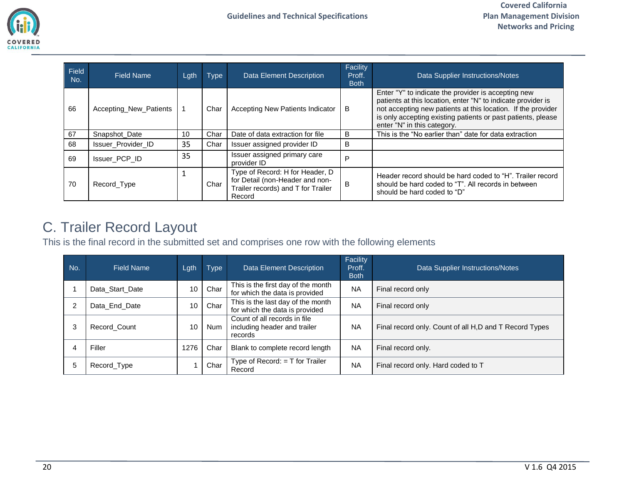

| Field<br>No. | <b>Field Name</b>      | Lgth | <b>Type</b> | <b>Data Element Description</b>                                                                                    | Facility<br>Proff.<br><b>Both</b> | Data Supplier Instructions/Notes                                                                                                                                                                                                                                                   |  |  |
|--------------|------------------------|------|-------------|--------------------------------------------------------------------------------------------------------------------|-----------------------------------|------------------------------------------------------------------------------------------------------------------------------------------------------------------------------------------------------------------------------------------------------------------------------------|--|--|
| 66           | Accepting_New_Patients |      | Char        | Accepting New Patients Indicator                                                                                   | B                                 | Enter "Y" to indicate the provider is accepting new<br>patients at this location, enter "N" to indicate provider is<br>not accepting new patients at this location. If the provider<br>is only accepting existing patients or past patients, please<br>enter "N" in this category. |  |  |
| 67           | Snapshot Date          | 10   | Char        | Date of data extraction for file                                                                                   | B                                 | This is the "No earlier than" date for data extraction                                                                                                                                                                                                                             |  |  |
| 68           | Issuer_Provider_ID     | 35   | Char        | Issuer assigned provider ID                                                                                        | B                                 |                                                                                                                                                                                                                                                                                    |  |  |
| 69           | Issuer_PCP_ID          | 35   |             | Issuer assigned primary care<br>provider ID                                                                        | P                                 |                                                                                                                                                                                                                                                                                    |  |  |
| 70           | Record_Type            |      | Char        | Type of Record: H for Header, D<br>for Detail (non-Header and non-<br>Trailer records) and T for Trailer<br>Record | B                                 | Header record should be hard coded to "H". Trailer record<br>should be hard coded to "T". All records in between<br>should be hard coded to "D"                                                                                                                                    |  |  |

## <span id="page-19-0"></span>C. Trailer Record Layout

This is the final record in the submitted set and comprises one row with the following elements

| No.            | <b>Field Name</b> | Lgth | <b>Type</b> | <b>Data Element Description</b>                                         | Facility<br>Proff.<br><b>Both</b> | Data Supplier Instructions/Notes                       |
|----------------|-------------------|------|-------------|-------------------------------------------------------------------------|-----------------------------------|--------------------------------------------------------|
|                | Data Start Date   | 10   | Char        | This is the first day of the month<br>for which the data is provided    | <b>NA</b>                         | Final record only                                      |
| $\overline{2}$ | Data End Date     | 10   | Char        | This is the last day of the month<br>for which the data is provided     | <b>NA</b>                         | Final record only                                      |
| 3              | Record Count      | 10   | <b>Num</b>  | Count of all records in file<br>including header and trailer<br>records | <b>NA</b>                         | Final record only. Count of all H,D and T Record Types |
| 4              | Filler            | 1276 | Char        | Blank to complete record length                                         | <b>NA</b>                         | Final record only.                                     |
| 5              | Record Type       |      | Char        | Type of Record: $= T$ for Trailer<br>Record                             | <b>NA</b>                         | Final record only. Hard coded to T                     |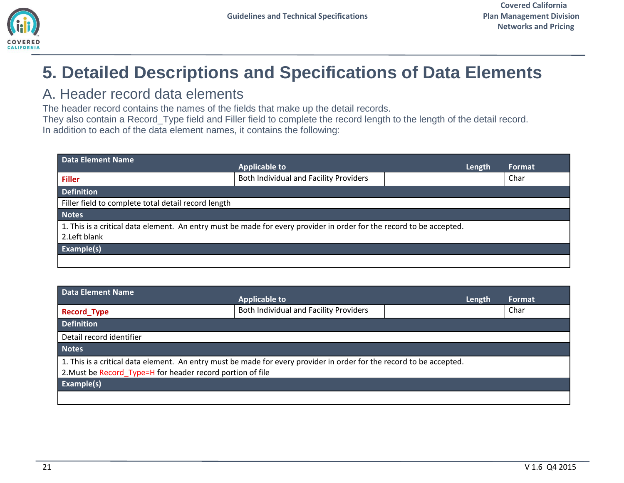# <span id="page-20-0"></span>**5. Detailed Descriptions and Specifications of Data Elements**

### <span id="page-20-1"></span>A. Header record data elements

The header record contains the names of the fields that make up the detail records.

They also contain a Record\_Type field and Filler field to complete the record length to the length of the detail record. In addition to each of the data element names, it contains the following:

<span id="page-20-2"></span>

| <b>Data Element Name</b>                                                                                                              | <b>Applicable to</b>                                | Length | <b>Format</b> |  |  |  |
|---------------------------------------------------------------------------------------------------------------------------------------|-----------------------------------------------------|--------|---------------|--|--|--|
| <b>Filler</b>                                                                                                                         | Both Individual and Facility Providers              |        | Char          |  |  |  |
| <b>Definition</b>                                                                                                                     |                                                     |        |               |  |  |  |
|                                                                                                                                       | Filler field to complete total detail record length |        |               |  |  |  |
| <b>Notes</b>                                                                                                                          |                                                     |        |               |  |  |  |
| 1. This is a critical data element. An entry must be made for every provider in order for the record to be accepted.<br>2. Left blank |                                                     |        |               |  |  |  |
| Example(s)                                                                                                                            |                                                     |        |               |  |  |  |
|                                                                                                                                       |                                                     |        |               |  |  |  |

<span id="page-20-3"></span>

| <b>Data Element Name</b>                                   |                                                                                                                      |        |        |  |  |
|------------------------------------------------------------|----------------------------------------------------------------------------------------------------------------------|--------|--------|--|--|
|                                                            | <b>Applicable to</b>                                                                                                 | Length | Format |  |  |
| <b>Record_Type</b>                                         | Both Individual and Facility Providers                                                                               |        | Char   |  |  |
| <b>Definition</b>                                          |                                                                                                                      |        |        |  |  |
| Detail record identifier                                   |                                                                                                                      |        |        |  |  |
| <b>Notes</b>                                               |                                                                                                                      |        |        |  |  |
|                                                            | 1. This is a critical data element. An entry must be made for every provider in order for the record to be accepted. |        |        |  |  |
| 2. Must be Record_Type=H for header record portion of file |                                                                                                                      |        |        |  |  |
| <b>Example(s)</b>                                          |                                                                                                                      |        |        |  |  |
|                                                            |                                                                                                                      |        |        |  |  |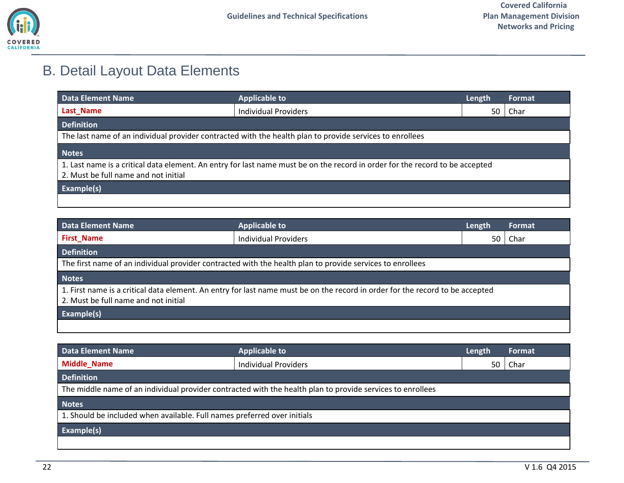

## <span id="page-21-0"></span>B. Detail Layout Data Elements

<span id="page-21-1"></span>

| <b>Data Element Name</b>                                                                                                                                             | <b>Applicable to</b>                                                                                     | Length | Format |  |  |
|----------------------------------------------------------------------------------------------------------------------------------------------------------------------|----------------------------------------------------------------------------------------------------------|--------|--------|--|--|
| Last_Name                                                                                                                                                            | Individual Providers                                                                                     | 50     | Char   |  |  |
| <b>Definition</b>                                                                                                                                                    |                                                                                                          |        |        |  |  |
|                                                                                                                                                                      | The last name of an individual provider contracted with the health plan to provide services to enrollees |        |        |  |  |
| <b>Notes</b>                                                                                                                                                         |                                                                                                          |        |        |  |  |
| 1. Last name is a critical data element. An entry for last name must be on the record in order for the record to be accepted<br>2. Must be full name and not initial |                                                                                                          |        |        |  |  |
| Example(s)                                                                                                                                                           |                                                                                                          |        |        |  |  |
|                                                                                                                                                                      |                                                                                                          |        |        |  |  |

<span id="page-21-2"></span>

| <b>Data Element Name</b>                                                                                                                                              | <b>Applicable to</b>        | Length | Format |  |  |
|-----------------------------------------------------------------------------------------------------------------------------------------------------------------------|-----------------------------|--------|--------|--|--|
| <b>First_Name</b>                                                                                                                                                     | <b>Individual Providers</b> | 50     | Char   |  |  |
| Definition                                                                                                                                                            |                             |        |        |  |  |
| The first name of an individual provider contracted with the health plan to provide services to enrollees                                                             |                             |        |        |  |  |
| <b>Notes</b>                                                                                                                                                          |                             |        |        |  |  |
| 1. First name is a critical data element. An entry for last name must be on the record in order for the record to be accepted<br>2. Must be full name and not initial |                             |        |        |  |  |
| Example(s)                                                                                                                                                            |                             |        |        |  |  |
|                                                                                                                                                                       |                             |        |        |  |  |

<span id="page-21-3"></span>

| Data Element Name                                                                                          | <b>Applicable to</b>        | Length | Format |  |
|------------------------------------------------------------------------------------------------------------|-----------------------------|--------|--------|--|
| <b>Middle_Name</b>                                                                                         | <b>Individual Providers</b> | 50     | Char   |  |
| <b>Definition</b>                                                                                          |                             |        |        |  |
| The middle name of an individual provider contracted with the health plan to provide services to enrollees |                             |        |        |  |
| <b>Notes</b>                                                                                               |                             |        |        |  |
| 1. Should be included when available. Full names preferred over initials                                   |                             |        |        |  |
| <b>Example(s)</b>                                                                                          |                             |        |        |  |
|                                                                                                            |                             |        |        |  |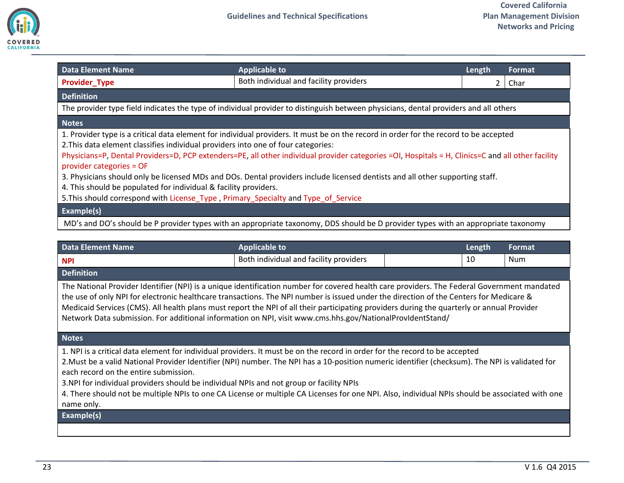

<span id="page-22-0"></span>

| Data Element Name                                                                                                                                                                                                                                                                                                                                                                                                                                                                                                                                                                                                                                                                                      | <b>Applicable to</b>                                                                                                                 | Length | Format |  |  |  |
|--------------------------------------------------------------------------------------------------------------------------------------------------------------------------------------------------------------------------------------------------------------------------------------------------------------------------------------------------------------------------------------------------------------------------------------------------------------------------------------------------------------------------------------------------------------------------------------------------------------------------------------------------------------------------------------------------------|--------------------------------------------------------------------------------------------------------------------------------------|--------|--------|--|--|--|
| <b>Provider Type</b>                                                                                                                                                                                                                                                                                                                                                                                                                                                                                                                                                                                                                                                                                   | Both individual and facility providers                                                                                               | 2      | Char   |  |  |  |
| <b>Definition</b>                                                                                                                                                                                                                                                                                                                                                                                                                                                                                                                                                                                                                                                                                      |                                                                                                                                      |        |        |  |  |  |
|                                                                                                                                                                                                                                                                                                                                                                                                                                                                                                                                                                                                                                                                                                        | The provider type field indicates the type of individual provider to distinguish between physicians, dental providers and all others |        |        |  |  |  |
| <b>Notes</b>                                                                                                                                                                                                                                                                                                                                                                                                                                                                                                                                                                                                                                                                                           |                                                                                                                                      |        |        |  |  |  |
| 1. Provider type is a critical data element for individual providers. It must be on the record in order for the record to be accepted<br>2. This data element classifies individual providers into one of four categories:<br>Physicians=P, Dental Providers=D, PCP extenders=PE, all other individual provider categories =OI, Hospitals = H, Clinics=C and all other facility<br>provider categories = OF<br>3. Physicians should only be licensed MDs and DOs. Dental providers include licensed dentists and all other supporting staff.<br>4. This should be populated for individual & facility providers.<br>5. This should correspond with License Type, Primary Specialty and Type of Service |                                                                                                                                      |        |        |  |  |  |
| <b>Example(s)</b>                                                                                                                                                                                                                                                                                                                                                                                                                                                                                                                                                                                                                                                                                      |                                                                                                                                      |        |        |  |  |  |
| MD's and DO's should be P provider types with an appropriate taxonomy, DDS should be D provider types with an appropriate taxonomy                                                                                                                                                                                                                                                                                                                                                                                                                                                                                                                                                                     |                                                                                                                                      |        |        |  |  |  |

<span id="page-22-1"></span>

| <b>Data Element Name</b>                                                                                                                                                                                                                                                                                                                                                                                                                                                                                                                                                            | <b>Applicable to</b>                   |  | Length | <b>Format</b> |
|-------------------------------------------------------------------------------------------------------------------------------------------------------------------------------------------------------------------------------------------------------------------------------------------------------------------------------------------------------------------------------------------------------------------------------------------------------------------------------------------------------------------------------------------------------------------------------------|----------------------------------------|--|--------|---------------|
| <b>NPI</b>                                                                                                                                                                                                                                                                                                                                                                                                                                                                                                                                                                          | Both individual and facility providers |  | 10     | <b>Num</b>    |
| <b>Definition</b>                                                                                                                                                                                                                                                                                                                                                                                                                                                                                                                                                                   |                                        |  |        |               |
| The National Provider Identifier (NPI) is a unique identification number for covered health care providers. The Federal Government mandated<br>the use of only NPI for electronic healthcare transactions. The NPI number is issued under the direction of the Centers for Medicare &<br>Medicaid Services (CMS). All health plans must report the NPI of all their participating providers during the quarterly or annual Provider<br>Network Data submission. For additional information on NPI, visit www.cms.hhs.gov/NationalProvIdentStand/                                    |                                        |  |        |               |
| <b>Notes</b>                                                                                                                                                                                                                                                                                                                                                                                                                                                                                                                                                                        |                                        |  |        |               |
| 1. NPI is a critical data element for individual providers. It must be on the record in order for the record to be accepted<br>2. Must be a valid National Provider Identifier (NPI) number. The NPI has a 10-position numeric identifier (checksum). The NPI is validated for<br>each record on the entire submission.<br>3.NPI for individual providers should be individual NPIs and not group or facility NPIs<br>4. There should not be multiple NPIs to one CA License or multiple CA Licenses for one NPI. Also, individual NPIs should be associated with one<br>name only. |                                        |  |        |               |
| Example(s)                                                                                                                                                                                                                                                                                                                                                                                                                                                                                                                                                                          |                                        |  |        |               |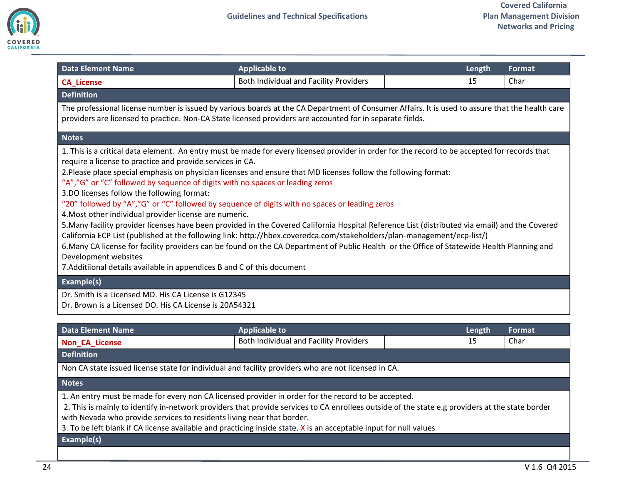

<span id="page-23-0"></span>

| <b>Data Element Name</b>                                                                                                                                                                                                                                                                                                                                                                                                                                                                                                                                                                                                                                                                                                                                                                                                                                                                                                                                                                                                                                                                                                                                 | <b>Applicable to</b>                   | Length | Format |
|----------------------------------------------------------------------------------------------------------------------------------------------------------------------------------------------------------------------------------------------------------------------------------------------------------------------------------------------------------------------------------------------------------------------------------------------------------------------------------------------------------------------------------------------------------------------------------------------------------------------------------------------------------------------------------------------------------------------------------------------------------------------------------------------------------------------------------------------------------------------------------------------------------------------------------------------------------------------------------------------------------------------------------------------------------------------------------------------------------------------------------------------------------|----------------------------------------|--------|--------|
| <b>CA_License</b>                                                                                                                                                                                                                                                                                                                                                                                                                                                                                                                                                                                                                                                                                                                                                                                                                                                                                                                                                                                                                                                                                                                                        | Both Individual and Facility Providers | 15     | Char   |
| <b>Definition</b>                                                                                                                                                                                                                                                                                                                                                                                                                                                                                                                                                                                                                                                                                                                                                                                                                                                                                                                                                                                                                                                                                                                                        |                                        |        |        |
| The professional license number is issued by various boards at the CA Department of Consumer Affairs. It is used to assure that the health care<br>providers are licensed to practice. Non-CA State licensed providers are accounted for in separate fields.                                                                                                                                                                                                                                                                                                                                                                                                                                                                                                                                                                                                                                                                                                                                                                                                                                                                                             |                                        |        |        |
| <b>Notes</b>                                                                                                                                                                                                                                                                                                                                                                                                                                                                                                                                                                                                                                                                                                                                                                                                                                                                                                                                                                                                                                                                                                                                             |                                        |        |        |
| 1. This is a critical data element. An entry must be made for every licensed provider in order for the record to be accepted for records that<br>require a license to practice and provide services in CA.<br>2. Please place special emphasis on physician licenses and ensure that MD licenses follow the following format:<br>"A","G" or "C" followed by sequence of digits with no spaces or leading zeros<br>3.DO licenses follow the following format:<br>"20" followed by "A","G" or "C" followed by sequence of digits with no spaces or leading zeros<br>4. Most other individual provider license are numeric.<br>5. Many facility provider licenses have been provided in the Covered California Hospital Reference List (distributed via email) and the Covered<br>California ECP List (published at the following link: http://hbex.coveredca.com/stakeholders/plan-management/ecp-list/)<br>6. Many CA license for facility providers can be found on the CA Department of Public Health or the Office of Statewide Health Planning and<br>Development websites<br>7. Additiional details available in appendices B and C of this document |                                        |        |        |
| Example(s)                                                                                                                                                                                                                                                                                                                                                                                                                                                                                                                                                                                                                                                                                                                                                                                                                                                                                                                                                                                                                                                                                                                                               |                                        |        |        |
| Dr. Smith is a Licensed MD. His CA License is G12345<br>Dr. Brown is a Licensed DO. His CA License is 20A54321                                                                                                                                                                                                                                                                                                                                                                                                                                                                                                                                                                                                                                                                                                                                                                                                                                                                                                                                                                                                                                           |                                        |        |        |

<span id="page-23-1"></span>

| Data Element Name                                                                                   | <b>Applicable to</b>                   | Length | <b>Format</b> |  |
|-----------------------------------------------------------------------------------------------------|----------------------------------------|--------|---------------|--|
| <b>Non_CA_License</b>                                                                               | Both Individual and Facility Providers | 15     | Char          |  |
| <b>Definition</b>                                                                                   |                                        |        |               |  |
| Non CA state issued license state for individual and facility providers who are not licensed in CA. |                                        |        |               |  |

1. An entry must be made for every non CA licensed provider in order for the record to be accepted.

2. This is mainly to identify in-network providers that provide services to CA enrollees outside of the state e.g providers at the state border with Nevada who provide services to residents living near that border.

3. To be left blank if CA license available and practicing inside state. X is an acceptable input for null values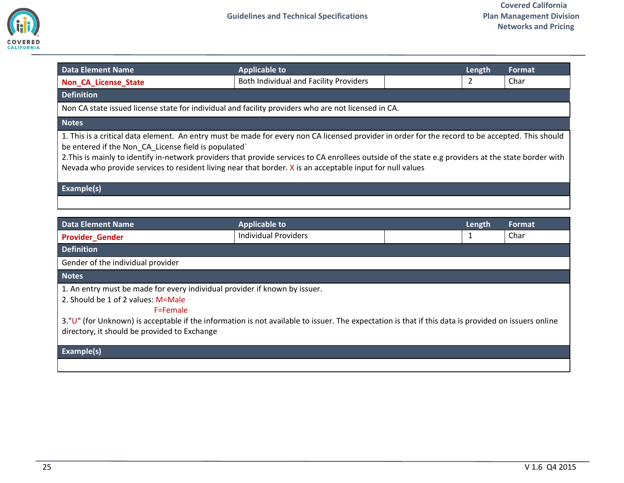

<span id="page-24-0"></span>

| <b>Data Element Name</b>                                                                                                                                                                                                                                                                                                                                                                                                                                                     | <b>Applicable to</b>                   |  | Length | Format |
|------------------------------------------------------------------------------------------------------------------------------------------------------------------------------------------------------------------------------------------------------------------------------------------------------------------------------------------------------------------------------------------------------------------------------------------------------------------------------|----------------------------------------|--|--------|--------|
| <b>Non CA License State</b>                                                                                                                                                                                                                                                                                                                                                                                                                                                  | Both Individual and Facility Providers |  | 2      | Char   |
| <b>Definition</b>                                                                                                                                                                                                                                                                                                                                                                                                                                                            |                                        |  |        |        |
| Non CA state issued license state for individual and facility providers who are not licensed in CA.                                                                                                                                                                                                                                                                                                                                                                          |                                        |  |        |        |
| <b>Notes</b>                                                                                                                                                                                                                                                                                                                                                                                                                                                                 |                                        |  |        |        |
| 1. This is a critical data element. An entry must be made for every non CA licensed provider in order for the record to be accepted. This should<br>be entered if the Non CA License field is populated<br>2. This is mainly to identify in-network providers that provide services to CA enrollees outside of the state e.g providers at the state border with<br>Nevada who provide services to resident living near that border. X is an acceptable input for null values |                                        |  |        |        |
| Example(s)                                                                                                                                                                                                                                                                                                                                                                                                                                                                   |                                        |  |        |        |
|                                                                                                                                                                                                                                                                                                                                                                                                                                                                              |                                        |  |        |        |

<span id="page-24-1"></span>

| Data Element Name                                                                                                                                   | <b>Applicable to</b>        | Length | Format |
|-----------------------------------------------------------------------------------------------------------------------------------------------------|-----------------------------|--------|--------|
| <b>Provider Gender</b>                                                                                                                              | <b>Individual Providers</b> |        | Char   |
| <b>Definition</b>                                                                                                                                   |                             |        |        |
| Gender of the individual provider                                                                                                                   |                             |        |        |
| <b>Notes</b>                                                                                                                                        |                             |        |        |
| 1. An entry must be made for every individual provider if known by issuer.                                                                          |                             |        |        |
| 2. Should be 1 of 2 values: M=Male                                                                                                                  |                             |        |        |
| F=Female                                                                                                                                            |                             |        |        |
| 3."U" (for Unknown) is acceptable if the information is not available to issuer. The expectation is that if this data is provided on issuers online |                             |        |        |
| directory, it should be provided to Exchange                                                                                                        |                             |        |        |
|                                                                                                                                                     |                             |        |        |
| <b>Example(s)</b>                                                                                                                                   |                             |        |        |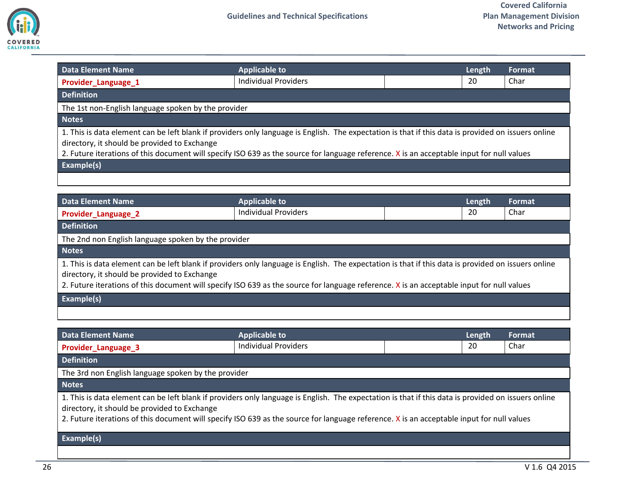

<span id="page-25-0"></span>

| <b>Data Element Name</b>                                                                                                                                                                                                                                                                                                                                       | <b>Applicable to</b>                                |  | Length | Format  |  |
|----------------------------------------------------------------------------------------------------------------------------------------------------------------------------------------------------------------------------------------------------------------------------------------------------------------------------------------------------------------|-----------------------------------------------------|--|--------|---------|--|
| Provider_Language_1                                                                                                                                                                                                                                                                                                                                            | <b>Individual Providers</b>                         |  | 20     | Char    |  |
| <b>Definition</b>                                                                                                                                                                                                                                                                                                                                              |                                                     |  |        |         |  |
|                                                                                                                                                                                                                                                                                                                                                                | The 1st non-English language spoken by the provider |  |        |         |  |
| <b>Notes</b>                                                                                                                                                                                                                                                                                                                                                   |                                                     |  |        |         |  |
| 1. This is data element can be left blank if providers only language is English. The expectation is that if this data is provided on issuers online<br>directory, it should be provided to Exchange<br>2. Future iterations of this document will specify ISO 639 as the source for language reference. X is an acceptable input for null values<br>Example(s) |                                                     |  |        |         |  |
|                                                                                                                                                                                                                                                                                                                                                                |                                                     |  |        |         |  |
| <b>Data Element Name</b>                                                                                                                                                                                                                                                                                                                                       | <b>Applicable to</b>                                |  | Length | Format, |  |
| Provider_Language_2                                                                                                                                                                                                                                                                                                                                            | <b>Individual Providers</b>                         |  | 20     | Char    |  |
| <b>Definition</b>                                                                                                                                                                                                                                                                                                                                              |                                                     |  |        |         |  |
| The 2nd non English language spoken by the provider                                                                                                                                                                                                                                                                                                            |                                                     |  |        |         |  |

<span id="page-25-1"></span>1. This is data element can be left blank if providers only language is English. The expectation is that if this data is provided on issuers online directory, it should be provided to Exchange

2. Future iterations of this document will specify ISO 639 as the source for language reference. X is an acceptable input for null values

### **Example(s)**

<span id="page-25-2"></span>

| Data Element Name                                                                                                                                                                                                                                                                                                                                | <b>Applicable to</b>        |  | Length | Format |
|--------------------------------------------------------------------------------------------------------------------------------------------------------------------------------------------------------------------------------------------------------------------------------------------------------------------------------------------------|-----------------------------|--|--------|--------|
| Provider_Language_3                                                                                                                                                                                                                                                                                                                              | <b>Individual Providers</b> |  | 20     | Char   |
| <b>Definition</b>                                                                                                                                                                                                                                                                                                                                |                             |  |        |        |
| The 3rd non English language spoken by the provider                                                                                                                                                                                                                                                                                              |                             |  |        |        |
| <b>Notes</b>                                                                                                                                                                                                                                                                                                                                     |                             |  |        |        |
| 1. This is data element can be left blank if providers only language is English. The expectation is that if this data is provided on issuers online<br>directory, it should be provided to Exchange<br>2. Future iterations of this document will specify ISO 639 as the source for language reference. X is an acceptable input for null values |                             |  |        |        |
| <b>Evamnla(c)</b>                                                                                                                                                                                                                                                                                                                                |                             |  |        |        |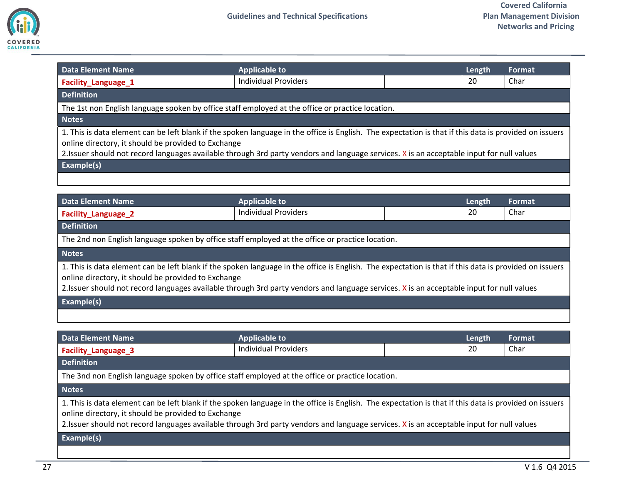

<span id="page-26-1"></span><span id="page-26-0"></span>

| <b>Data Element Name</b>                                                                                                                                                                                                                                                                                                                                   | <b>Applicable to</b>        |  | Length | <b>Format</b> |
|------------------------------------------------------------------------------------------------------------------------------------------------------------------------------------------------------------------------------------------------------------------------------------------------------------------------------------------------------------|-----------------------------|--|--------|---------------|
| Facility_Language_1                                                                                                                                                                                                                                                                                                                                        | <b>Individual Providers</b> |  | 20     | Char          |
| <b>Definition</b>                                                                                                                                                                                                                                                                                                                                          |                             |  |        |               |
| The 1st non English language spoken by office staff employed at the office or practice location.                                                                                                                                                                                                                                                           |                             |  |        |               |
| <b>Notes</b>                                                                                                                                                                                                                                                                                                                                               |                             |  |        |               |
| 1. This is data element can be left blank if the spoken language in the office is English. The expectation is that if this data is provided on issuers<br>online directory, it should be provided to Exchange<br>2.Issuer should not record languages available through 3rd party vendors and language services. X is an acceptable input for null values  |                             |  |        |               |
| Example(s)                                                                                                                                                                                                                                                                                                                                                 |                             |  |        |               |
|                                                                                                                                                                                                                                                                                                                                                            |                             |  |        |               |
|                                                                                                                                                                                                                                                                                                                                                            |                             |  |        |               |
| <b>Data Element Name</b>                                                                                                                                                                                                                                                                                                                                   | <b>Applicable to</b>        |  | Length | <b>Format</b> |
| Facility_Language_2                                                                                                                                                                                                                                                                                                                                        | <b>Individual Providers</b> |  | 20     | Char          |
| <b>Definition</b>                                                                                                                                                                                                                                                                                                                                          |                             |  |        |               |
| The 2nd non English language spoken by office staff employed at the office or practice location.                                                                                                                                                                                                                                                           |                             |  |        |               |
| <b>Notes</b>                                                                                                                                                                                                                                                                                                                                               |                             |  |        |               |
| 1. This is data element can be left blank if the spoken language in the office is English. The expectation is that if this data is provided on issuers<br>online directory, it should be provided to Exchange<br>2. Issuer should not record languages available through 3rd party vendors and language services. X is an acceptable input for null values |                             |  |        |               |
| Example(s)                                                                                                                                                                                                                                                                                                                                                 |                             |  |        |               |
|                                                                                                                                                                                                                                                                                                                                                            |                             |  |        |               |
|                                                                                                                                                                                                                                                                                                                                                            |                             |  |        |               |
| <b>Data Element Name</b>                                                                                                                                                                                                                                                                                                                                   | <b>Applicable to</b>        |  | Length | Format        |
| <b>Facility_Language_3</b>                                                                                                                                                                                                                                                                                                                                 | <b>Individual Providers</b> |  | 20     | Char          |
| <b>Definition</b>                                                                                                                                                                                                                                                                                                                                          |                             |  |        |               |
| The 3nd non English language spoken by office staff employed at the office or practice location.                                                                                                                                                                                                                                                           |                             |  |        |               |

<span id="page-26-2"></span>1. This is data element can be left blank if the spoken language in the office is English. The expectation is that if this data is provided on issuers online directory, it should be provided to Exchange

2.Issuer should not record languages available through 3rd party vendors and language services. X is an acceptable input for null values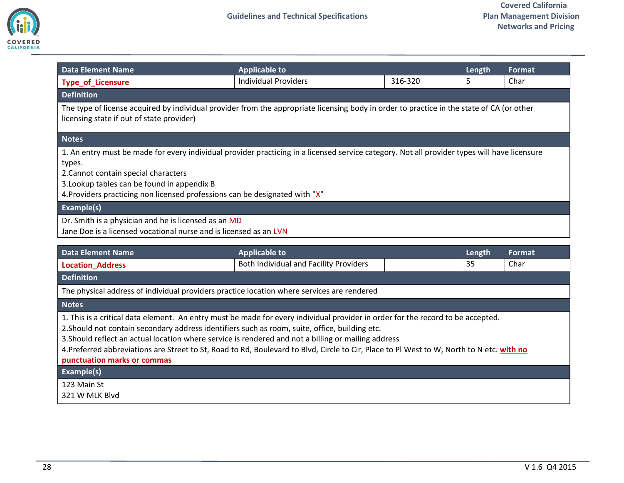

<span id="page-27-0"></span>

| <b>Data Element Name</b>                                                                                                                                                                                                                                                                                                                   | <b>Applicable to</b>                                           |         | Length       | Format         |
|--------------------------------------------------------------------------------------------------------------------------------------------------------------------------------------------------------------------------------------------------------------------------------------------------------------------------------------------|----------------------------------------------------------------|---------|--------------|----------------|
| <b>Type_of_Licensure</b>                                                                                                                                                                                                                                                                                                                   | <b>Individual Providers</b>                                    | 316-320 | 5.           | Char           |
| <b>Definition</b>                                                                                                                                                                                                                                                                                                                          |                                                                |         |              |                |
| The type of license acquired by individual provider from the appropriate licensing body in order to practice in the state of CA (or other<br>licensing state if out of state provider)                                                                                                                                                     |                                                                |         |              |                |
| <b>Notes</b>                                                                                                                                                                                                                                                                                                                               |                                                                |         |              |                |
| 1. An entry must be made for every individual provider practicing in a licensed service category. Not all provider types will have licensure<br>types.<br>2. Cannot contain special characters<br>3. Lookup tables can be found in appendix B<br>4. Providers practicing non licensed professions can be designated with "X"<br>Example(s) |                                                                |         |              |                |
| Dr. Smith is a physician and he is licensed as an MD<br>Jane Doe is a licensed vocational nurse and is licensed as an LVN                                                                                                                                                                                                                  |                                                                |         |              |                |
| <b>Data Element Name</b><br><b>Location_Address</b>                                                                                                                                                                                                                                                                                        | <b>Applicable to</b><br>Both Individual and Facility Providers |         | Length<br>35 | Format<br>Char |
| <b>Definition</b><br>The physical address of individual providers practice location where services are rendered                                                                                                                                                                                                                            |                                                                |         |              |                |

<span id="page-27-1"></span>1. This is a critical data element. An entry must be made for every individual provider in order for the record to be accepted.

2.Should not contain secondary address identifiers such as room, suite, office, building etc.

3.Should reflect an actual location where service is rendered and not a billing or mailing address

4.Preferred abbreviations are Street to St, Road to Rd, Boulevard to Blvd, Circle to Cir, Place to Pl West to W, North to N etc. **with no** 

**punctuation marks or commas**

**Example(s)**

123 Main St

321 W MLK Blvd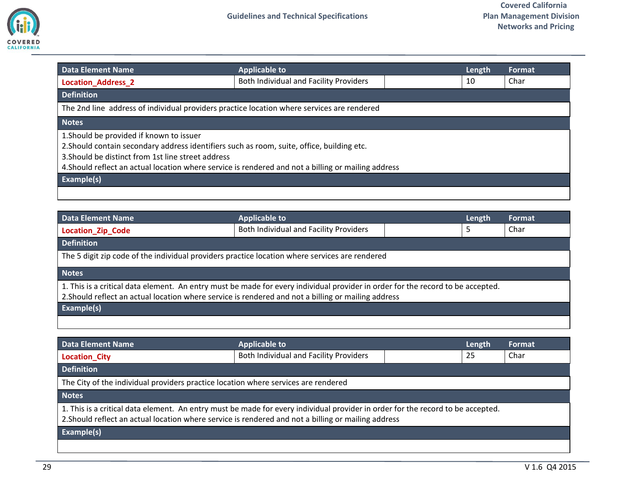

<span id="page-28-0"></span>

| <b>Data Element Name</b>                                                                                                                                                                                                                                                                            | <b>Applicable to</b>                                                                       | Length | Format |
|-----------------------------------------------------------------------------------------------------------------------------------------------------------------------------------------------------------------------------------------------------------------------------------------------------|--------------------------------------------------------------------------------------------|--------|--------|
| <b>Location Address 2</b>                                                                                                                                                                                                                                                                           | Both Individual and Facility Providers                                                     | 10     | Char   |
| <b>Definition</b>                                                                                                                                                                                                                                                                                   |                                                                                            |        |        |
|                                                                                                                                                                                                                                                                                                     | The 2nd line address of individual providers practice location where services are rendered |        |        |
| <b>Notes</b>                                                                                                                                                                                                                                                                                        |                                                                                            |        |        |
| 1. Should be provided if known to issuer<br>2. Should contain secondary address identifiers such as room, suite, office, building etc.<br>3. Should be distinct from 1st line street address<br>4. Should reflect an actual location where service is rendered and not a billing or mailing address |                                                                                            |        |        |
| Example(s)                                                                                                                                                                                                                                                                                          |                                                                                            |        |        |
|                                                                                                                                                                                                                                                                                                     |                                                                                            |        |        |

<span id="page-28-1"></span>

| Data Element Name                                                                                                                                                                                                                      | <b>Applicable to</b>                   |  | Length | Format |
|----------------------------------------------------------------------------------------------------------------------------------------------------------------------------------------------------------------------------------------|----------------------------------------|--|--------|--------|
| <b>Location Zip Code</b>                                                                                                                                                                                                               | Both Individual and Facility Providers |  | 5      | Char   |
| <b>Definition</b>                                                                                                                                                                                                                      |                                        |  |        |        |
| The 5 digit zip code of the individual providers practice location where services are rendered                                                                                                                                         |                                        |  |        |        |
| <b>Notes</b>                                                                                                                                                                                                                           |                                        |  |        |        |
| 1. This is a critical data element. An entry must be made for every individual provider in order for the record to be accepted.<br>2. Should reflect an actual location where service is rendered and not a billing or mailing address |                                        |  |        |        |
| <b>Example(s)</b>                                                                                                                                                                                                                      |                                        |  |        |        |
|                                                                                                                                                                                                                                        |                                        |  |        |        |

<span id="page-28-2"></span>

| <b>Data Element Name</b>                                                                                                                                                                                                               | <b>Applicable to</b>                   |  | Length | Format |
|----------------------------------------------------------------------------------------------------------------------------------------------------------------------------------------------------------------------------------------|----------------------------------------|--|--------|--------|
| <b>Location_City</b>                                                                                                                                                                                                                   | Both Individual and Facility Providers |  | 25     | Char   |
| <b>Definition</b>                                                                                                                                                                                                                      |                                        |  |        |        |
| The City of the individual providers practice location where services are rendered                                                                                                                                                     |                                        |  |        |        |
| <b>Notes</b>                                                                                                                                                                                                                           |                                        |  |        |        |
| 1. This is a critical data element. An entry must be made for every individual provider in order for the record to be accepted.<br>2. Should reflect an actual location where service is rendered and not a billing or mailing address |                                        |  |        |        |
| Example(s)                                                                                                                                                                                                                             |                                        |  |        |        |
|                                                                                                                                                                                                                                        |                                        |  |        |        |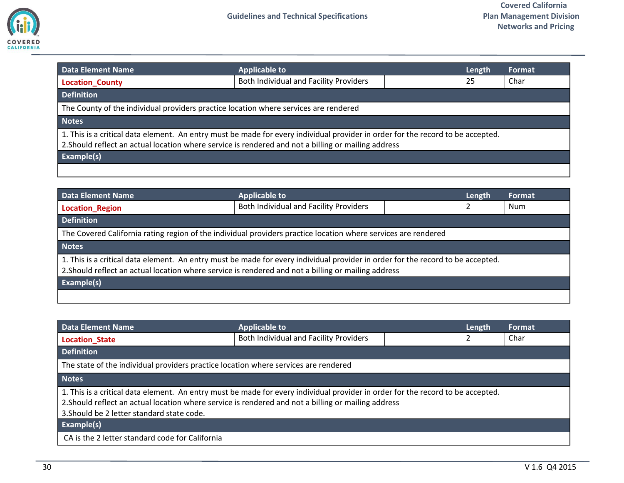

<span id="page-29-0"></span>

| <b>Data Element Name</b>                                                                                                                                                                                                               | <b>Applicable to</b>                   | Length | <b>Format</b> |  |
|----------------------------------------------------------------------------------------------------------------------------------------------------------------------------------------------------------------------------------------|----------------------------------------|--------|---------------|--|
| <b>Location County</b>                                                                                                                                                                                                                 | Both Individual and Facility Providers | 25     | Char          |  |
| <b>Definition</b>                                                                                                                                                                                                                      |                                        |        |               |  |
| The County of the individual providers practice location where services are rendered                                                                                                                                                   |                                        |        |               |  |
| <b>Notes</b>                                                                                                                                                                                                                           |                                        |        |               |  |
| 1. This is a critical data element. An entry must be made for every individual provider in order for the record to be accepted.<br>2. Should reflect an actual location where service is rendered and not a billing or mailing address |                                        |        |               |  |
| Example(s)                                                                                                                                                                                                                             |                                        |        |               |  |
|                                                                                                                                                                                                                                        |                                        |        |               |  |

<span id="page-29-1"></span>

| Data Element Name                                                                                                                                                                                                                      | <b>Applicable to</b>                   |  | Length | <b>Format</b> |
|----------------------------------------------------------------------------------------------------------------------------------------------------------------------------------------------------------------------------------------|----------------------------------------|--|--------|---------------|
| Location Region                                                                                                                                                                                                                        | Both Individual and Facility Providers |  | 2      | Num           |
| <b>Definition</b>                                                                                                                                                                                                                      |                                        |  |        |               |
| The Covered California rating region of the individual providers practice location where services are rendered                                                                                                                         |                                        |  |        |               |
| <b>Notes</b>                                                                                                                                                                                                                           |                                        |  |        |               |
| 1. This is a critical data element. An entry must be made for every individual provider in order for the record to be accepted.<br>2. Should reflect an actual location where service is rendered and not a billing or mailing address |                                        |  |        |               |
| <b>Example(s)</b>                                                                                                                                                                                                                      |                                        |  |        |               |
|                                                                                                                                                                                                                                        |                                        |  |        |               |

<span id="page-29-2"></span>

| <b>Data Element Name</b>                                                                                                                                                                                                                                                             | <b>Applicable to</b>                   |  | Length | Format |
|--------------------------------------------------------------------------------------------------------------------------------------------------------------------------------------------------------------------------------------------------------------------------------------|----------------------------------------|--|--------|--------|
| <b>Location State</b>                                                                                                                                                                                                                                                                | Both Individual and Facility Providers |  |        | Char   |
| <b>Definition</b>                                                                                                                                                                                                                                                                    |                                        |  |        |        |
| The state of the individual providers practice location where services are rendered                                                                                                                                                                                                  |                                        |  |        |        |
| <b>Notes</b>                                                                                                                                                                                                                                                                         |                                        |  |        |        |
| 1. This is a critical data element. An entry must be made for every individual provider in order for the record to be accepted.<br>2. Should reflect an actual location where service is rendered and not a billing or mailing address<br>3. Should be 2 letter standard state code. |                                        |  |        |        |
| <b>Example(s)</b>                                                                                                                                                                                                                                                                    |                                        |  |        |        |
| CA is the 2 letter standard code for California                                                                                                                                                                                                                                      |                                        |  |        |        |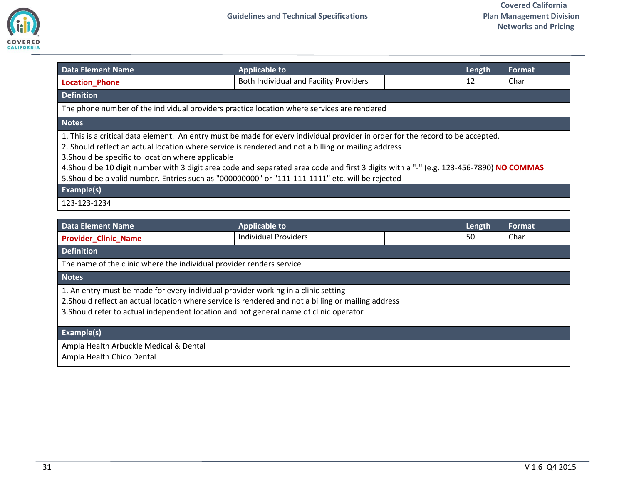

<span id="page-30-0"></span>

| <b>Data Element Name</b>                                                                                                                                                                                                                                                                                                                                                                                                                                                                                                                                  | <b>Applicable to</b>                   | Length | Format |
|-----------------------------------------------------------------------------------------------------------------------------------------------------------------------------------------------------------------------------------------------------------------------------------------------------------------------------------------------------------------------------------------------------------------------------------------------------------------------------------------------------------------------------------------------------------|----------------------------------------|--------|--------|
| <b>Location_Phone</b>                                                                                                                                                                                                                                                                                                                                                                                                                                                                                                                                     | Both Individual and Facility Providers | 12     | Char   |
| <b>Definition</b>                                                                                                                                                                                                                                                                                                                                                                                                                                                                                                                                         |                                        |        |        |
| The phone number of the individual providers practice location where services are rendered                                                                                                                                                                                                                                                                                                                                                                                                                                                                |                                        |        |        |
| <b>Notes</b>                                                                                                                                                                                                                                                                                                                                                                                                                                                                                                                                              |                                        |        |        |
| 1. This is a critical data element. An entry must be made for every individual provider in order for the record to be accepted.<br>2. Should reflect an actual location where service is rendered and not a billing or mailing address<br>3. Should be specific to location where applicable<br>4. Should be 10 digit number with 3 digit area code and separated area code and first 3 digits with a "-" (e.g. 123-456-7890) NO COMMAS<br>5. Should be a valid number. Entries such as "000000000" or "111-111-1111" etc. will be rejected<br>Example(s) |                                        |        |        |
| 123-123-1234                                                                                                                                                                                                                                                                                                                                                                                                                                                                                                                                              |                                        |        |        |

<span id="page-30-1"></span>

| <b>Data Element Name</b>                                                                                                                                                                                                                                                            | <b>Applicable to</b>        |  | Length | Format |
|-------------------------------------------------------------------------------------------------------------------------------------------------------------------------------------------------------------------------------------------------------------------------------------|-----------------------------|--|--------|--------|
| <b>Provider_Clinic_Name</b>                                                                                                                                                                                                                                                         | <b>Individual Providers</b> |  | 50     | Char   |
| <b>Definition</b>                                                                                                                                                                                                                                                                   |                             |  |        |        |
| The name of the clinic where the individual provider renders service                                                                                                                                                                                                                |                             |  |        |        |
| <b>Notes</b>                                                                                                                                                                                                                                                                        |                             |  |        |        |
| 1. An entry must be made for every individual provider working in a clinic setting<br>2. Should reflect an actual location where service is rendered and not a billing or mailing address<br>3. Should refer to actual independent location and not general name of clinic operator |                             |  |        |        |
| Example(s)                                                                                                                                                                                                                                                                          |                             |  |        |        |
| Ampla Health Arbuckle Medical & Dental<br>Ampla Health Chico Dental                                                                                                                                                                                                                 |                             |  |        |        |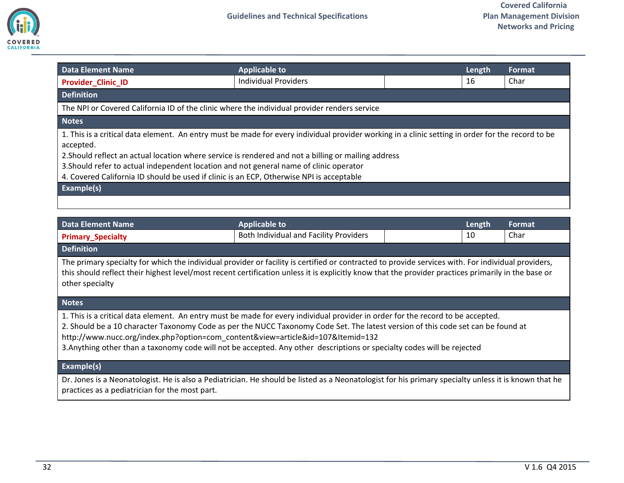

<span id="page-31-0"></span>

| <b>Data Element Name</b>                                                                                                                                                                                                                                                                                                                                                                                                                                    | <b>Applicable to</b>        |  | Length | Format |
|-------------------------------------------------------------------------------------------------------------------------------------------------------------------------------------------------------------------------------------------------------------------------------------------------------------------------------------------------------------------------------------------------------------------------------------------------------------|-----------------------------|--|--------|--------|
| <b>Provider Clinic ID</b>                                                                                                                                                                                                                                                                                                                                                                                                                                   | <b>Individual Providers</b> |  | 16     | Char   |
| <b>Definition</b>                                                                                                                                                                                                                                                                                                                                                                                                                                           |                             |  |        |        |
| The NPI or Covered California ID of the clinic where the individual provider renders service                                                                                                                                                                                                                                                                                                                                                                |                             |  |        |        |
| <b>Notes</b>                                                                                                                                                                                                                                                                                                                                                                                                                                                |                             |  |        |        |
| 1. This is a critical data element. An entry must be made for every individual provider working in a clinic setting in order for the record to be<br>accepted.<br>2. Should reflect an actual location where service is rendered and not a billing or mailing address<br>3. Should refer to actual independent location and not general name of clinic operator<br>4. Covered California ID should be used if clinic is an ECP, Otherwise NPI is acceptable |                             |  |        |        |
|                                                                                                                                                                                                                                                                                                                                                                                                                                                             |                             |  |        |        |
| Example(s)                                                                                                                                                                                                                                                                                                                                                                                                                                                  |                             |  |        |        |

<span id="page-31-1"></span>

| <b>Data Element Name</b>                                                                                                                            | <b>Applicable to</b>                          | Length | Format |
|-----------------------------------------------------------------------------------------------------------------------------------------------------|-----------------------------------------------|--------|--------|
| <b>Primary Specialty</b>                                                                                                                            | <b>Both Individual and Facility Providers</b> | 10     | Char   |
| <b>Definition</b>                                                                                                                                   |                                               |        |        |
| The primary specialty for which the individual provider or facility is certified or contracted to provide services with. For individual providers,  |                                               |        |        |
| this should reflect their highest level/most recent certification unless it is explicitly know that the provider practices primarily in the base or |                                               |        |        |
| other specialty                                                                                                                                     |                                               |        |        |

1. This is a critical data element. An entry must be made for every individual provider in order for the record to be accepted.

2. Should be a 10 character Taxonomy Code as per the NUCC Taxonomy Code Set. The latest version of this code set can be found at http://www.nucc.org/index.php?option=com\_content&view=article&id=107&Itemid=132

3.Anything other than a taxonomy code will not be accepted. Any other descriptions or specialty codes will be rejected

### **Example(s)**

Dr. Jones is a Neonatologist. He is also a Pediatrician. He should be listed as a Neonatologist for his primary specialty unless it is known that he practices as a pediatrician for the most part.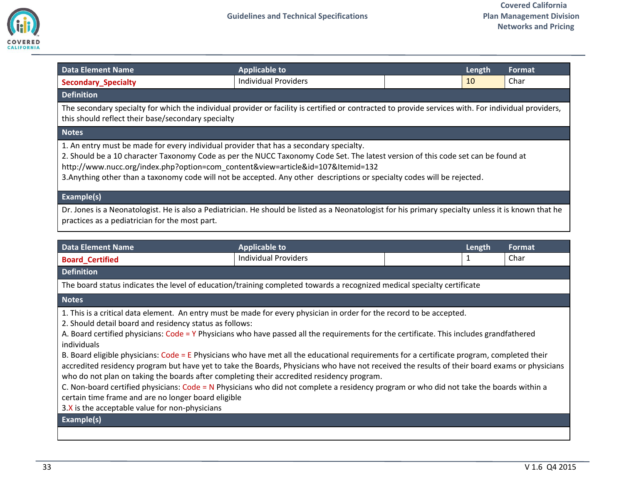

<span id="page-32-1"></span><span id="page-32-0"></span>

| <b>Data Element Name</b>                                                                                                                                                                                                                                                                                                                                                                                                                  | <b>Applicable to</b>                                |  | Length                 | <b>Format</b>         |
|-------------------------------------------------------------------------------------------------------------------------------------------------------------------------------------------------------------------------------------------------------------------------------------------------------------------------------------------------------------------------------------------------------------------------------------------|-----------------------------------------------------|--|------------------------|-----------------------|
| <b>Secondary_Specialty</b>                                                                                                                                                                                                                                                                                                                                                                                                                | <b>Individual Providers</b>                         |  | 10                     | Char                  |
| <b>Definition</b>                                                                                                                                                                                                                                                                                                                                                                                                                         |                                                     |  |                        |                       |
| The secondary specialty for which the individual provider or facility is certified or contracted to provide services with. For individual providers,<br>this should reflect their base/secondary specialty                                                                                                                                                                                                                                |                                                     |  |                        |                       |
| <b>Notes</b>                                                                                                                                                                                                                                                                                                                                                                                                                              |                                                     |  |                        |                       |
| 1. An entry must be made for every individual provider that has a secondary specialty.<br>2. Should be a 10 character Taxonomy Code as per the NUCC Taxonomy Code Set. The latest version of this code set can be found at<br>http://www.nucc.org/index.php?option=com_content&view=article&id=107&Itemid=132<br>3. Anything other than a taxonomy code will not be accepted. Any other descriptions or specialty codes will be rejected. |                                                     |  |                        |                       |
| Example(s)                                                                                                                                                                                                                                                                                                                                                                                                                                |                                                     |  |                        |                       |
| Dr. Jones is a Neonatologist. He is also a Pediatrician. He should be listed as a Neonatologist for his primary specialty unless it is known that he<br>practices as a pediatrician for the most part.                                                                                                                                                                                                                                    |                                                     |  |                        |                       |
|                                                                                                                                                                                                                                                                                                                                                                                                                                           |                                                     |  |                        |                       |
| <b>Data Element Name</b>                                                                                                                                                                                                                                                                                                                                                                                                                  | <b>Applicable to</b><br><b>Individual Providers</b> |  | Length<br>$\mathbf{1}$ | <b>Format</b><br>Char |
| <b>Board_Certified</b>                                                                                                                                                                                                                                                                                                                                                                                                                    |                                                     |  |                        |                       |
| <b>Definition</b>                                                                                                                                                                                                                                                                                                                                                                                                                         |                                                     |  |                        |                       |
| The board status indicates the level of education/training completed towards a recognized medical specialty certificate                                                                                                                                                                                                                                                                                                                   |                                                     |  |                        |                       |
| <b>Notes</b>                                                                                                                                                                                                                                                                                                                                                                                                                              |                                                     |  |                        |                       |
| 1. This is a critical data element. An entry must be made for every physician in order for the record to be accepted.<br>2. Should detail board and residency status as follows:<br>A. Board certified physicians: Code = Y Physicians who have passed all the requirements for the certificate. This includes grandfathered<br>individuals                                                                                               |                                                     |  |                        |                       |
| B. Board eligible physicians: Code = E Physicians who have met all the educational requirements for a certificate program, completed their<br>accredited residency program but have yet to take the Boards, Physicians who have not received the results of their board exams or physicians<br>who do not plan on taking the boards after completing their accredited residency program.                                                  |                                                     |  |                        |                       |
| C. Non-board certified physicians: Code = N Physicians who did not complete a residency program or who did not take the boards within a<br>certain time frame and are no longer board eligible<br>3.X is the acceptable value for non-physicians                                                                                                                                                                                          |                                                     |  |                        |                       |
| <b>Example(s)</b>                                                                                                                                                                                                                                                                                                                                                                                                                         |                                                     |  |                        |                       |
|                                                                                                                                                                                                                                                                                                                                                                                                                                           |                                                     |  |                        |                       |
|                                                                                                                                                                                                                                                                                                                                                                                                                                           |                                                     |  |                        |                       |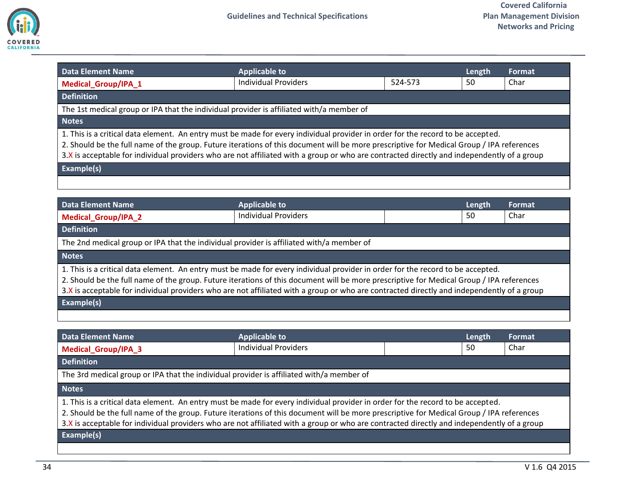

<span id="page-33-1"></span><span id="page-33-0"></span>

| <b>Data Element Name</b>                                                                                                                                                                                                                                                                                                                                                                                                  | <b>Applicable to</b>        |         | Length | Format        |
|---------------------------------------------------------------------------------------------------------------------------------------------------------------------------------------------------------------------------------------------------------------------------------------------------------------------------------------------------------------------------------------------------------------------------|-----------------------------|---------|--------|---------------|
| Medical_Group/IPA_1                                                                                                                                                                                                                                                                                                                                                                                                       | <b>Individual Providers</b> | 524-573 | 50     | Char          |
| <b>Definition</b>                                                                                                                                                                                                                                                                                                                                                                                                         |                             |         |        |               |
| The 1st medical group or IPA that the individual provider is affiliated with/a member of                                                                                                                                                                                                                                                                                                                                  |                             |         |        |               |
| <b>Notes</b>                                                                                                                                                                                                                                                                                                                                                                                                              |                             |         |        |               |
| 1. This is a critical data element. An entry must be made for every individual provider in order for the record to be accepted.<br>2. Should be the full name of the group. Future iterations of this document will be more prescriptive for Medical Group / IPA references<br>3.X is acceptable for individual providers who are not affiliated with a group or who are contracted directly and independently of a group |                             |         |        |               |
| Example(s)                                                                                                                                                                                                                                                                                                                                                                                                                |                             |         |        |               |
|                                                                                                                                                                                                                                                                                                                                                                                                                           |                             |         |        |               |
| <b>Data Element Name</b>                                                                                                                                                                                                                                                                                                                                                                                                  | <b>Applicable to</b>        |         | Length | Format        |
| Medical_Group/IPA_2                                                                                                                                                                                                                                                                                                                                                                                                       | <b>Individual Providers</b> |         | 50     | Char          |
| <b>Definition</b>                                                                                                                                                                                                                                                                                                                                                                                                         |                             |         |        |               |
| The 2nd medical group or IPA that the individual provider is affiliated with/a member of                                                                                                                                                                                                                                                                                                                                  |                             |         |        |               |
| <b>Notes</b>                                                                                                                                                                                                                                                                                                                                                                                                              |                             |         |        |               |
| 1. This is a critical data element. An entry must be made for every individual provider in order for the record to be accepted.<br>2. Should be the full name of the group. Future iterations of this document will be more prescriptive for Medical Group / IPA references<br>3.X is acceptable for individual providers who are not affiliated with a group or who are contracted directly and independently of a group |                             |         |        |               |
| Example(s)                                                                                                                                                                                                                                                                                                                                                                                                                |                             |         |        |               |
|                                                                                                                                                                                                                                                                                                                                                                                                                           |                             |         |        |               |
| <b>Data Element Name</b>                                                                                                                                                                                                                                                                                                                                                                                                  | <b>Applicable to</b>        |         | Length | <b>Format</b> |
| Medical_Group/IPA_3                                                                                                                                                                                                                                                                                                                                                                                                       | <b>Individual Providers</b> |         | 50     | Char          |
| <b>Definition</b>                                                                                                                                                                                                                                                                                                                                                                                                         |                             |         |        |               |
| The 3rd medical group or IPA that the individual provider is affiliated with/a member of                                                                                                                                                                                                                                                                                                                                  |                             |         |        |               |
| <b>Notes</b>                                                                                                                                                                                                                                                                                                                                                                                                              |                             |         |        |               |
| 1. This is a critical data element. An entry must be made for every individual provider in order for the record to be accepted.<br>2. Should be the full name of the group. Future iterations of this document will be more prescriptive for Medical Group / IPA references                                                                                                                                               |                             |         |        |               |

<span id="page-33-2"></span>3.X is acceptable for individual providers who are not affiliated with a group or who are contracted directly and independently of a group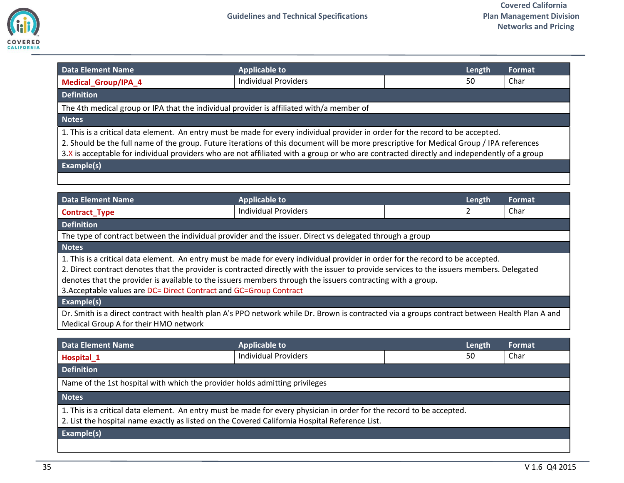

<span id="page-34-0"></span>

| <b>Data Element Name</b>                                                                                                                                                                                                                                                                                                                                                                                                  | <b>Applicable to</b>        |  | Length | Format |
|---------------------------------------------------------------------------------------------------------------------------------------------------------------------------------------------------------------------------------------------------------------------------------------------------------------------------------------------------------------------------------------------------------------------------|-----------------------------|--|--------|--------|
| <b>Medical_Group/IPA_4</b>                                                                                                                                                                                                                                                                                                                                                                                                | <b>Individual Providers</b> |  | 50     | Char   |
| <b>Definition</b>                                                                                                                                                                                                                                                                                                                                                                                                         |                             |  |        |        |
| The 4th medical group or IPA that the individual provider is affiliated with/a member of                                                                                                                                                                                                                                                                                                                                  |                             |  |        |        |
| <b>Notes</b>                                                                                                                                                                                                                                                                                                                                                                                                              |                             |  |        |        |
| 1. This is a critical data element. An entry must be made for every individual provider in order for the record to be accepted.<br>2. Should be the full name of the group. Future iterations of this document will be more prescriptive for Medical Group / IPA references<br>3.X is acceptable for individual providers who are not affiliated with a group or who are contracted directly and independently of a group |                             |  |        |        |
| Example(s)                                                                                                                                                                                                                                                                                                                                                                                                                |                             |  |        |        |
|                                                                                                                                                                                                                                                                                                                                                                                                                           |                             |  |        |        |

<span id="page-34-1"></span>

| <b>Data Element Name</b>                                                                                                                      | <b>Applicable to</b>        |  | Length | Format |  |
|-----------------------------------------------------------------------------------------------------------------------------------------------|-----------------------------|--|--------|--------|--|
| <b>Contract_Type</b>                                                                                                                          | <b>Individual Providers</b> |  |        | Char   |  |
| <b>Definition</b>                                                                                                                             |                             |  |        |        |  |
| The type of contract between the individual provider and the issuer. Direct vs delegated through a group                                      |                             |  |        |        |  |
| <b>Notes</b>                                                                                                                                  |                             |  |        |        |  |
| 1. This is a critical data element. An entry must be made for every individual provider in order for the record to be accepted.               |                             |  |        |        |  |
| 2. Direct contract denotes that the provider is contracted directly with the issuer to provide services to the issuers members. Delegated     |                             |  |        |        |  |
| denotes that the provider is available to the issuers members through the issuers contracting with a group.                                   |                             |  |        |        |  |
| 3. Acceptable values are DC= Direct Contract and GC=Group Contract                                                                            |                             |  |        |        |  |
| <b>Example(s)</b>                                                                                                                             |                             |  |        |        |  |
| Dr. Smith is a direct contract with health plan A's PPO network while Dr. Brown is contracted via a groups contract between Health Plan A and |                             |  |        |        |  |
| Medical Group A for their HMO network                                                                                                         |                             |  |        |        |  |
|                                                                                                                                               |                             |  |        |        |  |
| Data Element Name                                                                                                                             | <b>Applicable to</b>        |  | Length | Format |  |
| Hospital_1                                                                                                                                    | <b>Individual Providers</b> |  | 50     | Char   |  |

<span id="page-34-2"></span>**Definition**

Name of the 1st hospital with which the provider holds admitting privileges

**Notes**

1. This is a critical data element. An entry must be made for every physician in order for the record to be accepted.

2. List the hospital name exactly as listed on the Covered California Hospital Reference List.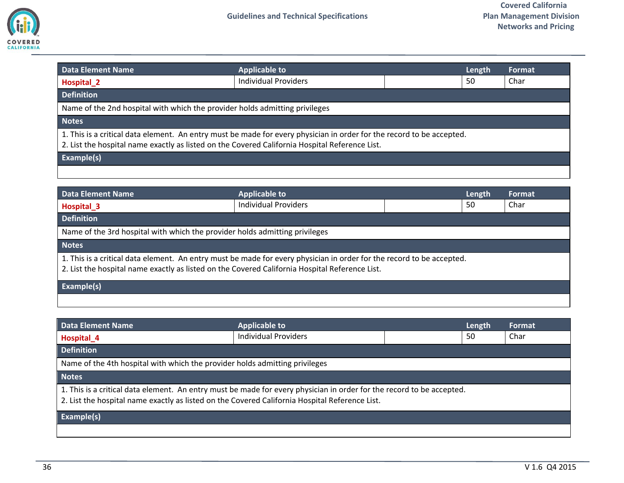

<span id="page-35-0"></span>

| Data Element Name                                                                                                                                                                                                       | <b>Applicable to</b>        | Length |  | <b>Format</b> |
|-------------------------------------------------------------------------------------------------------------------------------------------------------------------------------------------------------------------------|-----------------------------|--------|--|---------------|
| Hospital <sub>2</sub>                                                                                                                                                                                                   | <b>Individual Providers</b> | 50     |  | Char          |
| <b>Definition</b>                                                                                                                                                                                                       |                             |        |  |               |
| Name of the 2nd hospital with which the provider holds admitting privileges                                                                                                                                             |                             |        |  |               |
| <b>Notes</b>                                                                                                                                                                                                            |                             |        |  |               |
| 1. This is a critical data element. An entry must be made for every physician in order for the record to be accepted.<br>2. List the hospital name exactly as listed on the Covered California Hospital Reference List. |                             |        |  |               |
| Example(s)                                                                                                                                                                                                              |                             |        |  |               |
|                                                                                                                                                                                                                         |                             |        |  |               |

<span id="page-35-1"></span>

| Data Element Name                                                                                                                                                                                                       | <b>Applicable to</b>        | Length | Format |
|-------------------------------------------------------------------------------------------------------------------------------------------------------------------------------------------------------------------------|-----------------------------|--------|--------|
| Hospital <sub>_3</sub>                                                                                                                                                                                                  | <b>Individual Providers</b> | 50     | Char   |
| <b>Definition</b>                                                                                                                                                                                                       |                             |        |        |
| Name of the 3rd hospital with which the provider holds admitting privileges                                                                                                                                             |                             |        |        |
| <b>Notes</b>                                                                                                                                                                                                            |                             |        |        |
| 1. This is a critical data element. An entry must be made for every physician in order for the record to be accepted.<br>2. List the hospital name exactly as listed on the Covered California Hospital Reference List. |                             |        |        |
| Example(s)                                                                                                                                                                                                              |                             |        |        |
|                                                                                                                                                                                                                         |                             |        |        |

<span id="page-35-2"></span>

| <b>Data Element Name</b>                                                                                                                                                                                                | <b>Applicable to</b>        |  | Length | Format |
|-------------------------------------------------------------------------------------------------------------------------------------------------------------------------------------------------------------------------|-----------------------------|--|--------|--------|
| Hospital <sub>4</sub>                                                                                                                                                                                                   | <b>Individual Providers</b> |  | 50     | Char   |
| <b>Definition</b>                                                                                                                                                                                                       |                             |  |        |        |
| Name of the 4th hospital with which the provider holds admitting privileges                                                                                                                                             |                             |  |        |        |
| <b>Notes</b>                                                                                                                                                                                                            |                             |  |        |        |
| 1. This is a critical data element. An entry must be made for every physician in order for the record to be accepted.<br>2. List the hospital name exactly as listed on the Covered California Hospital Reference List. |                             |  |        |        |
| Example(s)                                                                                                                                                                                                              |                             |  |        |        |
|                                                                                                                                                                                                                         |                             |  |        |        |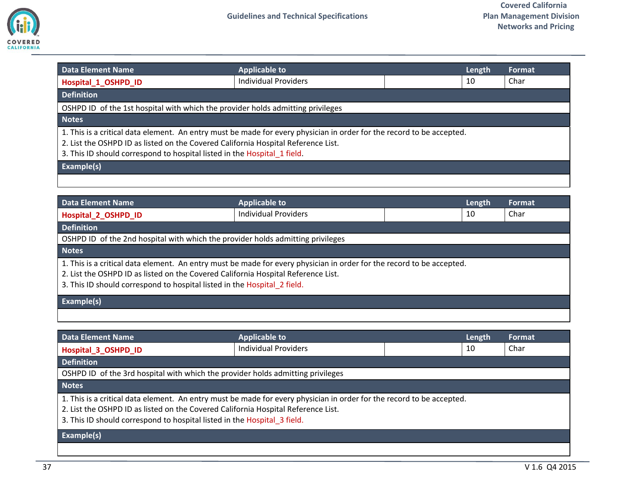

<span id="page-36-0"></span>

| <b>Data Element Name</b>                                                                                                                                                                                                                                                               | <b>Applicable to</b>        |  | Length | Format |
|----------------------------------------------------------------------------------------------------------------------------------------------------------------------------------------------------------------------------------------------------------------------------------------|-----------------------------|--|--------|--------|
| Hospital_1_OSHPD_ID                                                                                                                                                                                                                                                                    | <b>Individual Providers</b> |  | 10     | Char   |
| <b>Definition</b>                                                                                                                                                                                                                                                                      |                             |  |        |        |
| OSHPD ID of the 1st hospital with which the provider holds admitting privileges                                                                                                                                                                                                        |                             |  |        |        |
| <b>Notes</b>                                                                                                                                                                                                                                                                           |                             |  |        |        |
| 1. This is a critical data element. An entry must be made for every physician in order for the record to be accepted.<br>2. List the OSHPD ID as listed on the Covered California Hospital Reference List.<br>3. This ID should correspond to hospital listed in the Hospital 1 field. |                             |  |        |        |
| Example(s)                                                                                                                                                                                                                                                                             |                             |  |        |        |
|                                                                                                                                                                                                                                                                                        |                             |  |        |        |

<span id="page-36-1"></span>

| <b>Data Element Name</b>                                                                                                                                                                                                                                                               | <b>Applicable to</b>        |  | Length | <b>Format</b> |
|----------------------------------------------------------------------------------------------------------------------------------------------------------------------------------------------------------------------------------------------------------------------------------------|-----------------------------|--|--------|---------------|
| <b>Hospital 2 OSHPD ID</b>                                                                                                                                                                                                                                                             | <b>Individual Providers</b> |  | 10     | Char          |
| <b>Definition</b>                                                                                                                                                                                                                                                                      |                             |  |        |               |
| OSHPD ID of the 2nd hospital with which the provider holds admitting privileges                                                                                                                                                                                                        |                             |  |        |               |
| <b>Notes</b>                                                                                                                                                                                                                                                                           |                             |  |        |               |
| 1. This is a critical data element. An entry must be made for every physician in order for the record to be accepted.<br>2. List the OSHPD ID as listed on the Covered California Hospital Reference List.<br>3. This ID should correspond to hospital listed in the Hospital 2 field. |                             |  |        |               |
| <b>Example(s)</b>                                                                                                                                                                                                                                                                      |                             |  |        |               |
|                                                                                                                                                                                                                                                                                        |                             |  |        |               |

<span id="page-36-2"></span>

| <b>Data Element Name</b>                                                                                                                                                                                                                                                               | <b>Applicable to</b>        |  | Length | Format |
|----------------------------------------------------------------------------------------------------------------------------------------------------------------------------------------------------------------------------------------------------------------------------------------|-----------------------------|--|--------|--------|
| Hospital 3 OSHPD ID                                                                                                                                                                                                                                                                    | <b>Individual Providers</b> |  | 10     | Char   |
| <b>Definition</b>                                                                                                                                                                                                                                                                      |                             |  |        |        |
| OSHPD ID of the 3rd hospital with which the provider holds admitting privileges                                                                                                                                                                                                        |                             |  |        |        |
| <b>Notes</b>                                                                                                                                                                                                                                                                           |                             |  |        |        |
| 1. This is a critical data element. An entry must be made for every physician in order for the record to be accepted.<br>2. List the OSHPD ID as listed on the Covered California Hospital Reference List.<br>3. This ID should correspond to hospital listed in the Hospital 3 field. |                             |  |        |        |
| <b>Example(s)</b>                                                                                                                                                                                                                                                                      |                             |  |        |        |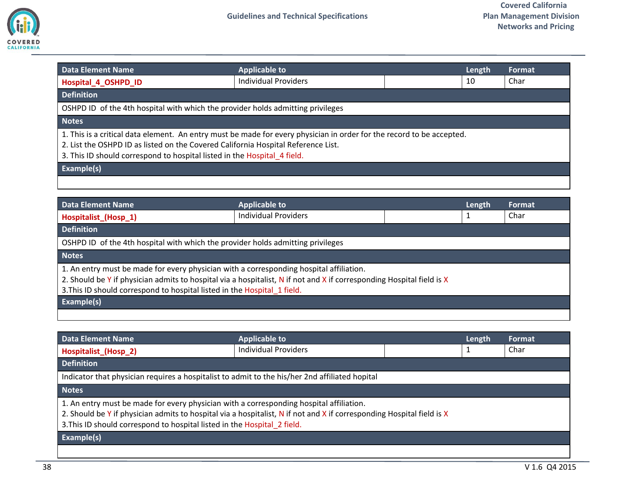

<span id="page-37-0"></span>

| <b>Data Element Name</b>                                                                                                                                                                                                                                                               | <b>Applicable to</b>        |  | Length | <b>Format</b> |
|----------------------------------------------------------------------------------------------------------------------------------------------------------------------------------------------------------------------------------------------------------------------------------------|-----------------------------|--|--------|---------------|
| Hospital 4 OSHPD ID                                                                                                                                                                                                                                                                    | <b>Individual Providers</b> |  | 10     | Char          |
| <b>Definition</b>                                                                                                                                                                                                                                                                      |                             |  |        |               |
| OSHPD ID of the 4th hospital with which the provider holds admitting privileges                                                                                                                                                                                                        |                             |  |        |               |
| <b>Notes</b>                                                                                                                                                                                                                                                                           |                             |  |        |               |
| 1. This is a critical data element. An entry must be made for every physician in order for the record to be accepted.<br>2. List the OSHPD ID as listed on the Covered California Hospital Reference List.<br>3. This ID should correspond to hospital listed in the Hospital 4 field. |                             |  |        |               |
| Example(s)                                                                                                                                                                                                                                                                             |                             |  |        |               |
|                                                                                                                                                                                                                                                                                        |                             |  |        |               |

<span id="page-37-1"></span>

| Data Element Name                                                                                                     | <b>Applicable to</b>        | Length | <b>Format</b> |
|-----------------------------------------------------------------------------------------------------------------------|-----------------------------|--------|---------------|
| Hospitalist (Hosp 1)                                                                                                  | <b>Individual Providers</b> |        | Char          |
| <b>Definition</b>                                                                                                     |                             |        |               |
| OSHPD ID of the 4th hospital with which the provider holds admitting privileges                                       |                             |        |               |
| <b>Notes</b>                                                                                                          |                             |        |               |
| 1. An entry must be made for every physician with a corresponding hospital affiliation.                               |                             |        |               |
| 2. Should be Y if physician admits to hospital via a hospitalist, N if not and X if corresponding Hospital field is X |                             |        |               |
| 3. This ID should correspond to hospital listed in the Hospital 1 field.                                              |                             |        |               |
| <b>Example(s)</b>                                                                                                     |                             |        |               |
|                                                                                                                       |                             |        |               |

<span id="page-37-2"></span>

| <b>Data Element Name</b>                                                                                              | <b>Applicable to</b> | Length | Format |
|-----------------------------------------------------------------------------------------------------------------------|----------------------|--------|--------|
| Hospitalist (Hosp 2)                                                                                                  | Individual Providers |        | Char   |
| <b>Definition</b>                                                                                                     |                      |        |        |
| Indicator that physician requires a hospitalist to admit to the his/her 2nd affiliated hopital                        |                      |        |        |
| <b>Notes</b>                                                                                                          |                      |        |        |
| 1. An entry must be made for every physician with a corresponding hospital affiliation.                               |                      |        |        |
| 2. Should be Y if physician admits to hospital via a hospitalist, N if not and X if corresponding Hospital field is X |                      |        |        |
| 3. This ID should correspond to hospital listed in the Hospital 2 field.                                              |                      |        |        |
| Example(s)                                                                                                            |                      |        |        |
|                                                                                                                       |                      |        |        |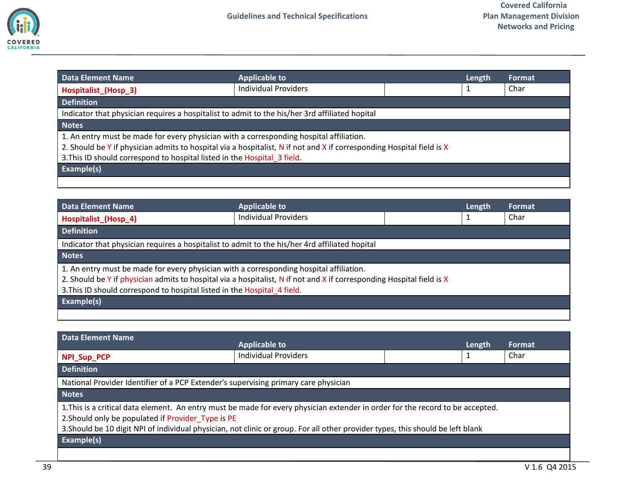

<span id="page-38-0"></span>

| <b>Data Element Name</b>                                                                                              | <b>Applicable to</b>        |  | Length | <b>Format</b> |
|-----------------------------------------------------------------------------------------------------------------------|-----------------------------|--|--------|---------------|
| Hospitalist_(Hosp_3)                                                                                                  | <b>Individual Providers</b> |  |        | Char          |
| <b>Definition</b>                                                                                                     |                             |  |        |               |
| Indicator that physician requires a hospitalist to admit to the his/her 3rd affiliated hopital                        |                             |  |        |               |
| <b>Notes</b>                                                                                                          |                             |  |        |               |
| 1. An entry must be made for every physician with a corresponding hospital affiliation.                               |                             |  |        |               |
| 2. Should be Y if physician admits to hospital via a hospitalist, N if not and X if corresponding Hospital field is X |                             |  |        |               |
| 3. This ID should correspond to hospital listed in the Hospital 3 field.                                              |                             |  |        |               |
| Example(s)                                                                                                            |                             |  |        |               |
|                                                                                                                       |                             |  |        |               |

<span id="page-38-1"></span>

| Data Element Name                                                                              | <b>Applicable to</b>                                                                                                  | Length | Format |
|------------------------------------------------------------------------------------------------|-----------------------------------------------------------------------------------------------------------------------|--------|--------|
| Hospitalist (Hosp 4)                                                                           | <b>Individual Providers</b>                                                                                           |        | Char   |
| <b>Definition</b>                                                                              |                                                                                                                       |        |        |
| Indicator that physician requires a hospitalist to admit to the his/her 4rd affiliated hopital |                                                                                                                       |        |        |
| <b>Notes</b>                                                                                   |                                                                                                                       |        |        |
| 1. An entry must be made for every physician with a corresponding hospital affiliation.        |                                                                                                                       |        |        |
|                                                                                                | 2. Should be Y if physician admits to hospital via a hospitalist, N if not and X if corresponding Hospital field is X |        |        |
| 3. This ID should correspond to hospital listed in the Hospital 4 field.                       |                                                                                                                       |        |        |
| <b>Example(s)</b>                                                                              |                                                                                                                       |        |        |
|                                                                                                |                                                                                                                       |        |        |

<span id="page-38-2"></span>

| Data Element Name                                                                                                                                                                    | <b>Applicable to</b>                                                                                                            | Length | Format |  |
|--------------------------------------------------------------------------------------------------------------------------------------------------------------------------------------|---------------------------------------------------------------------------------------------------------------------------------|--------|--------|--|
| NPI_Sup_PCP                                                                                                                                                                          | <b>Individual Providers</b>                                                                                                     |        | Char   |  |
| <b>Definition</b>                                                                                                                                                                    |                                                                                                                                 |        |        |  |
| National Provider Identifier of a PCP Extender's supervising primary care physician                                                                                                  |                                                                                                                                 |        |        |  |
| <b>Notes</b>                                                                                                                                                                         |                                                                                                                                 |        |        |  |
| 1. This is a critical data element. An entry must be made for every physician extender in order for the record to be accepted.<br>2. Should only be populated if Provider Type is PE |                                                                                                                                 |        |        |  |
|                                                                                                                                                                                      | 3. Should be 10 digit NPI of individual physician, not clinic or group. For all other provider types, this should be left blank |        |        |  |
| <b>Example(s)</b>                                                                                                                                                                    |                                                                                                                                 |        |        |  |
|                                                                                                                                                                                      |                                                                                                                                 |        |        |  |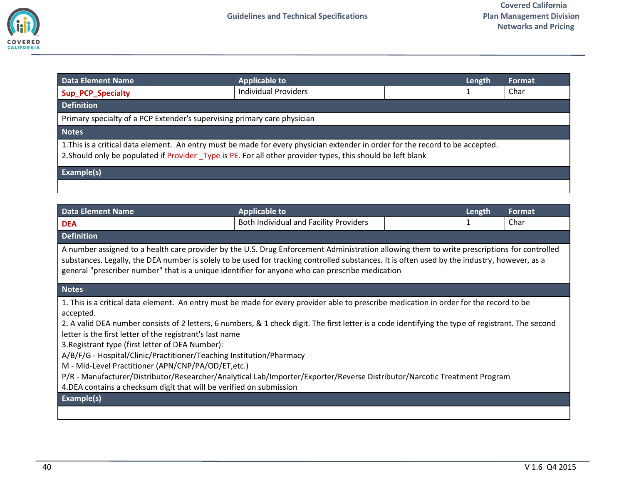

<span id="page-39-0"></span>

| <b>Data Element Name</b>                                                                                                                                                                                                                      | <b>Applicable to</b>        |  | Length | <b>Format</b> |
|-----------------------------------------------------------------------------------------------------------------------------------------------------------------------------------------------------------------------------------------------|-----------------------------|--|--------|---------------|
| <b>Sup_PCP_Specialty</b>                                                                                                                                                                                                                      | <b>Individual Providers</b> |  |        | Char          |
| <b>Definition</b>                                                                                                                                                                                                                             |                             |  |        |               |
| Primary specialty of a PCP Extender's supervising primary care physician                                                                                                                                                                      |                             |  |        |               |
| <b>Notes</b>                                                                                                                                                                                                                                  |                             |  |        |               |
| 1. This is a critical data element. An entry must be made for every physician extender in order for the record to be accepted.<br>2. Should only be populated if Provider Type is PE. For all other provider types, this should be left blank |                             |  |        |               |
| Example(s)                                                                                                                                                                                                                                    |                             |  |        |               |
|                                                                                                                                                                                                                                               |                             |  |        |               |

<span id="page-39-1"></span>

| <b>Data Element Name</b>                                                                                                                                                                                                                                                                                                                                                                                                                                                                                                                                                                                                                                                                                                                                                    | <b>Applicable to</b>                   |  | Length | Format |
|-----------------------------------------------------------------------------------------------------------------------------------------------------------------------------------------------------------------------------------------------------------------------------------------------------------------------------------------------------------------------------------------------------------------------------------------------------------------------------------------------------------------------------------------------------------------------------------------------------------------------------------------------------------------------------------------------------------------------------------------------------------------------------|----------------------------------------|--|--------|--------|
| <b>DEA</b>                                                                                                                                                                                                                                                                                                                                                                                                                                                                                                                                                                                                                                                                                                                                                                  | Both Individual and Facility Providers |  |        | Char   |
| <b>Definition</b>                                                                                                                                                                                                                                                                                                                                                                                                                                                                                                                                                                                                                                                                                                                                                           |                                        |  |        |        |
| A number assigned to a health care provider by the U.S. Drug Enforcement Administration allowing them to write prescriptions for controlled<br>substances. Legally, the DEA number is solely to be used for tracking controlled substances. It is often used by the industry, however, as a<br>general "prescriber number" that is a unique identifier for anyone who can prescribe medication                                                                                                                                                                                                                                                                                                                                                                              |                                        |  |        |        |
| <b>Notes</b>                                                                                                                                                                                                                                                                                                                                                                                                                                                                                                                                                                                                                                                                                                                                                                |                                        |  |        |        |
| 1. This is a critical data element. An entry must be made for every provider able to prescribe medication in order for the record to be<br>accepted.<br>2. A valid DEA number consists of 2 letters, 6 numbers, & 1 check digit. The first letter is a code identifying the type of registrant. The second<br>letter is the first letter of the registrant's last name<br>3. Registrant type (first letter of DEA Number):<br>A/B/F/G - Hospital/Clinic/Practitioner/Teaching Institution/Pharmacy<br>M - Mid-Level Practitioner (APN/CNP/PA/OD/ET,etc.)<br>P/R - Manufacturer/Distributor/Researcher/Analytical Lab/Importer/Exporter/Reverse Distributor/Narcotic Treatment Program<br>4. DEA contains a checksum digit that will be verified on submission<br>Example(s) |                                        |  |        |        |
|                                                                                                                                                                                                                                                                                                                                                                                                                                                                                                                                                                                                                                                                                                                                                                             |                                        |  |        |        |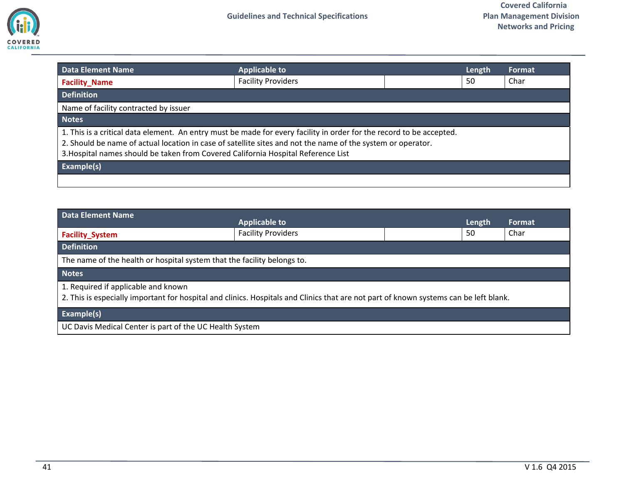

<span id="page-40-0"></span>

| <b>Data Element Name</b>                                                                                                                                                                                                                                                                                                 | <b>Applicable to</b>      |  | Length | Format |
|--------------------------------------------------------------------------------------------------------------------------------------------------------------------------------------------------------------------------------------------------------------------------------------------------------------------------|---------------------------|--|--------|--------|
| <b>Facility Name</b>                                                                                                                                                                                                                                                                                                     | <b>Facility Providers</b> |  | 50     | Char   |
| <b>Definition</b>                                                                                                                                                                                                                                                                                                        |                           |  |        |        |
| Name of facility contracted by issuer                                                                                                                                                                                                                                                                                    |                           |  |        |        |
| <b>Notes</b>                                                                                                                                                                                                                                                                                                             |                           |  |        |        |
| 1. This is a critical data element. An entry must be made for every facility in order for the record to be accepted.<br>2. Should be name of actual location in case of satellite sites and not the name of the system or operator.<br>3. Hospital names should be taken from Covered California Hospital Reference List |                           |  |        |        |
| Example(s)                                                                                                                                                                                                                                                                                                               |                           |  |        |        |
|                                                                                                                                                                                                                                                                                                                          |                           |  |        |        |

<span id="page-40-1"></span>

| <b>Data Element Name</b>                                                                                                                                                     | <b>Applicable to</b>      |  | Length | Format |
|------------------------------------------------------------------------------------------------------------------------------------------------------------------------------|---------------------------|--|--------|--------|
| <b>Facility_System</b>                                                                                                                                                       | <b>Facility Providers</b> |  | 50     | Char   |
| <b>Definition</b>                                                                                                                                                            |                           |  |        |        |
| The name of the health or hospital system that the facility belongs to.                                                                                                      |                           |  |        |        |
| <b>Notes</b>                                                                                                                                                                 |                           |  |        |        |
| 1. Required if applicable and known<br>2. This is especially important for hospital and clinics. Hospitals and Clinics that are not part of known systems can be left blank. |                           |  |        |        |
| Example(s)                                                                                                                                                                   |                           |  |        |        |
| UC Davis Medical Center is part of the UC Health System                                                                                                                      |                           |  |        |        |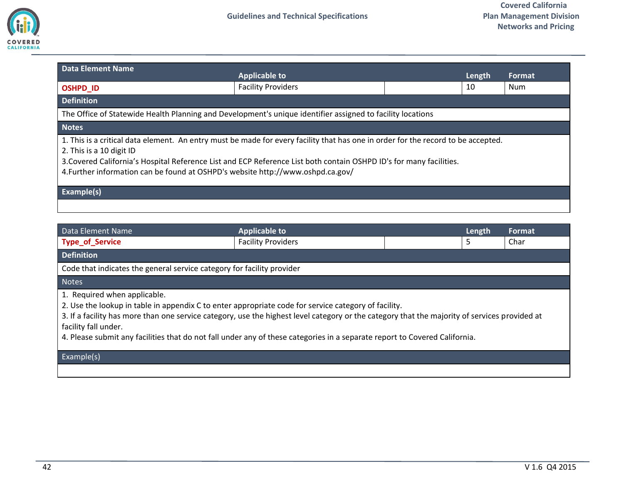

<span id="page-41-0"></span>

| <b>Data Element Name</b>                                                                                                                                                                                                                                                                                                                                                | <b>Applicable to</b>                                                                                       | Length | Format |  |
|-------------------------------------------------------------------------------------------------------------------------------------------------------------------------------------------------------------------------------------------------------------------------------------------------------------------------------------------------------------------------|------------------------------------------------------------------------------------------------------------|--------|--------|--|
| <b>OSHPD ID</b>                                                                                                                                                                                                                                                                                                                                                         | <b>Facility Providers</b>                                                                                  | 10     | Num    |  |
| <b>Definition</b>                                                                                                                                                                                                                                                                                                                                                       |                                                                                                            |        |        |  |
|                                                                                                                                                                                                                                                                                                                                                                         | The Office of Statewide Health Planning and Development's unique identifier assigned to facility locations |        |        |  |
| <b>Notes</b>                                                                                                                                                                                                                                                                                                                                                            |                                                                                                            |        |        |  |
| 1. This is a critical data element. An entry must be made for every facility that has one in order for the record to be accepted.<br>2. This is a 10 digit ID<br>3. Covered California's Hospital Reference List and ECP Reference List both contain OSHPD ID's for many facilities.<br>4. Further information can be found at OSHPD's website http://www.oshpd.ca.gov/ |                                                                                                            |        |        |  |
| Example(s)                                                                                                                                                                                                                                                                                                                                                              |                                                                                                            |        |        |  |
|                                                                                                                                                                                                                                                                                                                                                                         |                                                                                                            |        |        |  |

| Data Element Name                                                                                                                                                                                                                                                                                                                                                                                                                           | <b>Applicable to</b>      |  | Length | Format |
|---------------------------------------------------------------------------------------------------------------------------------------------------------------------------------------------------------------------------------------------------------------------------------------------------------------------------------------------------------------------------------------------------------------------------------------------|---------------------------|--|--------|--------|
| <b>Type_of_Service</b>                                                                                                                                                                                                                                                                                                                                                                                                                      | <b>Facility Providers</b> |  | 5      | Char   |
| <b>Definition</b>                                                                                                                                                                                                                                                                                                                                                                                                                           |                           |  |        |        |
| Code that indicates the general service category for facility provider                                                                                                                                                                                                                                                                                                                                                                      |                           |  |        |        |
| <b>Notes</b>                                                                                                                                                                                                                                                                                                                                                                                                                                |                           |  |        |        |
| 1. Required when applicable.<br>2. Use the lookup in table in appendix C to enter appropriate code for service category of facility.<br>3. If a facility has more than one service category, use the highest level category or the category that the majority of services provided at<br>facility fall under.<br>4. Please submit any facilities that do not fall under any of these categories in a separate report to Covered California. |                           |  |        |        |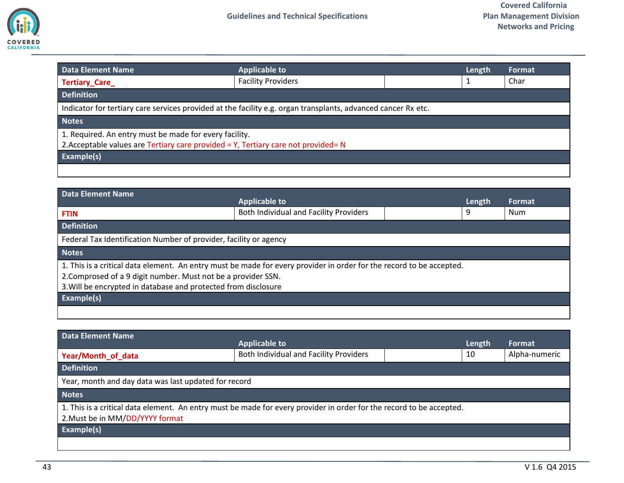

<span id="page-42-0"></span>

| <b>Data Element Name</b>                               | <b>Applicable to</b>                                                                                          | Length | Format |
|--------------------------------------------------------|---------------------------------------------------------------------------------------------------------------|--------|--------|
| Tertiary_Care_                                         | <b>Facility Providers</b>                                                                                     |        | Char   |
| <b>Definition</b>                                      |                                                                                                               |        |        |
|                                                        | Indicator for tertiary care services provided at the facility e.g. organ transplants, advanced cancer Rx etc. |        |        |
| <b>Notes</b>                                           |                                                                                                               |        |        |
| 1. Required. An entry must be made for every facility. |                                                                                                               |        |        |
|                                                        | 2. Acceptable values are Tertiary care provided = Y, Tertiary care not provided= N                            |        |        |
| Example(s)                                             |                                                                                                               |        |        |
|                                                        |                                                                                                               |        |        |

<span id="page-42-1"></span>

| <b>Data Element Name</b>                                                                                                                                                                                                                                | <b>Applicable to</b>                   |  | Length | Format |
|---------------------------------------------------------------------------------------------------------------------------------------------------------------------------------------------------------------------------------------------------------|----------------------------------------|--|--------|--------|
| <b>FTIN</b>                                                                                                                                                                                                                                             | Both Individual and Facility Providers |  | 9      | Num    |
| <b>Definition</b>                                                                                                                                                                                                                                       |                                        |  |        |        |
| Federal Tax Identification Number of provider, facility or agency                                                                                                                                                                                       |                                        |  |        |        |
| <b>Notes</b>                                                                                                                                                                                                                                            |                                        |  |        |        |
| 1. This is a critical data element. An entry must be made for every provider in order for the record to be accepted.<br>2. Comprosed of a 9 digit number. Must not be a provider SSN.<br>3. Will be encrypted in database and protected from disclosure |                                        |  |        |        |
| Example(s)                                                                                                                                                                                                                                              |                                        |  |        |        |
|                                                                                                                                                                                                                                                         |                                        |  |        |        |

<span id="page-42-2"></span>

| Data Element Name                                                                                                                                       | <b>Applicable to</b>                   | Length | Format        |
|---------------------------------------------------------------------------------------------------------------------------------------------------------|----------------------------------------|--------|---------------|
| Year/Month of data                                                                                                                                      | Both Individual and Facility Providers | 10     | Alpha-numeric |
| <b>Definition</b>                                                                                                                                       |                                        |        |               |
| Year, month and day data was last updated for record                                                                                                    |                                        |        |               |
| <b>Notes</b>                                                                                                                                            |                                        |        |               |
| 1. This is a critical data element. An entry must be made for every provider in order for the record to be accepted.<br>2. Must be in MM/DD/YYYY format |                                        |        |               |
| <b>Example(s)</b>                                                                                                                                       |                                        |        |               |
|                                                                                                                                                         |                                        |        |               |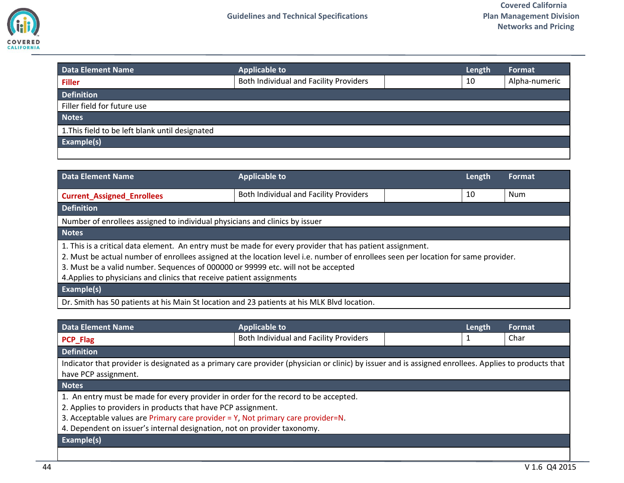

<span id="page-43-0"></span>

| <b>Data Element Name</b>                        | <b>Applicable to</b>                   | Length | Format        |
|-------------------------------------------------|----------------------------------------|--------|---------------|
| <b>Filler</b>                                   | Both Individual and Facility Providers | 10     | Alpha-numeric |
| <b>Definition</b>                               |                                        |        |               |
| Filler field for future use                     |                                        |        |               |
| <b>Notes</b>                                    |                                        |        |               |
| 1. This field to be left blank until designated |                                        |        |               |
| Example(s)                                      |                                        |        |               |
|                                                 |                                        |        |               |

<span id="page-43-1"></span>

| Data Element Name                                                                                                                                                                                                                                                                                                                                                                                             | <b>Applicable to</b>                   | Length | <b>Format</b> |
|---------------------------------------------------------------------------------------------------------------------------------------------------------------------------------------------------------------------------------------------------------------------------------------------------------------------------------------------------------------------------------------------------------------|----------------------------------------|--------|---------------|
| <b>Current_Assigned_Enrollees</b>                                                                                                                                                                                                                                                                                                                                                                             | Both Individual and Facility Providers | 10     | Num           |
| <b>Definition</b>                                                                                                                                                                                                                                                                                                                                                                                             |                                        |        |               |
| Number of enrollees assigned to individual physicians and clinics by issuer                                                                                                                                                                                                                                                                                                                                   |                                        |        |               |
| <b>Notes</b>                                                                                                                                                                                                                                                                                                                                                                                                  |                                        |        |               |
| 1. This is a critical data element. An entry must be made for every provider that has patient assignment.<br>2. Must be actual number of enrollees assigned at the location level i.e. number of enrollees seen per location for same provider.<br>3. Must be a valid number. Sequences of 000000 or 99999 etc. will not be accepted<br>4. Applies to physicians and clinics that receive patient assignments |                                        |        |               |
| Example(s)                                                                                                                                                                                                                                                                                                                                                                                                    |                                        |        |               |
| Dr. Smith has 50 patients at his Main St location and 23 patients at his MLK Blvd location.                                                                                                                                                                                                                                                                                                                   |                                        |        |               |

<span id="page-43-2"></span>

| <b>Data Element Name</b>                                                                                                                                                                                                                                                                                             | <b>Applicable to</b>                   |  | Length | Format |
|----------------------------------------------------------------------------------------------------------------------------------------------------------------------------------------------------------------------------------------------------------------------------------------------------------------------|----------------------------------------|--|--------|--------|
| <b>PCP_Flag</b>                                                                                                                                                                                                                                                                                                      | Both Individual and Facility Providers |  | 1      | Char   |
| <b>Definition</b>                                                                                                                                                                                                                                                                                                    |                                        |  |        |        |
| Indicator that provider is designated as a primary care provider (physician or clinic) by issuer and is assigned enrollees. Applies to products that<br>have PCP assignment.                                                                                                                                         |                                        |  |        |        |
| <b>Notes</b>                                                                                                                                                                                                                                                                                                         |                                        |  |        |        |
| 1. An entry must be made for every provider in order for the record to be accepted.<br>2. Applies to providers in products that have PCP assignment.<br>3. Acceptable values are Primary care provider = Y, Not primary care provider=N.<br>4. Dependent on issuer's internal designation, not on provider taxonomy. |                                        |  |        |        |
| Example(s)                                                                                                                                                                                                                                                                                                           |                                        |  |        |        |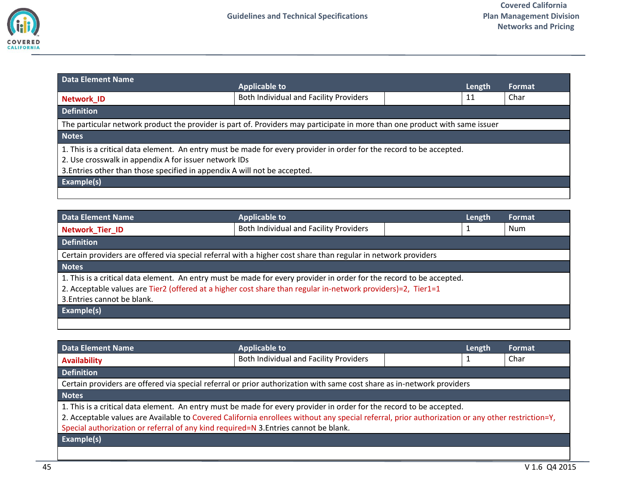

<span id="page-44-0"></span>

| <b>Data Element Name</b>                                                                                                                                                                                                                                   | <b>Applicable to</b>                                                                                                        |  | Length | Format |
|------------------------------------------------------------------------------------------------------------------------------------------------------------------------------------------------------------------------------------------------------------|-----------------------------------------------------------------------------------------------------------------------------|--|--------|--------|
| <b>Network ID</b>                                                                                                                                                                                                                                          | Both Individual and Facility Providers                                                                                      |  | 11     | Char   |
| <b>Definition</b>                                                                                                                                                                                                                                          |                                                                                                                             |  |        |        |
|                                                                                                                                                                                                                                                            | The particular network product the provider is part of. Providers may participate in more than one product with same issuer |  |        |        |
| <b>Notes</b>                                                                                                                                                                                                                                               |                                                                                                                             |  |        |        |
| 1. This is a critical data element. An entry must be made for every provider in order for the record to be accepted.<br>2. Use crosswalk in appendix A for issuer network IDs<br>3. Entries other than those specified in appendix A will not be accepted. |                                                                                                                             |  |        |        |
| Example(s)                                                                                                                                                                                                                                                 |                                                                                                                             |  |        |        |
|                                                                                                                                                                                                                                                            |                                                                                                                             |  |        |        |

<span id="page-44-1"></span>

| <b>Data Element Name</b>    | <b>Applicable to</b>                                                                                                 | Length | <b>Format</b> |
|-----------------------------|----------------------------------------------------------------------------------------------------------------------|--------|---------------|
| Network Tier ID             | Both Individual and Facility Providers                                                                               |        | Num           |
| <b>Definition</b>           |                                                                                                                      |        |               |
|                             | Certain providers are offered via special referral with a higher cost share than regular in network providers        |        |               |
| <b>Notes</b>                |                                                                                                                      |        |               |
|                             | 1. This is a critical data element. An entry must be made for every provider in order for the record to be accepted. |        |               |
|                             | 2. Acceptable values are Tier2 (offered at a higher cost share than regular in-network providers)=2, Tier1=1         |        |               |
| 3. Entries cannot be blank. |                                                                                                                      |        |               |
| Example(s)                  |                                                                                                                      |        |               |
|                             |                                                                                                                      |        |               |

<span id="page-44-2"></span>

| <b>Data Element Name</b>                                                                                                                         | <b>Applicable to</b>                                                                                                   | Length | <b>Format</b> |
|--------------------------------------------------------------------------------------------------------------------------------------------------|------------------------------------------------------------------------------------------------------------------------|--------|---------------|
| <b>Availability</b>                                                                                                                              | Both Individual and Facility Providers                                                                                 |        | Char          |
| <b>Definition</b>                                                                                                                                |                                                                                                                        |        |               |
|                                                                                                                                                  | Certain providers are offered via special referral or prior authorization with same cost share as in-network providers |        |               |
| <b>Notes</b>                                                                                                                                     |                                                                                                                        |        |               |
|                                                                                                                                                  | 1. This is a critical data element. An entry must be made for every provider in order for the record to be accepted.   |        |               |
| 2. Acceptable values are Available to Covered California enrollees without any special referral, prior authorization or any other restriction=Y, |                                                                                                                        |        |               |
| Special authorization or referral of any kind required=N 3. Entries cannot be blank.                                                             |                                                                                                                        |        |               |
| <b>Example(s)</b>                                                                                                                                |                                                                                                                        |        |               |
|                                                                                                                                                  |                                                                                                                        |        |               |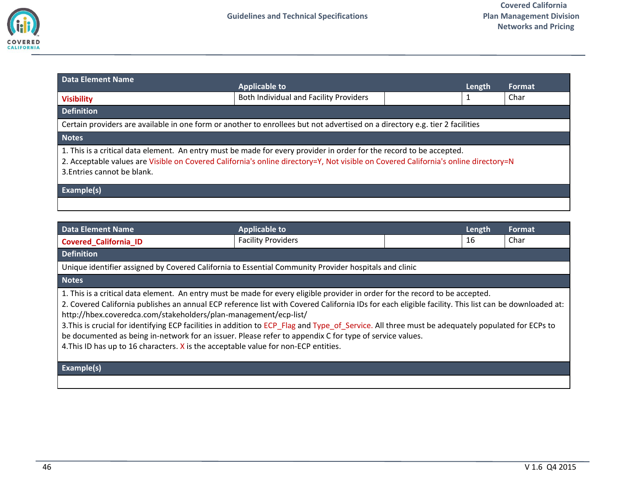

<span id="page-45-0"></span>

| <b>Data Element Name</b>    | <b>Applicable to</b>                                                                                                                                                                                                                                        | Length | Format |
|-----------------------------|-------------------------------------------------------------------------------------------------------------------------------------------------------------------------------------------------------------------------------------------------------------|--------|--------|
| <b>Visibility</b>           | Both Individual and Facility Providers                                                                                                                                                                                                                      |        | Char   |
| <b>Definition</b>           |                                                                                                                                                                                                                                                             |        |        |
|                             | Certain providers are available in one form or another to enrollees but not advertised on a directory e.g. tier 2 facilities                                                                                                                                |        |        |
| <b>Notes</b>                |                                                                                                                                                                                                                                                             |        |        |
| 3. Entries cannot be blank. | 1. This is a critical data element. An entry must be made for every provider in order for the record to be accepted.<br>2. Acceptable values are Visible on Covered California's online directory=Y, Not visible on Covered California's online directory=N |        |        |
| Example(s)                  |                                                                                                                                                                                                                                                             |        |        |
|                             |                                                                                                                                                                                                                                                             |        |        |

<span id="page-45-1"></span>

| <b>Data Element Name</b>                                                                                                                             | <b>Applicable to</b>      |  | Length | Format |
|------------------------------------------------------------------------------------------------------------------------------------------------------|---------------------------|--|--------|--------|
| <b>Covered California ID</b>                                                                                                                         | <b>Facility Providers</b> |  | 16     | Char   |
| <b>Definition</b>                                                                                                                                    |                           |  |        |        |
| Unique identifier assigned by Covered California to Essential Community Provider hospitals and clinic                                                |                           |  |        |        |
| <b>Notes</b>                                                                                                                                         |                           |  |        |        |
| 1. This is a critical data element. An entry must be made for every eligible provider in order for the record to be accepted.                        |                           |  |        |        |
| 2. Covered California publishes an annual ECP reference list with Covered California IDs for each eligible facility. This list can be downloaded at: |                           |  |        |        |
| http://hbex.coveredca.com/stakeholders/plan-management/ecp-list/                                                                                     |                           |  |        |        |
| 3. This is crucial for identifying ECP facilities in addition to ECP_Flag and Type_of_Service. All three must be adequately populated for ECPs to    |                           |  |        |        |
| be documented as being in-network for an issuer. Please refer to appendix C for type of service values.                                              |                           |  |        |        |
| 4. This ID has up to 16 characters. X is the acceptable value for non-ECP entities.                                                                  |                           |  |        |        |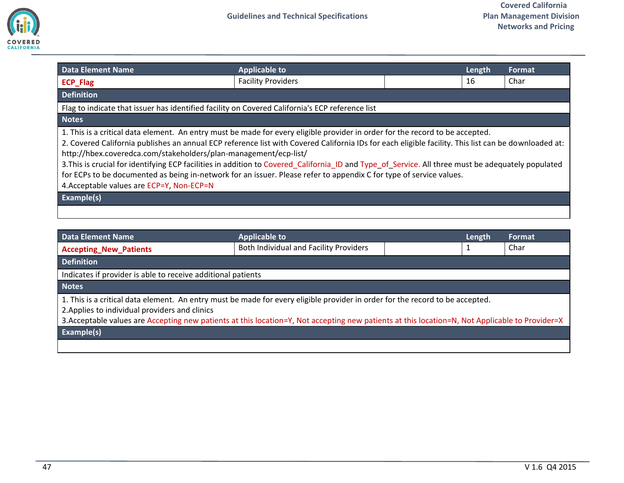

<span id="page-46-0"></span>

| <b>Data Element Name</b>                                                                                                                                                                                                                                                                                                                                                                                                                                                                                                                                                                                                                                                            | <b>Applicable to</b>                                                                            |  | Length | Format |
|-------------------------------------------------------------------------------------------------------------------------------------------------------------------------------------------------------------------------------------------------------------------------------------------------------------------------------------------------------------------------------------------------------------------------------------------------------------------------------------------------------------------------------------------------------------------------------------------------------------------------------------------------------------------------------------|-------------------------------------------------------------------------------------------------|--|--------|--------|
| <b>ECP_Flag</b>                                                                                                                                                                                                                                                                                                                                                                                                                                                                                                                                                                                                                                                                     | <b>Facility Providers</b>                                                                       |  | 16     | Char   |
| <b>Definition</b>                                                                                                                                                                                                                                                                                                                                                                                                                                                                                                                                                                                                                                                                   |                                                                                                 |  |        |        |
|                                                                                                                                                                                                                                                                                                                                                                                                                                                                                                                                                                                                                                                                                     | Flag to indicate that issuer has identified facility on Covered California's ECP reference list |  |        |        |
| <b>Notes</b>                                                                                                                                                                                                                                                                                                                                                                                                                                                                                                                                                                                                                                                                        |                                                                                                 |  |        |        |
| 1. This is a critical data element. An entry must be made for every eligible provider in order for the record to be accepted.<br>2. Covered California publishes an annual ECP reference list with Covered California IDs for each eligible facility. This list can be downloaded at:<br>http://hbex.coveredca.com/stakeholders/plan-management/ecp-list/<br>3. This is crucial for identifying ECP facilities in addition to Covered_California_ID and Type_of_Service. All three must be adequately populated<br>for ECPs to be documented as being in-network for an issuer. Please refer to appendix C for type of service values.<br>4. Acceptable values are ECP=Y, Non-ECP=N |                                                                                                 |  |        |        |
| Example(s)                                                                                                                                                                                                                                                                                                                                                                                                                                                                                                                                                                                                                                                                          |                                                                                                 |  |        |        |
|                                                                                                                                                                                                                                                                                                                                                                                                                                                                                                                                                                                                                                                                                     |                                                                                                 |  |        |        |

<span id="page-46-1"></span>

| <b>Data Element Name</b>                                                                                                                                                                                                                                                                                                           | <b>Applicable to</b>                   |  | Length | Format. |
|------------------------------------------------------------------------------------------------------------------------------------------------------------------------------------------------------------------------------------------------------------------------------------------------------------------------------------|----------------------------------------|--|--------|---------|
| <b>Accepting_New_Patients</b>                                                                                                                                                                                                                                                                                                      | Both Individual and Facility Providers |  |        | Char    |
| <b>Definition</b>                                                                                                                                                                                                                                                                                                                  |                                        |  |        |         |
| Indicates if provider is able to receive additional patients                                                                                                                                                                                                                                                                       |                                        |  |        |         |
| <b>Notes</b>                                                                                                                                                                                                                                                                                                                       |                                        |  |        |         |
| 1. This is a critical data element. An entry must be made for every eligible provider in order for the record to be accepted.<br>2. Applies to individual providers and clinics<br>3. Acceptable values are Accepting new patients at this location=Y, Not accepting new patients at this location=N, Not Applicable to Provider=X |                                        |  |        |         |
| Example(s)                                                                                                                                                                                                                                                                                                                         |                                        |  |        |         |
|                                                                                                                                                                                                                                                                                                                                    |                                        |  |        |         |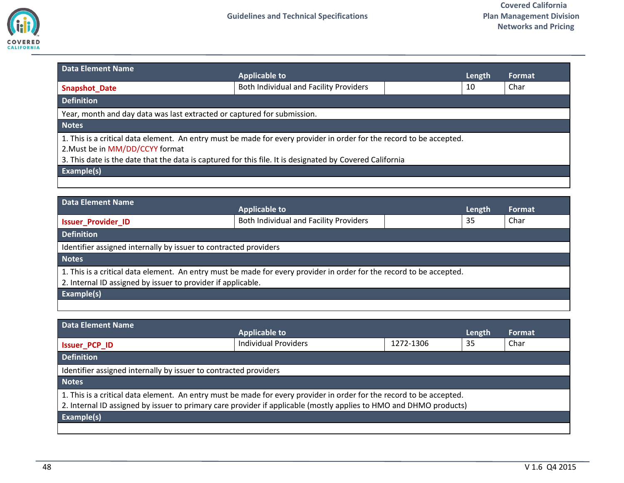

<span id="page-47-0"></span>

| <b>Data Element Name</b>                                                                                                                                                                                                                                            | <b>Applicable to</b>                   | Length | <b>Format</b> |  |
|---------------------------------------------------------------------------------------------------------------------------------------------------------------------------------------------------------------------------------------------------------------------|----------------------------------------|--------|---------------|--|
| <b>Snapshot Date</b>                                                                                                                                                                                                                                                | Both Individual and Facility Providers | 10     | Char          |  |
| <b>Definition</b>                                                                                                                                                                                                                                                   |                                        |        |               |  |
| Year, month and day data was last extracted or captured for submission.                                                                                                                                                                                             |                                        |        |               |  |
| <b>Notes</b>                                                                                                                                                                                                                                                        |                                        |        |               |  |
| 1. This is a critical data element. An entry must be made for every provider in order for the record to be accepted.<br>2. Must be in MM/DD/CCYY format<br>3. This date is the date that the data is captured for this file. It is designated by Covered California |                                        |        |               |  |
| Example(s)                                                                                                                                                                                                                                                          |                                        |        |               |  |
|                                                                                                                                                                                                                                                                     |                                        |        |               |  |

<span id="page-47-1"></span>

| Data Element Name                                                                                                    |                                        |  |        |               |
|----------------------------------------------------------------------------------------------------------------------|----------------------------------------|--|--------|---------------|
|                                                                                                                      | <b>Applicable to</b>                   |  | Length | <b>Format</b> |
| <b>Issuer Provider ID</b>                                                                                            | Both Individual and Facility Providers |  | 35     | Char          |
| <b>Definition</b>                                                                                                    |                                        |  |        |               |
| Identifier assigned internally by issuer to contracted providers                                                     |                                        |  |        |               |
| <b>Notes</b>                                                                                                         |                                        |  |        |               |
| 1. This is a critical data element. An entry must be made for every provider in order for the record to be accepted. |                                        |  |        |               |
| 2. Internal ID assigned by issuer to provider if applicable.                                                         |                                        |  |        |               |
| <b>Example(s)</b>                                                                                                    |                                        |  |        |               |
|                                                                                                                      |                                        |  |        |               |

<span id="page-47-2"></span>

| <b>Data Element Name</b>                                                                                             |                             |           |        |        |
|----------------------------------------------------------------------------------------------------------------------|-----------------------------|-----------|--------|--------|
|                                                                                                                      | <b>Applicable to</b>        |           | Length | Format |
| <b>Issuer PCP ID</b>                                                                                                 | <b>Individual Providers</b> | 1272-1306 | 35     | Char   |
| <b>Definition</b>                                                                                                    |                             |           |        |        |
| Identifier assigned internally by issuer to contracted providers                                                     |                             |           |        |        |
| <b>Notes</b>                                                                                                         |                             |           |        |        |
| 1. This is a critical data element. An entry must be made for every provider in order for the record to be accepted. |                             |           |        |        |
| 2. Internal ID assigned by issuer to primary care provider if applicable (mostly applies to HMO and DHMO products)   |                             |           |        |        |
| <b>Example(s)</b>                                                                                                    |                             |           |        |        |
|                                                                                                                      |                             |           |        |        |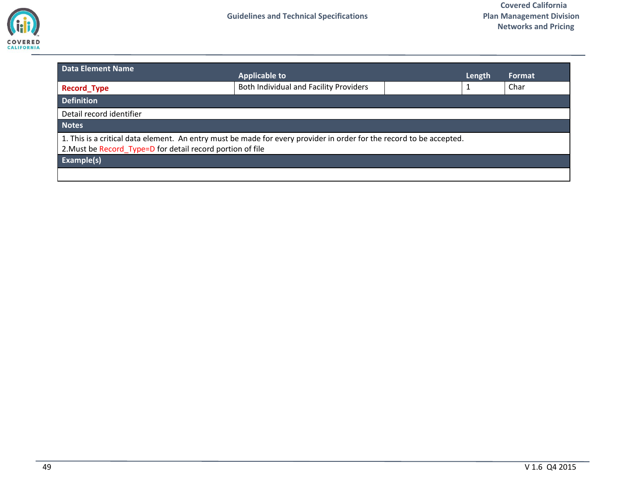

<span id="page-48-0"></span>

| Data Element Name                                                                                                                                                                  | <b>Applicable to</b>                   | Length | Format |
|------------------------------------------------------------------------------------------------------------------------------------------------------------------------------------|----------------------------------------|--------|--------|
| <b>Record Type</b>                                                                                                                                                                 | Both Individual and Facility Providers | 1      | Char   |
| <b>Definition</b>                                                                                                                                                                  |                                        |        |        |
| Detail record identifier                                                                                                                                                           |                                        |        |        |
| <b>Notes</b>                                                                                                                                                                       |                                        |        |        |
| 1. This is a critical data element. An entry must be made for every provider in order for the record to be accepted.<br>2. Must be Record_Type=D for detail record portion of file |                                        |        |        |
| Example(s)                                                                                                                                                                         |                                        |        |        |
|                                                                                                                                                                                    |                                        |        |        |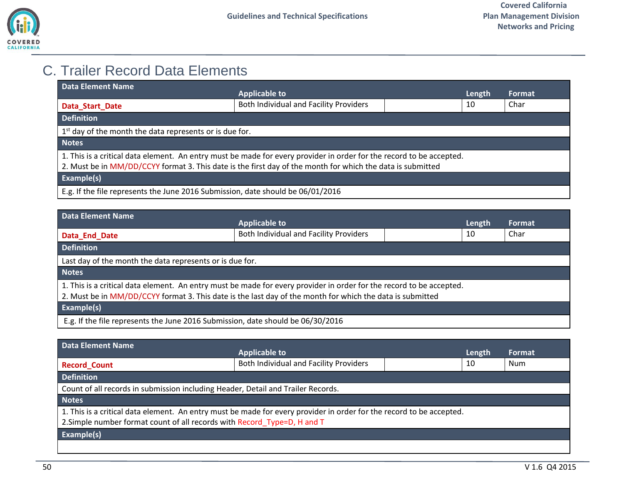

## <span id="page-49-0"></span>C. Trailer Record Data Elements

<span id="page-49-1"></span>

| Data Element Name                                                                                                                                                                                                                  | <b>Applicable to</b>                                                            | Length | <b>Format</b> |
|------------------------------------------------------------------------------------------------------------------------------------------------------------------------------------------------------------------------------------|---------------------------------------------------------------------------------|--------|---------------|
| Data Start Date                                                                                                                                                                                                                    | Both Individual and Facility Providers                                          | 10     | Char          |
| <b>Definition</b>                                                                                                                                                                                                                  |                                                                                 |        |               |
| 1 <sup>st</sup> day of the month the data represents or is due for.                                                                                                                                                                |                                                                                 |        |               |
| <b>Notes</b>                                                                                                                                                                                                                       |                                                                                 |        |               |
| 1. This is a critical data element. An entry must be made for every provider in order for the record to be accepted.<br>2. Must be in MM/DD/CCYY format 3. This date is the first day of the month for which the data is submitted |                                                                                 |        |               |
| Example(s)                                                                                                                                                                                                                         |                                                                                 |        |               |
|                                                                                                                                                                                                                                    | E.g. If the file represents the June 2016 Submission, date should be 06/01/2016 |        |               |

<span id="page-49-2"></span>

| Data Element Name                                                                                                    |                                        |        |        |
|----------------------------------------------------------------------------------------------------------------------|----------------------------------------|--------|--------|
|                                                                                                                      | <b>Applicable to</b>                   | Length | Format |
| Data_End_Date                                                                                                        | Both Individual and Facility Providers | 10     | Char   |
| <b>Definition</b>                                                                                                    |                                        |        |        |
| Last day of the month the data represents or is due for.                                                             |                                        |        |        |
| <b>Notes</b>                                                                                                         |                                        |        |        |
| 1. This is a critical data element. An entry must be made for every provider in order for the record to be accepted. |                                        |        |        |
| 2. Must be in MM/DD/CCYY format 3. This date is the last day of the month for which the data is submitted            |                                        |        |        |
| Example(s)                                                                                                           |                                        |        |        |
| E.g. If the file represents the June 2016 Submission, date should be 06/30/2016                                      |                                        |        |        |

<span id="page-49-3"></span>

| Data Element Name                                                                                                    |                                                                                  |  |        |        |
|----------------------------------------------------------------------------------------------------------------------|----------------------------------------------------------------------------------|--|--------|--------|
|                                                                                                                      | <b>Applicable to</b>                                                             |  | Length | Format |
| <b>Record Count</b>                                                                                                  | Both Individual and Facility Providers                                           |  | 10     | Num    |
| <b>Definition</b>                                                                                                    |                                                                                  |  |        |        |
|                                                                                                                      | Count of all records in submission including Header, Detail and Trailer Records. |  |        |        |
| <b>Notes</b>                                                                                                         |                                                                                  |  |        |        |
| 1. This is a critical data element. An entry must be made for every provider in order for the record to be accepted. |                                                                                  |  |        |        |
| 2. Simple number format count of all records with Record Type=D, H and T                                             |                                                                                  |  |        |        |
| <b>Example(s)</b>                                                                                                    |                                                                                  |  |        |        |
|                                                                                                                      |                                                                                  |  |        |        |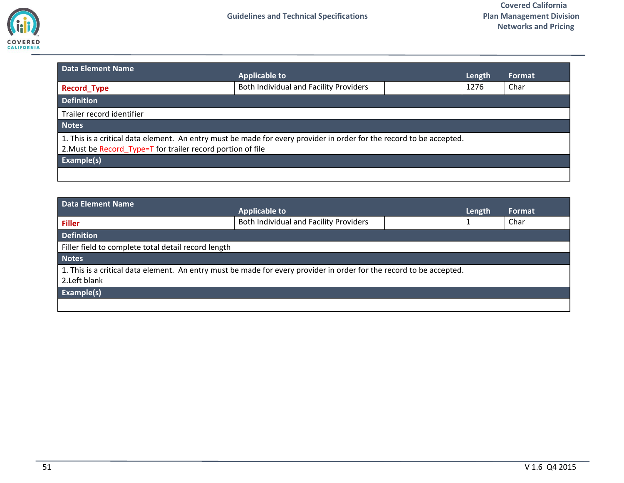

<span id="page-50-0"></span>

| <b>Data Element Name</b>                                                                                                                                                            | <b>Applicable to</b> |  | Length | Format |  |
|-------------------------------------------------------------------------------------------------------------------------------------------------------------------------------------|----------------------|--|--------|--------|--|
| Both Individual and Facility Providers<br><b>Record Type</b>                                                                                                                        |                      |  | 1276   | Char   |  |
| <b>Definition</b>                                                                                                                                                                   |                      |  |        |        |  |
| Trailer record identifier                                                                                                                                                           |                      |  |        |        |  |
| <b>Notes</b>                                                                                                                                                                        |                      |  |        |        |  |
| 1. This is a critical data element. An entry must be made for every provider in order for the record to be accepted.<br>2. Must be Record_Type=T for trailer record portion of file |                      |  |        |        |  |
| Example(s)                                                                                                                                                                          |                      |  |        |        |  |
|                                                                                                                                                                                     |                      |  |        |        |  |

<span id="page-50-1"></span>

| Data Element Name                                                                                                    | <b>Applicable to</b>                   |  | Length | Format |
|----------------------------------------------------------------------------------------------------------------------|----------------------------------------|--|--------|--------|
| <b>Filler</b>                                                                                                        | Both Individual and Facility Providers |  |        | Char   |
| <b>Definition</b>                                                                                                    |                                        |  |        |        |
| Filler field to complete total detail record length                                                                  |                                        |  |        |        |
| <b>Notes</b>                                                                                                         |                                        |  |        |        |
| 1. This is a critical data element. An entry must be made for every provider in order for the record to be accepted. |                                        |  |        |        |
| 2. Left blank                                                                                                        |                                        |  |        |        |
| Example(s)                                                                                                           |                                        |  |        |        |
|                                                                                                                      |                                        |  |        |        |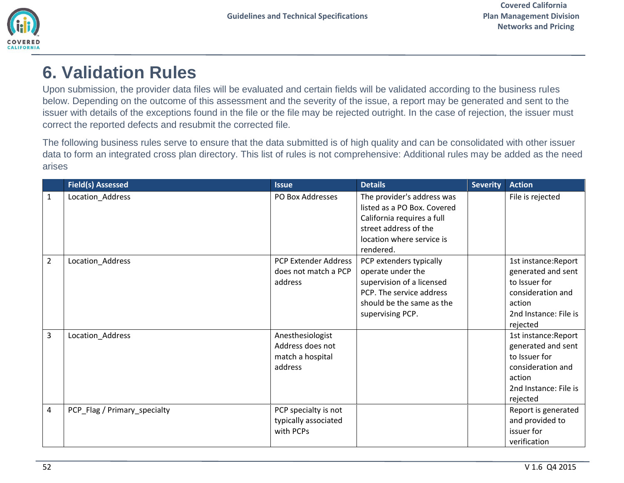

# <span id="page-51-0"></span>**6. Validation Rules**

Upon submission, the provider data files will be evaluated and certain fields will be validated according to the business rules below. Depending on the outcome of this assessment and the severity of the issue, a report may be generated and sent to the issuer with details of the exceptions found in the file or the file may be rejected outright. In the case of rejection, the issuer must correct the reported defects and resubmit the corrected file.

The following business rules serve to ensure that the data submitted is of high quality and can be consolidated with other issuer data to form an integrated cross plan directory. This list of rules is not comprehensive: Additional rules may be added as the need arises

|                | <b>Field(s) Assessed</b>     | <b>Issue</b>                                                        | <b>Details</b>                                                                                                                                             | <b>Severity</b> | <b>Action</b>                                                                                                                   |
|----------------|------------------------------|---------------------------------------------------------------------|------------------------------------------------------------------------------------------------------------------------------------------------------------|-----------------|---------------------------------------------------------------------------------------------------------------------------------|
| $\mathbf{1}$   | Location_Address             | PO Box Addresses                                                    | The provider's address was<br>listed as a PO Box. Covered<br>California requires a full<br>street address of the<br>location where service is<br>rendered. |                 | File is rejected                                                                                                                |
| $\overline{2}$ | Location_Address             | PCP Extender Address<br>does not match a PCP<br>address             | PCP extenders typically<br>operate under the<br>supervision of a licensed<br>PCP. The service address<br>should be the same as the<br>supervising PCP.     |                 | 1st instance: Report<br>generated and sent<br>to Issuer for<br>consideration and<br>action<br>2nd Instance: File is<br>rejected |
| 3              | Location_Address             | Anesthesiologist<br>Address does not<br>match a hospital<br>address |                                                                                                                                                            |                 | 1st instance: Report<br>generated and sent<br>to Issuer for<br>consideration and<br>action<br>2nd Instance: File is<br>rejected |
| $\overline{4}$ | PCP_Flag / Primary_specialty | PCP specialty is not<br>typically associated<br>with PCPs           |                                                                                                                                                            |                 | Report is generated<br>and provided to<br>issuer for<br>verification                                                            |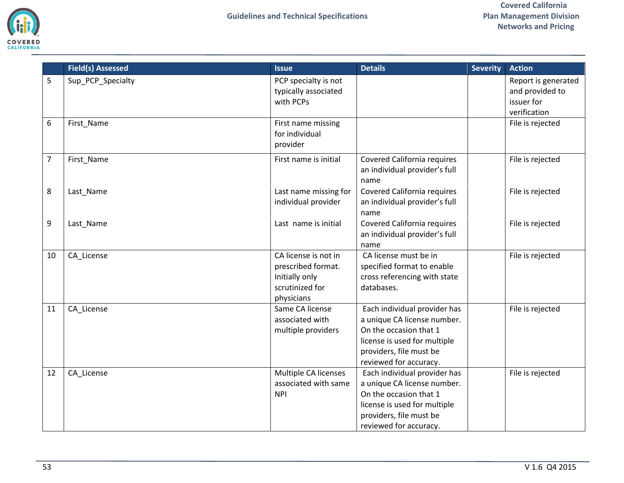

|                | <b>Field(s) Assessed</b> | <b>Issue</b>                                                                                  | <b>Details</b>                                                                                                                                                             | <b>Severity</b> | <b>Action</b>                                                        |
|----------------|--------------------------|-----------------------------------------------------------------------------------------------|----------------------------------------------------------------------------------------------------------------------------------------------------------------------------|-----------------|----------------------------------------------------------------------|
| 5              | Sup_PCP_Specialty        | PCP specialty is not<br>typically associated<br>with PCPs                                     |                                                                                                                                                                            |                 | Report is generated<br>and provided to<br>issuer for<br>verification |
| 6              | First_Name               | First name missing<br>for individual<br>provider                                              |                                                                                                                                                                            |                 | File is rejected                                                     |
| $\overline{7}$ | First_Name               | First name is initial                                                                         | <b>Covered California requires</b><br>an individual provider's full<br>name                                                                                                |                 | File is rejected                                                     |
| 8              | Last_Name                | Last name missing for<br>individual provider                                                  | <b>Covered California requires</b><br>an individual provider's full<br>name                                                                                                |                 | File is rejected                                                     |
| 9              | Last_Name                | Last name is initial                                                                          | <b>Covered California requires</b><br>an individual provider's full<br>name                                                                                                |                 | File is rejected                                                     |
| 10             | CA_License               | CA license is not in<br>prescribed format.<br>Initially only<br>scrutinized for<br>physicians | CA license must be in<br>specified format to enable<br>cross referencing with state<br>databases.                                                                          |                 | File is rejected                                                     |
| 11             | CA_License               | Same CA license<br>associated with<br>multiple providers                                      | Each individual provider has<br>a unique CA license number.<br>On the occasion that 1<br>license is used for multiple<br>providers, file must be<br>reviewed for accuracy. |                 | File is rejected                                                     |
| 12             | CA_License               | Multiple CA licenses<br>associated with same<br><b>NPI</b>                                    | Each individual provider has<br>a unique CA license number.<br>On the occasion that 1<br>license is used for multiple<br>providers, file must be<br>reviewed for accuracy. |                 | File is rejected                                                     |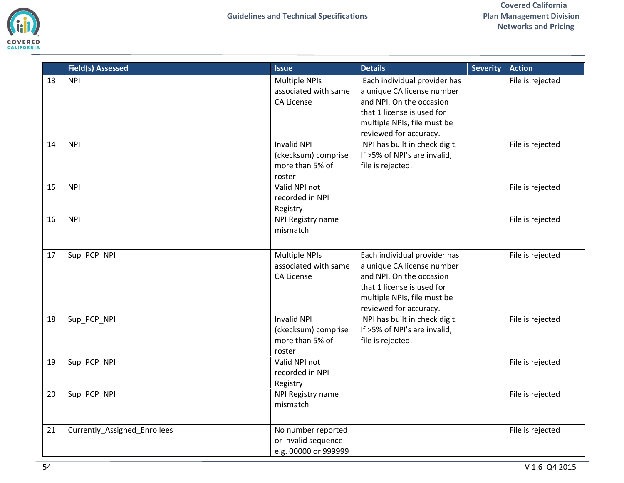

|    | <b>Field(s) Assessed</b>     | <b>Issue</b>                                                           | <b>Details</b>                                                                                                                                                                | <b>Severity</b> | <b>Action</b>    |
|----|------------------------------|------------------------------------------------------------------------|-------------------------------------------------------------------------------------------------------------------------------------------------------------------------------|-----------------|------------------|
| 13 | <b>NPI</b>                   | <b>Multiple NPIs</b><br>associated with same<br>CA License             | Each individual provider has<br>a unique CA license number<br>and NPI. On the occasion<br>that 1 license is used for<br>multiple NPIs, file must be<br>reviewed for accuracy. |                 | File is rejected |
| 14 | <b>NPI</b>                   | <b>Invalid NPI</b><br>(ckecksum) comprise<br>more than 5% of<br>roster | NPI has built in check digit.<br>If >5% of NPI's are invalid,<br>file is rejected.                                                                                            |                 | File is rejected |
| 15 | <b>NPI</b>                   | Valid NPI not<br>recorded in NPI<br>Registry                           |                                                                                                                                                                               |                 | File is rejected |
| 16 | <b>NPI</b>                   | NPI Registry name<br>mismatch                                          |                                                                                                                                                                               |                 | File is rejected |
| 17 | Sup_PCP_NPI                  | <b>Multiple NPIs</b><br>associated with same<br>CA License             | Each individual provider has<br>a unique CA license number<br>and NPI. On the occasion<br>that 1 license is used for<br>multiple NPIs, file must be<br>reviewed for accuracy. |                 | File is rejected |
| 18 | Sup_PCP_NPI                  | <b>Invalid NPI</b><br>(ckecksum) comprise<br>more than 5% of<br>roster | NPI has built in check digit.<br>If >5% of NPI's are invalid,<br>file is rejected.                                                                                            |                 | File is rejected |
| 19 | Sup_PCP_NPI                  | Valid NPI not<br>recorded in NPI<br>Registry                           |                                                                                                                                                                               |                 | File is rejected |
| 20 | Sup_PCP_NPI                  | NPI Registry name<br>mismatch                                          |                                                                                                                                                                               |                 | File is rejected |
| 21 | Currently_Assigned_Enrollees | No number reported<br>or invalid sequence<br>e.g. 00000 or 999999      |                                                                                                                                                                               |                 | File is rejected |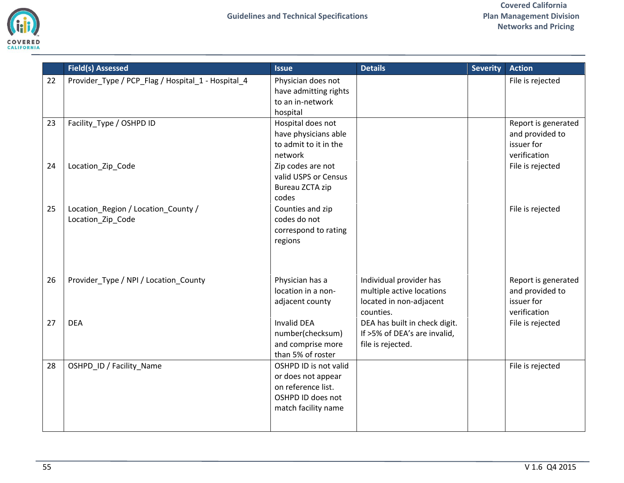

|    | <b>Field(s) Assessed</b>                           | <b>Issue</b>          | <b>Details</b>                | <b>Severity</b> | <b>Action</b>       |
|----|----------------------------------------------------|-----------------------|-------------------------------|-----------------|---------------------|
| 22 | Provider_Type / PCP_Flag / Hospital_1 - Hospital_4 | Physician does not    |                               |                 | File is rejected    |
|    |                                                    | have admitting rights |                               |                 |                     |
|    |                                                    | to an in-network      |                               |                 |                     |
|    |                                                    | hospital              |                               |                 |                     |
| 23 | Facility Type / OSHPD ID                           | Hospital does not     |                               |                 | Report is generated |
|    |                                                    | have physicians able  |                               |                 | and provided to     |
|    |                                                    | to admit to it in the |                               |                 | issuer for          |
|    |                                                    | network               |                               |                 | verification        |
| 24 | Location_Zip_Code                                  | Zip codes are not     |                               |                 | File is rejected    |
|    |                                                    | valid USPS or Census  |                               |                 |                     |
|    |                                                    | Bureau ZCTA zip       |                               |                 |                     |
|    |                                                    | codes                 |                               |                 |                     |
| 25 | Location_Region / Location_County /                | Counties and zip      |                               |                 | File is rejected    |
|    | Location_Zip_Code                                  | codes do not          |                               |                 |                     |
|    |                                                    | correspond to rating  |                               |                 |                     |
|    |                                                    | regions               |                               |                 |                     |
|    |                                                    |                       |                               |                 |                     |
|    |                                                    |                       |                               |                 |                     |
| 26 | Provider_Type / NPI / Location_County              | Physician has a       | Individual provider has       |                 | Report is generated |
|    |                                                    | location in a non-    | multiple active locations     |                 | and provided to     |
|    |                                                    | adjacent county       | located in non-adjacent       |                 | issuer for          |
|    |                                                    |                       | counties.                     |                 | verification        |
| 27 | <b>DEA</b>                                         | <b>Invalid DEA</b>    | DEA has built in check digit. |                 | File is rejected    |
|    |                                                    | number(checksum)      | If >5% of DEA's are invalid,  |                 |                     |
|    |                                                    | and comprise more     | file is rejected.             |                 |                     |
|    |                                                    | than 5% of roster     |                               |                 |                     |
| 28 | OSHPD_ID / Facility_Name                           | OSHPD ID is not valid |                               |                 | File is rejected    |
|    |                                                    | or does not appear    |                               |                 |                     |
|    |                                                    | on reference list.    |                               |                 |                     |
|    |                                                    | OSHPD ID does not     |                               |                 |                     |
|    |                                                    | match facility name   |                               |                 |                     |
|    |                                                    |                       |                               |                 |                     |
|    |                                                    |                       |                               |                 |                     |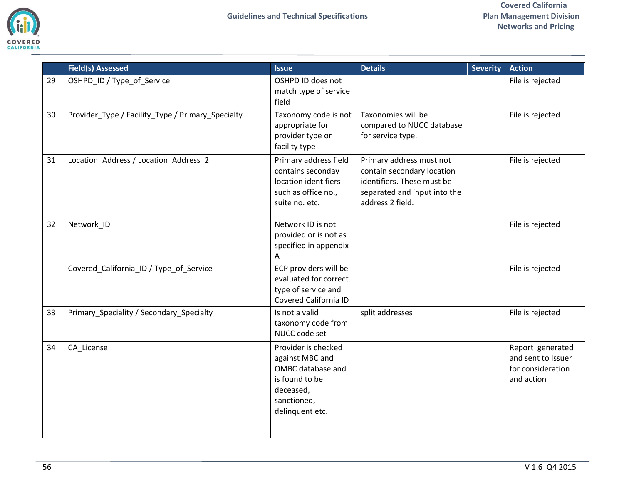

|    | <b>Field(s) Assessed</b>                          | <b>Issue</b>                                                                                                                 | <b>Details</b>                                                                                                                           | <b>Severity</b> | <b>Action</b>                                                             |
|----|---------------------------------------------------|------------------------------------------------------------------------------------------------------------------------------|------------------------------------------------------------------------------------------------------------------------------------------|-----------------|---------------------------------------------------------------------------|
| 29 | OSHPD_ID / Type_of_Service                        | OSHPD ID does not<br>match type of service<br>field                                                                          |                                                                                                                                          |                 | File is rejected                                                          |
| 30 | Provider_Type / Facility_Type / Primary_Specialty | Taxonomy code is not<br>appropriate for<br>provider type or<br>facility type                                                 | Taxonomies will be<br>compared to NUCC database<br>for service type.                                                                     |                 | File is rejected                                                          |
| 31 | Location_Address / Location_Address_2             | Primary address field<br>contains seconday<br>location identifiers<br>such as office no.,<br>suite no. etc.                  | Primary address must not<br>contain secondary location<br>identifiers. These must be<br>separated and input into the<br>address 2 field. |                 | File is rejected                                                          |
| 32 | Network_ID                                        | Network ID is not<br>provided or is not as<br>specified in appendix<br>A                                                     |                                                                                                                                          |                 | File is rejected                                                          |
|    | Covered_California_ID / Type_of_Service           | ECP providers will be<br>evaluated for correct<br>type of service and<br>Covered California ID                               |                                                                                                                                          |                 | File is rejected                                                          |
| 33 | Primary_Speciality / Secondary_Specialty          | Is not a valid<br>taxonomy code from<br>NUCC code set                                                                        | split addresses                                                                                                                          |                 | File is rejected                                                          |
| 34 | CA_License                                        | Provider is checked<br>against MBC and<br>OMBC database and<br>is found to be<br>deceased,<br>sanctioned,<br>delinquent etc. |                                                                                                                                          |                 | Report generated<br>and sent to Issuer<br>for consideration<br>and action |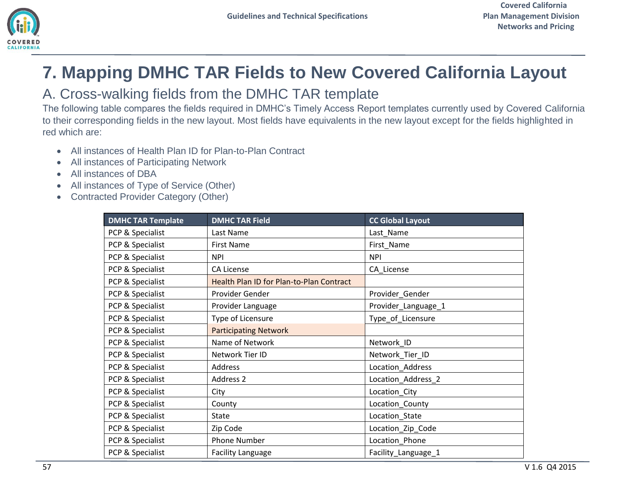

# <span id="page-56-0"></span>**7. Mapping DMHC TAR Fields to New Covered California Layout**

### <span id="page-56-1"></span>A. Cross-walking fields from the DMHC TAR template

The following table compares the fields required in DMHC's Timely Access Report templates currently used by Covered California to their corresponding fields in the new layout. Most fields have equivalents in the new layout except for the fields highlighted in red which are:

- All instances of Health Plan ID for Plan-to-Plan Contract
- All instances of Participating Network
- All instances of DBA
- All instances of Type of Service (Other)
- Contracted Provider Category (Other)

| <b>DMHC TAR Template</b> | <b>DMHC TAR Field</b>                    | <b>CC Global Layout</b> |
|--------------------------|------------------------------------------|-------------------------|
| PCP & Specialist         | Last Name                                | Last_Name               |
| PCP & Specialist         | <b>First Name</b>                        | First_Name              |
| PCP & Specialist         | <b>NPI</b>                               | <b>NPI</b>              |
| PCP & Specialist         | <b>CA License</b>                        | CA_License              |
| PCP & Specialist         | Health Plan ID for Plan-to-Plan Contract |                         |
| PCP & Specialist         | Provider Gender                          | Provider_Gender         |
| PCP & Specialist         | Provider Language                        | Provider_Language_1     |
| PCP & Specialist         | Type of Licensure                        | Type_of_Licensure       |
| PCP & Specialist         | <b>Participating Network</b>             |                         |
| PCP & Specialist         | Name of Network                          | Network ID              |
| PCP & Specialist         | Network Tier ID                          | Network_Tier_ID         |
| PCP & Specialist         | Address                                  | Location_Address        |
| PCP & Specialist         | Address 2                                | Location_Address_2      |
| PCP & Specialist         | City                                     | Location_City           |
| PCP & Specialist         | County                                   | Location_County         |
| PCP & Specialist         | <b>State</b>                             | Location_State          |
| PCP & Specialist         | Zip Code                                 | Location_Zip_Code       |
| PCP & Specialist         | <b>Phone Number</b>                      | Location_Phone          |
| PCP & Specialist         | <b>Facility Language</b>                 | Facility_Language_1     |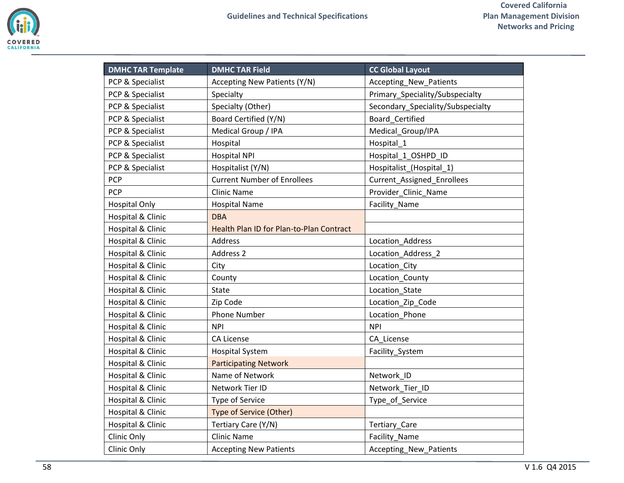

| <b>DMHC TAR Template</b>     | <b>DMHC TAR Field</b>                    | <b>CC Global Layout</b>           |
|------------------------------|------------------------------------------|-----------------------------------|
| PCP & Specialist             | Accepting New Patients (Y/N)             | Accepting_New_Patients            |
| PCP & Specialist             | Specialty                                | Primary_Speciality/Subspecialty   |
| PCP & Specialist             | Specialty (Other)                        | Secondary_Speciality/Subspecialty |
| PCP & Specialist             | Board Certified (Y/N)                    | Board Certified                   |
| PCP & Specialist             | Medical Group / IPA                      | Medical Group/IPA                 |
| PCP & Specialist             | Hospital                                 | Hospital 1                        |
| PCP & Specialist             | <b>Hospital NPI</b>                      | Hospital_1_OSHPD_ID               |
| PCP & Specialist             | Hospitalist (Y/N)                        | Hospitalist_(Hospital_1)          |
| PCP                          | <b>Current Number of Enrollees</b>       | Current_Assigned_Enrollees        |
| PCP                          | <b>Clinic Name</b>                       | Provider_Clinic_Name              |
| <b>Hospital Only</b>         | <b>Hospital Name</b>                     | Facility_Name                     |
| Hospital & Clinic            | <b>DBA</b>                               |                                   |
| Hospital & Clinic            | Health Plan ID for Plan-to-Plan Contract |                                   |
| Hospital & Clinic            | Address                                  | Location_Address                  |
| Hospital & Clinic            | Address 2                                | Location Address 2                |
| Hospital & Clinic            | City                                     | Location_City                     |
| <b>Hospital &amp; Clinic</b> | County                                   | Location County                   |
| Hospital & Clinic            | <b>State</b>                             | Location_State                    |
| Hospital & Clinic            | Zip Code                                 | Location_Zip_Code                 |
| Hospital & Clinic            | <b>Phone Number</b>                      | Location Phone                    |
| Hospital & Clinic            | <b>NPI</b>                               | <b>NPI</b>                        |
| Hospital & Clinic            | <b>CA License</b>                        | CA_License                        |
| Hospital & Clinic            | <b>Hospital System</b>                   | Facility_System                   |
| Hospital & Clinic            | <b>Participating Network</b>             |                                   |
| Hospital & Clinic            | Name of Network                          | Network ID                        |
| Hospital & Clinic            | Network Tier ID                          | Network Tier ID                   |
| Hospital & Clinic            | <b>Type of Service</b>                   | Type of Service                   |
| Hospital & Clinic            | Type of Service (Other)                  |                                   |
| Hospital & Clinic            | Tertiary Care (Y/N)                      | Tertiary_Care                     |
| Clinic Only                  | <b>Clinic Name</b>                       | Facility_Name                     |
| Clinic Only                  | <b>Accepting New Patients</b>            | Accepting_New_Patients            |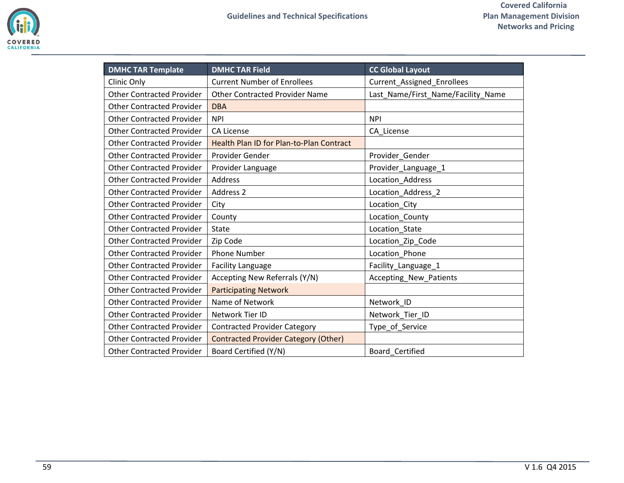| <b>DMHC TAR Template</b>         | <b>DMHC TAR Field</b>                       | <b>CC Global Layout</b>            |
|----------------------------------|---------------------------------------------|------------------------------------|
| Clinic Only                      | <b>Current Number of Enrollees</b>          | Current_Assigned_Enrollees         |
| <b>Other Contracted Provider</b> | <b>Other Contracted Provider Name</b>       | Last_Name/First_Name/Facility_Name |
| <b>Other Contracted Provider</b> | <b>DBA</b>                                  |                                    |
| <b>Other Contracted Provider</b> | <b>NPI</b>                                  | <b>NPI</b>                         |
| <b>Other Contracted Provider</b> | <b>CA License</b>                           | CA License                         |
| <b>Other Contracted Provider</b> | Health Plan ID for Plan-to-Plan Contract    |                                    |
| <b>Other Contracted Provider</b> | Provider Gender                             | Provider_Gender                    |
| <b>Other Contracted Provider</b> | Provider Language                           | Provider_Language_1                |
| <b>Other Contracted Provider</b> | Address                                     | Location_Address                   |
| <b>Other Contracted Provider</b> | Address 2                                   | Location_Address_2                 |
| <b>Other Contracted Provider</b> | City                                        | Location_City                      |
| <b>Other Contracted Provider</b> | County                                      | Location_County                    |
| <b>Other Contracted Provider</b> | <b>State</b>                                | Location_State                     |
| <b>Other Contracted Provider</b> | Zip Code                                    | Location_Zip_Code                  |
| <b>Other Contracted Provider</b> | <b>Phone Number</b>                         | Location_Phone                     |
| <b>Other Contracted Provider</b> | <b>Facility Language</b>                    | Facility_Language_1                |
| <b>Other Contracted Provider</b> | Accepting New Referrals (Y/N)               | Accepting_New_Patients             |
| <b>Other Contracted Provider</b> | <b>Participating Network</b>                |                                    |
| <b>Other Contracted Provider</b> | Name of Network                             | Network_ID                         |
| <b>Other Contracted Provider</b> | Network Tier ID                             | Network_Tier_ID                    |
| <b>Other Contracted Provider</b> | <b>Contracted Provider Category</b>         | Type_of_Service                    |
| <b>Other Contracted Provider</b> | <b>Contracted Provider Category (Other)</b> |                                    |
| <b>Other Contracted Provider</b> | Board Certified (Y/N)                       | Board Certified                    |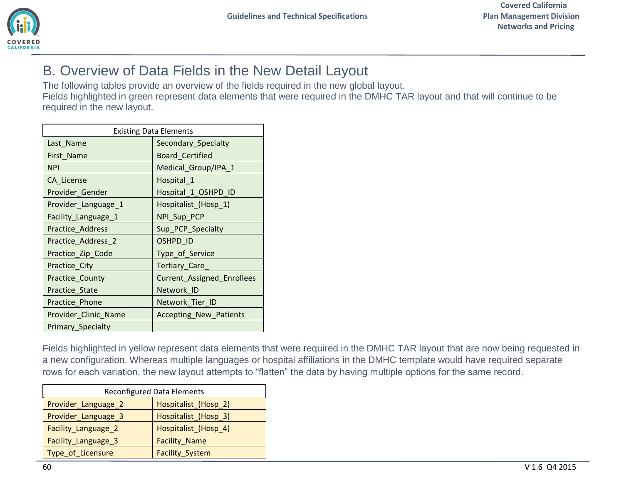

## <span id="page-59-0"></span>B. Overview of Data Fields in the New Detail Layout

The following tables provide an overview of the fields required in the new global layout.

Fields highlighted in green represent data elements that were required in the DMHC TAR layout and that will continue to be required in the new layout.

| <b>Existing Data Elements</b> |                               |  |
|-------------------------------|-------------------------------|--|
| Last_Name                     | Secondary_Specialty           |  |
| First Name                    | <b>Board Certified</b>        |  |
| <b>NPI</b>                    | Medical_Group/IPA_1           |  |
| CA License                    | Hospital_1                    |  |
| Provider_Gender               | Hospital_1_OSHPD_ID           |  |
| Provider_Language_1           | Hospitalist_(Hosp_1)          |  |
| Facility_Language_1           | NPI_Sup_PCP                   |  |
| Practice_Address              | Sup_PCP_Specialty             |  |
| Practice_Address_2            | OSHPD_ID                      |  |
| Practice_Zip_Code             | Type_of_Service               |  |
| Practice_City                 | Tertiary_Care_                |  |
| Practice_County               | Current_Assigned_Enrollees    |  |
| Practice_State                | Network ID                    |  |
| Practice_Phone                | Network_Tier_ID               |  |
| Provider_Clinic_Name          | <b>Accepting_New_Patients</b> |  |
| Primary_Specialty             |                               |  |

Fields highlighted in yellow represent data elements that were required in the DMHC TAR layout that are now being requested in a new configuration. Whereas multiple languages or hospital affiliations in the DMHC template would have required separate rows for each variation, the new layout attempts to "flatten" the data by having multiple options for the same record.

|                     | <b>Reconfigured Data Elements</b> |
|---------------------|-----------------------------------|
| Provider_Language_2 | Hospitalist (Hosp 2)              |
| Provider_Language_3 | Hospitalist (Hosp 3)              |
| Facility_Language_2 | Hospitalist_(Hosp_4)              |
| Facility_Language_3 | <b>Facility_Name</b>              |
| Type_of_Licensure   | Facility_System                   |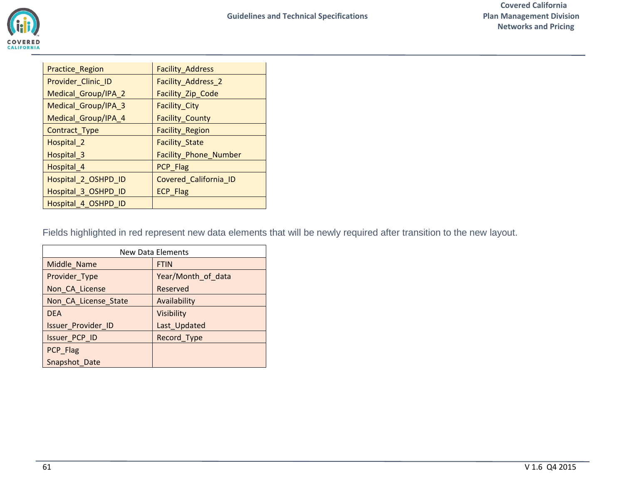| Practice_Region        | Facility_Address       |
|------------------------|------------------------|
| Provider_Clinic_ID     | Facility_Address_2     |
| Medical_Group/IPA_2    | Facility_Zip_Code      |
| Medical_Group/IPA_3    | Facility_City          |
| Medical_Group/IPA_4    | <b>Facility_County</b> |
| Contract_Type          | Facility_Region        |
| Hospital_2             | <b>Facility_State</b>  |
| Hospital <sub>_3</sub> | Facility_Phone_Number  |
| Hospital_4             | PCP_Flag               |
| Hospital_2_OSHPD_ID    | Covered_California_ID  |
| Hospital_3_OSHPD_ID    | <b>ECP Flag</b>        |
| Hospital_4_OSHPD_ID    |                        |

Fields highlighted in red represent new data elements that will be newly required after transition to the new layout.

|                           | <b>New Data Elements</b> |
|---------------------------|--------------------------|
| Middle_Name               | <b>FTIN</b>              |
| Provider_Type             | Year/Month of data       |
| Non_CA_License            | Reserved                 |
| Non_CA_License_State      | Availability             |
| <b>DEA</b>                | Visibility               |
| <b>Issuer Provider ID</b> | Last_Updated             |
| Issuer_PCP_ID             | Record_Type              |
| PCP Flag                  |                          |
| Snapshot Date             |                          |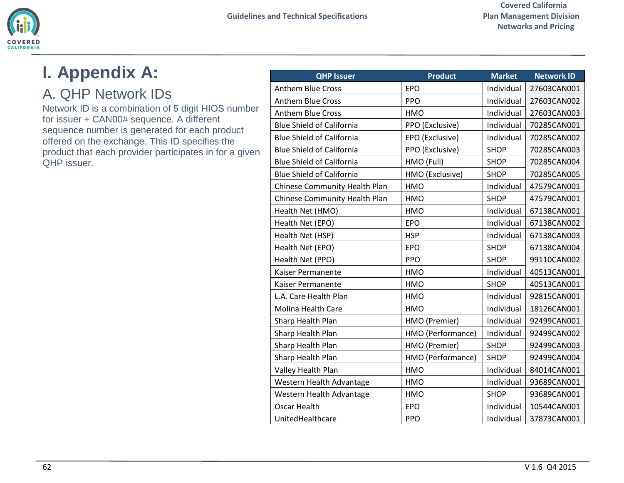

# <span id="page-61-0"></span>**I. Appendix A:**

## <span id="page-61-1"></span>A. QHP Network IDs

Network ID is a combination of 5 digit HIOS number for issuer + CAN00# sequence. A different sequence number is generated for each product offered on the exchange. This ID specifies the product that each provider participates in for a given QHP issuer.

| <b>QHP Issuer</b>                | <b>Product</b>    | <b>Market</b> | <b>Network ID</b> |
|----------------------------------|-------------------|---------------|-------------------|
| <b>Anthem Blue Cross</b>         | <b>EPO</b>        | Individual    | 27603CAN001       |
| Anthem Blue Cross                | <b>PPO</b>        | Individual    | 27603CAN002       |
| <b>Anthem Blue Cross</b>         | <b>HMO</b>        | Individual    | 27603CAN003       |
| <b>Blue Shield of California</b> | PPO (Exclusive)   | Individual    | 70285CAN001       |
| <b>Blue Shield of California</b> | EPO (Exclusive)   | Individual    | 70285CAN002       |
| <b>Blue Shield of California</b> | PPO (Exclusive)   | <b>SHOP</b>   | 70285CAN003       |
| <b>Blue Shield of California</b> | HMO (Full)        | <b>SHOP</b>   | 70285CAN004       |
| <b>Blue Shield of California</b> | HMO (Exclusive)   | <b>SHOP</b>   | 70285CAN005       |
| Chinese Community Health Plan    | HMO               | Individual    | 47579CAN001       |
| Chinese Community Health Plan    | HMO               | <b>SHOP</b>   | 47579CAN001       |
| Health Net (HMO)                 | <b>HMO</b>        | Individual    | 67138CAN001       |
| Health Net (EPO)                 | EPO               | Individual    | 67138CAN002       |
| Health Net (HSP)                 | <b>HSP</b>        | Individual    | 67138CAN003       |
| Health Net (EPO)                 | <b>EPO</b>        | <b>SHOP</b>   | 67138CAN004       |
| Health Net (PPO)                 | PPO               | <b>SHOP</b>   | 99110CAN002       |
| Kaiser Permanente                | <b>HMO</b>        | Individual    | 40513CAN001       |
| Kaiser Permanente                | <b>HMO</b>        | <b>SHOP</b>   | 40513CAN001       |
| L.A. Care Health Plan            | <b>HMO</b>        | Individual    | 92815CAN001       |
| <b>Molina Health Care</b>        | <b>HMO</b>        | Individual    | 18126CAN001       |
| Sharp Health Plan                | HMO (Premier)     | Individual    | 92499CAN001       |
| Sharp Health Plan                | HMO (Performance) | Individual    | 92499CAN002       |
| Sharp Health Plan                | HMO (Premier)     | <b>SHOP</b>   | 92499CAN003       |
| Sharp Health Plan                | HMO (Performance) | <b>SHOP</b>   | 92499CAN004       |
| Valley Health Plan               | HMO               | Individual    | 84014CAN001       |
| Western Health Advantage         | HMO               | Individual    | 93689CAN001       |
| Western Health Advantage         | HMO               | <b>SHOP</b>   | 93689CAN001       |
| Oscar Health                     | <b>EPO</b>        | Individual    | 10544CAN001       |
| UnitedHealthcare                 | PPO               | Individual    | 37873CAN001       |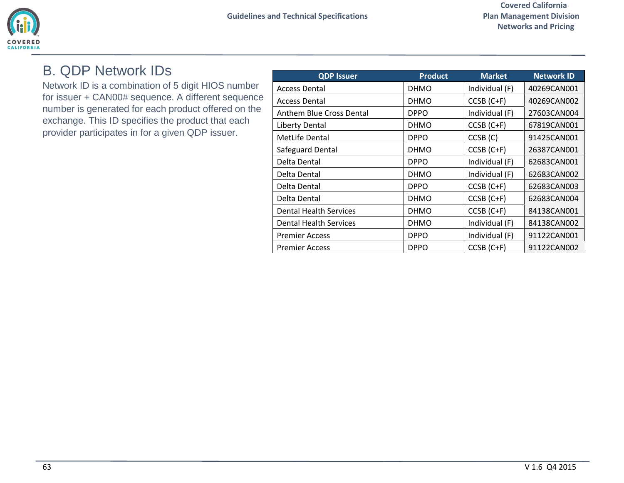

### <span id="page-62-0"></span>B. QDP Network IDs

Network ID is a combination of 5 digit HIOS number for issuer + CAN00# sequence. A different sequence number is generated for each product offered on the exchange. This ID specifies the product that each provider participates in for a given QDP issuer.

| <b>QDP Issuer</b>             | <b>Product</b> | <b>Market</b>       | <b>Network ID</b> |
|-------------------------------|----------------|---------------------|-------------------|
| <b>Access Dental</b>          | <b>DHMO</b>    | Individual (F)      | 40269CAN001       |
| <b>Access Dental</b>          | <b>DHMO</b>    | $CCSB (C+F)$        | 40269CAN002       |
| Anthem Blue Cross Dental      | <b>DPPO</b>    | Individual (F)      | 27603CAN004       |
| <b>Liberty Dental</b>         | <b>DHMO</b>    | $CCSB (C+F)$        | 67819CAN001       |
| <b>MetLife Dental</b>         | <b>DPPO</b>    | CCSB <sub>(C)</sub> | 91425CAN001       |
| Safeguard Dental              | <b>DHMO</b>    | $CCSB (C+F)$        | 26387CAN001       |
| Delta Dental                  | <b>DPPO</b>    | Individual (F)      | 62683CAN001       |
| Delta Dental                  | <b>DHMO</b>    | Individual (F)      | 62683CAN002       |
| Delta Dental                  | <b>DPPO</b>    | $CCSB (C+F)$        | 62683CAN003       |
| Delta Dental                  | <b>DHMO</b>    | $CCSB (C+F)$        | 62683CAN004       |
| <b>Dental Health Services</b> | <b>DHMO</b>    | $CCSB (C+F)$        | 84138CAN001       |
| Dental Health Services        | <b>DHMO</b>    | Individual (F)      | 84138CAN002       |
| <b>Premier Access</b>         | <b>DPPO</b>    | Individual (F)      | 91122CAN001       |
| <b>Premier Access</b>         | <b>DPPO</b>    | $CCSB (C+F)$        | 91122CAN002       |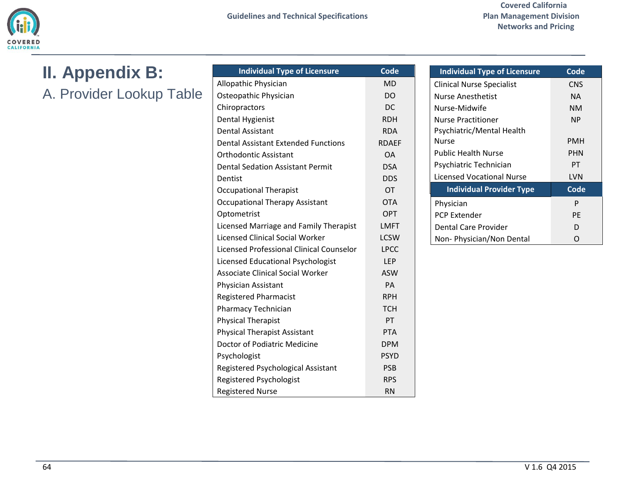

# <span id="page-63-0"></span>**II. Appendix B:**

<span id="page-63-1"></span>A. Provider Lookup Table

| <b>Individual Type of Licensure</b>        | <b>Code</b>  |
|--------------------------------------------|--------------|
| Allopathic Physician                       | <b>MD</b>    |
| Osteopathic Physician                      | <b>DO</b>    |
| Chiropractors                              | DC.          |
| <b>Dental Hygienist</b>                    | <b>RDH</b>   |
| <b>Dental Assistant</b>                    | <b>RDA</b>   |
| <b>Dental Assistant Extended Functions</b> | <b>RDAEF</b> |
| <b>Orthodontic Assistant</b>               | <b>OA</b>    |
| <b>Dental Sedation Assistant Permit</b>    | <b>DSA</b>   |
| Dentist                                    | <b>DDS</b>   |
| <b>Occupational Therapist</b>              | <b>OT</b>    |
| <b>Occupational Therapy Assistant</b>      | <b>OTA</b>   |
| Optometrist                                | <b>OPT</b>   |
| Licensed Marriage and Family Therapist     | <b>LMFT</b>  |
| Licensed Clinical Social Worker            | <b>LCSW</b>  |
| Licensed Professional Clinical Counselor   | <b>LPCC</b>  |
| Licensed Educational Psychologist          | <b>LEP</b>   |
| <b>Associate Clinical Social Worker</b>    | <b>ASW</b>   |
| Physician Assistant                        | PA           |
| <b>Registered Pharmacist</b>               | <b>RPH</b>   |
| Pharmacy Technician                        | <b>TCH</b>   |
| <b>Physical Therapist</b>                  | PT           |
| <b>Physical Therapist Assistant</b>        | <b>PTA</b>   |
| Doctor of Podiatric Medicine               | <b>DPM</b>   |
| Psychologist                               | <b>PSYD</b>  |
| Registered Psychological Assistant         | <b>PSB</b>   |
| Registered Psychologist                    | <b>RPS</b>   |
| <b>Registered Nurse</b>                    | <b>RN</b>    |

| <b>Individual Type of Licensure</b> | Code       |
|-------------------------------------|------------|
| <b>Clinical Nurse Specialist</b>    | <b>CNS</b> |
| <b>Nurse Anesthetist</b>            | ΝA         |
| Nurse-Midwife                       | NM         |
| <b>Nurse Practitioner</b>           | <b>NP</b>  |
| Psychiatric/Mental Health           |            |
| <b>Nurse</b>                        | <b>PMH</b> |
| <b>Public Health Nurse</b>          | <b>PHN</b> |
| Psychiatric Technician              | PТ         |
| <b>Licensed Vocational Nurse</b>    | LVN        |
| <b>Individual Provider Type</b>     | Code       |
| Physician                           | P          |
| <b>PCP Extender</b>                 | PF         |
| Dental Care Provider                | D          |
| Non- Physician/Non Dental           |            |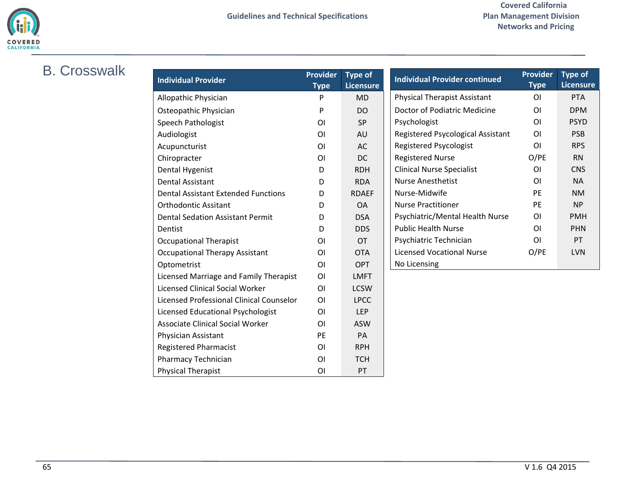

Physical Therapist **CON PT** 

## <span id="page-64-0"></span>B. Crosswalk

| <b>Individual Provider</b>                 | <b>Provider</b> | <b>Type of</b>   | <b>Individual Provider continued</b> | Provider       | <b>Type of</b>   |
|--------------------------------------------|-----------------|------------------|--------------------------------------|----------------|------------------|
|                                            | <b>Type</b>     | <b>Licensure</b> |                                      | <b>Type</b>    | <b>Licensure</b> |
| Allopathic Physician                       | P               | <b>MD</b>        | Physical Therapist Assistant         | ΟI             | <b>PTA</b>       |
| Osteopathic Physician                      | P               | <b>DO</b>        | Doctor of Podiatric Medicine         | OI             | <b>DPM</b>       |
| Speech Pathologist                         | <b>OI</b>       | SP               | Psychologist                         | OI             | <b>PSYD</b>      |
| Audiologist                                | <b>OI</b>       | AU               | Registered Psycological Assistant    | ΟI             | <b>PSB</b>       |
| Acupuncturist                              | O <sub>1</sub>  | AC               | <b>Registered Psycologist</b>        | OI             | <b>RPS</b>       |
| Chiropracter                               | OI              | <b>DC</b>        | <b>Registered Nurse</b>              | O/PE           | <b>RN</b>        |
| Dental Hygenist                            | D               | <b>RDH</b>       | <b>Clinical Nurse Specialist</b>     | ΟI             | <b>CNS</b>       |
| <b>Dental Assistant</b>                    | D               | <b>RDA</b>       | <b>Nurse Anesthetist</b>             | <b>OI</b>      | <b>NA</b>        |
| <b>Dental Assistant Extended Functions</b> | D               | <b>RDAEF</b>     | Nurse-Midwife                        | PE             | <b>NM</b>        |
| <b>Orthodontic Assitant</b>                | D               | <b>OA</b>        | <b>Nurse Practitioner</b>            | PE             | <b>NP</b>        |
| <b>Dental Sedation Assistant Permit</b>    | D               | <b>DSA</b>       | Psychiatric/Mental Health Nurse      | OI             | <b>PMH</b>       |
| Dentist                                    | D               | <b>DDS</b>       | <b>Public Health Nurse</b>           | ΟI             | <b>PHN</b>       |
| <b>Occupational Therapist</b>              | OI              | <b>OT</b>        | Psychiatric Technician               | O <sub>l</sub> | PT               |
| <b>Occupational Therapy Assistant</b>      | <b>OI</b>       | <b>OTA</b>       | <b>Licensed Vocational Nurse</b>     | O/PE           | <b>LVN</b>       |
| Optometrist                                | OI              | <b>OPT</b>       | No Licensing                         |                |                  |
| Licensed Marriage and Family Therapist     | O <sub>1</sub>  | <b>LMFT</b>      |                                      |                |                  |
| <b>Licensed Clinical Social Worker</b>     | OI              | <b>LCSW</b>      |                                      |                |                  |
| Licensed Professional Clinical Counselor   | OI              | <b>LPCC</b>      |                                      |                |                  |
| Licensed Educational Psychologist          | OI              | LEP              |                                      |                |                  |
| <b>Associate Clinical Social Worker</b>    | <b>OI</b>       | <b>ASW</b>       |                                      |                |                  |
| Physician Assistant                        | PE              | PA               |                                      |                |                  |
| <b>Registered Pharmacist</b>               | OI              | <b>RPH</b>       |                                      |                |                  |
| <b>Pharmacy Technician</b>                 | <b>OI</b>       | <b>TCH</b>       |                                      |                |                  |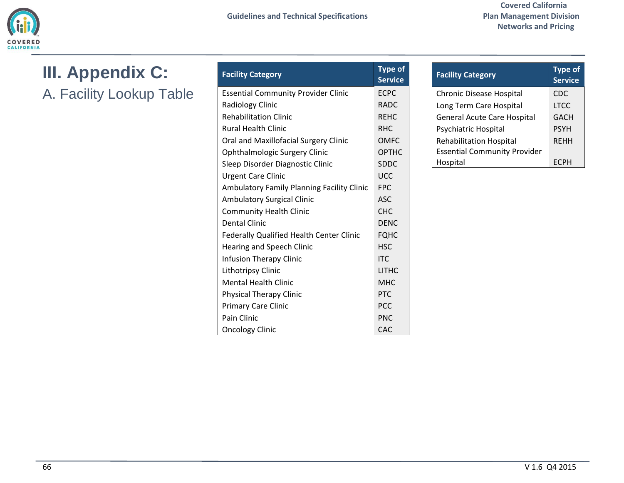

<span id="page-65-1"></span><span id="page-65-0"></span>**III. Appendix C:** A. Facility Lookup Table

| <b>Facility Category</b>                   | <b>Type of</b><br><b>Service</b> |
|--------------------------------------------|----------------------------------|
| <b>Essential Community Provider Clinic</b> | <b>ECPC</b>                      |
| <b>Radiology Clinic</b>                    | <b>RADC</b>                      |
| <b>Rehabilitation Clinic</b>               | <b>REHC</b>                      |
| <b>Rural Health Clinic</b>                 | <b>RHC</b>                       |
| Oral and Maxillofacial Surgery Clinic      | <b>OMFC</b>                      |
| Ophthalmologic Surgery Clinic              | OPTHC                            |
| Sleep Disorder Diagnostic Clinic           | <b>SDDC</b>                      |
| <b>Urgent Care Clinic</b>                  | <b>UCC</b>                       |
| Ambulatory Family Planning Facility Clinic | <b>FPC</b>                       |
| <b>Ambulatory Surgical Clinic</b>          | ASC.                             |
| <b>Community Health Clinic</b>             | <b>CHC</b>                       |
| <b>Dental Clinic</b>                       | <b>DENC</b>                      |
| Federally Qualified Health Center Clinic   | <b>FQHC</b>                      |
| Hearing and Speech Clinic                  | <b>HSC</b>                       |
| Infusion Therapy Clinic                    | <b>ITC</b>                       |
| Lithotripsy Clinic                         | <b>LITHC</b>                     |
| <b>Mental Health Clinic</b>                | <b>MHC</b>                       |
| <b>Physical Therapy Clinic</b>             | <b>PTC</b>                       |
| <b>Primary Care Clinic</b>                 | <b>PCC</b>                       |
| Pain Clinic                                | <b>PNC</b>                       |
| <b>Oncology Clinic</b>                     | CAC                              |

| <b>Facility Category</b>            | <b>Type of</b><br>Service |
|-------------------------------------|---------------------------|
| <b>Chronic Disease Hospital</b>     | CDC                       |
| Long Term Care Hospital             | <b>LTCC</b>               |
| <b>General Acute Care Hospital</b>  | GACH                      |
| Psychiatric Hospital                | <b>PSYH</b>               |
| <b>Rehabilitation Hospital</b>      | <b>RFHH</b>               |
| <b>Essential Community Provider</b> |                           |
| Hospital                            |                           |